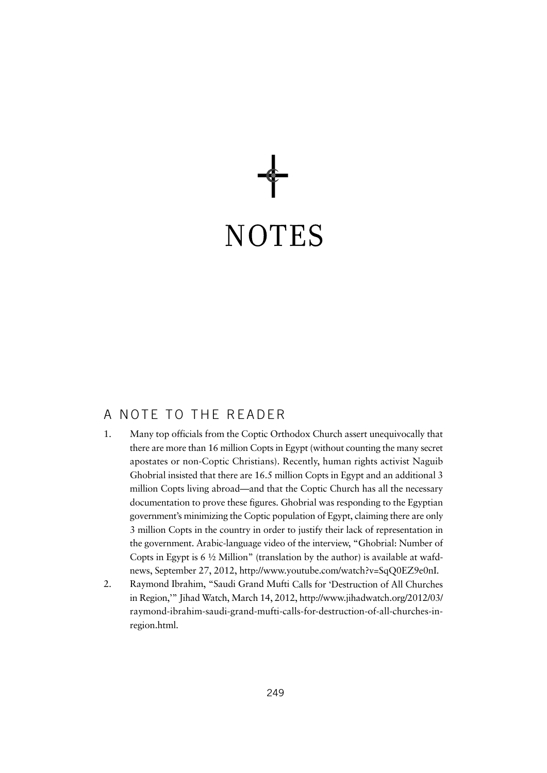

### A NOTE TO THE READER

- 1. Many top officials from the Coptic Orthodox Church assert unequivocally that there are more than 16 million Copts in Egypt (without counting the many secret apostates or non-Coptic Christians). Recently, human rights activist Naguib Ghobrial insisted that there are 16.5 million Copts in Egypt and an additional 3 million Copts living abroad—and that the Coptic Church has all the necessary documentation to prove these figures. Ghobrial was responding to the Egyptian government's minimizing the Coptic population of Egypt, claiming there are only 3 million Copts in the country in order to justify their lack of representation in the government. Arabic-language video of the interview, "Ghobrial: Number of Copts in Egypt is  $6\frac{1}{2}$  Million" (translation by the author) is available at wafdnews, September 27, 2012, http://www.youtube.com/watch?v=SqQ0EZ9e0nI.
- 2. Raymond Ibrahim, "Saudi Grand Mufti Calls for 'Destruction of All Churches in Region,'" Jihad Watch, March 14, 2012, http://www.jihadwatch.org/2012/03/ raymond-ibrahim-saudi-grand-mufti-calls-for-destruction-of-all-churches-inregion.html.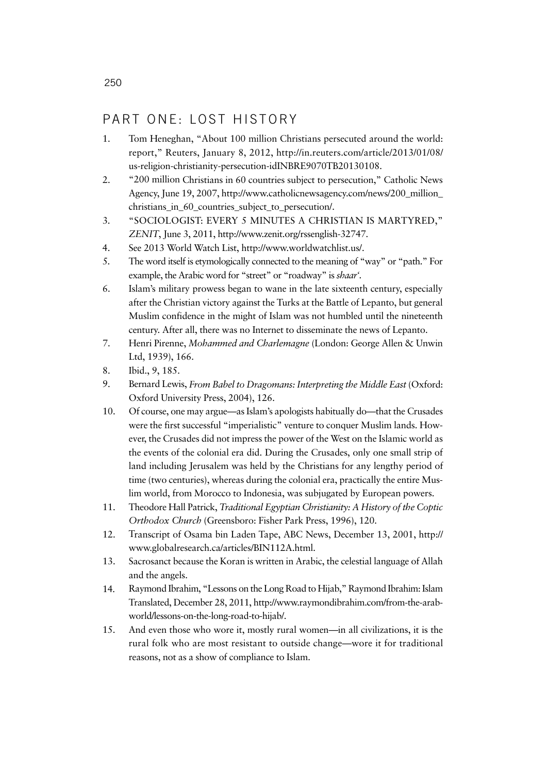### PART ONE: LOST HISTORY

- 1. Tom Heneghan, "About 100 million Christians persecuted around the world: report," Reuters, January 8, 2012, http://in.reuters.com/article/2013/01/08/ us-religion-christianity-persecution-idINBRE9070TB20130108.
- 2. "200 million Christians in 60 countries subject to persecution," Catholic News Agency, June 19, 2007, http://www.catholicnewsagency.com/news/200\_million\_ christians\_in\_60\_countries\_subject\_to\_persecution/.
- 3. "SOCIOLOGIST: EVERY 5 MINUTES A CHRISTIAN IS MARTYRED," *ZENIT*, June 3, 2011, http://www.zenit.org/rssenglish-32747.
- 4. See 2013 World Watch List, http://www.worldwatchlist.us/.
- 5. The word itself is etymologically connected to the meaning of "way" or "path." For example, the Arabic word for "street" or "roadway" is *shaar'*.
- 6. Islam's military prowess began to wane in the late sixteenth century, especially after the Christian victory against the Turks at the Battle of Lepanto, but general Muslim confidence in the might of Islam was not humbled until the nineteenth century. After all, there was no Internet to disseminate the news of Lepanto.
- 7. Henri Pirenne, *Mohammed and Charlemagne* (London: George Allen & Unwin Ltd, 1939), 166.
- 8. Ibid., 9, 185.
- 9. Bernard Lewis, *From Babel to Dragomans: Interpreting the Middle East* (Oxford: Oxford University Press, 2004), 126.
- 10. Of course, one may argue—as Islam's apologists habitually do—that the Crusades were the first successful "imperialistic" venture to conquer Muslim lands. However, the Crusades did not impress the power of the West on the Islamic world as the events of the colonial era did. During the Crusades, only one small strip of land including Jerusalem was held by the Christians for any lengthy period of time (two centuries), whereas during the colonial era, practically the entire Muslim world, from Morocco to Indonesia, was subjugated by European powers.
- 11. Theodore Hall Patrick, *Traditional Egyptian Christianity: A History of the Coptic Orthodox Church* (Greensboro: Fisher Park Press, 1996), 120.
- 12. Transcript of Osama bin Laden Tape, ABC News, December 13, 2001, http:// www.globalresearch.ca/articles/BIN112A.html.
- 13. Sacrosanct because the Koran is written in Arabic, the celestial language of Allah and the angels.
- 14. Raymond Ibrahim, "Lessons on the Long Road to Hijab," Raymond Ibrahim: Islam Translated, December 28, 2011, http://www.raymondibrahim.com/from-the-arabworld/lessons-on-the-long-road-to-hijab/.
- 15. And even those who wore it, mostly rural women—in all civilizations, it is the rural folk who are most resistant to outside change—wore it for traditional reasons, not as a show of compliance to Islam.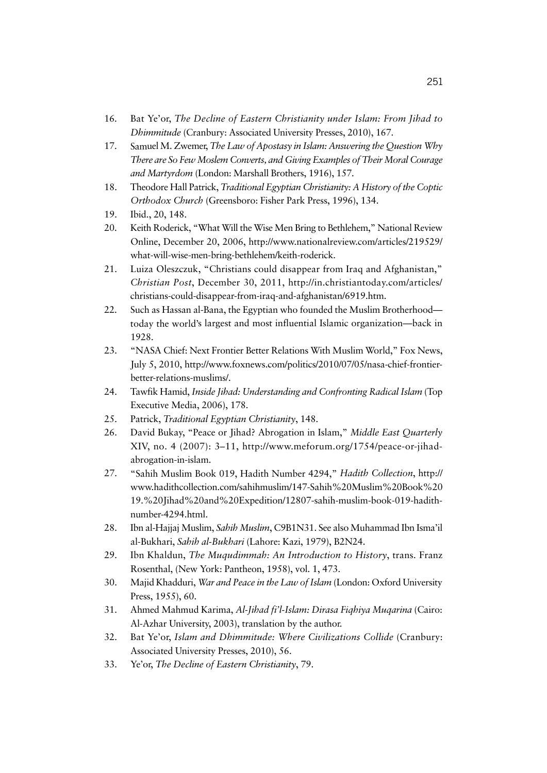- 16. Bat Ye'or, *The Decline of Eastern Christianity under Islam: From Jihad to Dhimmitude* (Cranbury: Associated University Presses, 2010), 167.
- 17. Samuel M. Zwemer, *The Law of Apostasy in Islam: Answering the Question Why There are So Few Moslem Converts, and Giving Examples of Their Moral Courage and Martyrdom* (London: Marshall Brothers, 1916), 157.
- 18. Theodore Hall Patrick, *Traditional Egyptian Christianity: A History of the Coptic Orthodox Church* (Greensboro: Fisher Park Press, 1996), 134.
- 19. Ibid., 20, 148.
- 20. Keith Roderick, "What Will the Wise Men Bring to Bethlehem," National Review Online, December 20, 2006, http://www.nationalreview.com/articles/219529/ what-will-wise-men-bring-bethlehem/keith-roderick.
- 21. Luiza Oleszczuk, "Christians could disappear from Iraq and Afghanistan," *Christian Post*, December 30, 2011, http://in.christiantoday.com/articles/ christians-could-disappear-from-iraq-and-afghanistan/6919.htm.
- 22. Such as Hassan al-Bana, the Egyptian who founded the Muslim Brotherhood today the world's largest and most influential Islamic organization—back in 1928.
- 23. "NASA Chief: Next Frontier Better Relations With Muslim World," Fox News, July 5, 2010, http://www.foxnews.com/politics/2010/07/05/nasa-chief-frontierbetter-relations-muslims/.
- 24. Tawfik Hamid, *Inside Jihad: Understanding and Confronting Radical Islam* (Top Executive Media, 2006), 178.
- 25. Patrick, *Traditional Egyptian Christianity*, 148.
- 26. David Bukay, "Peace or Jihad? Abrogation in Islam," *Middle East Quarterly* XIV, no. 4 (2007): 3–11, http://www.meforum.org/1754/peace-or-jihadabrogation-in-islam.
- 27. "Sahih Muslim Book 019, Hadith Number 4294," *Hadith Collection*, http:// www.hadithcollection.com/sahihmuslim/147-Sahih%20Muslim%20Book%20 19.%20Jihad%20and%20Expedition/12807-sahih-muslim-book-019-hadithnumber-4294.html.
- 28. Ibn al-Hajjaj Muslim, *Sahih Muslim*, C9B1N31. See also Muhammad Ibn Isma'il al-Bukhari, *Sahih al-Bukhari* (Lahore: Kazi, 1979), B2N24.
- 29. Ibn Khaldun, *The Muqudimmah: An Introduction to History*, trans. Franz Rosenthal, (New York: Pantheon, 1958), vol. 1, 473.
- 30. Majid Khadduri, *War and Peace in the Law of Islam* (London: Oxford University Press, 1955), 60.
- 31. Ahmed Mahmud Karima, *Al-Jihad fi'l-Islam: Dirasa Fiqhiya Muqarina* (Cairo: Al-Azhar University, 2003), translation by the author.
- 32. Bat Ye'or, *Islam and Dhimmitude: Where Civilizations Collide* (Cranbury: Associated University Presses, 2010), 56.
- 33. Ye'or, *The Decline of Eastern Christianity*, 79.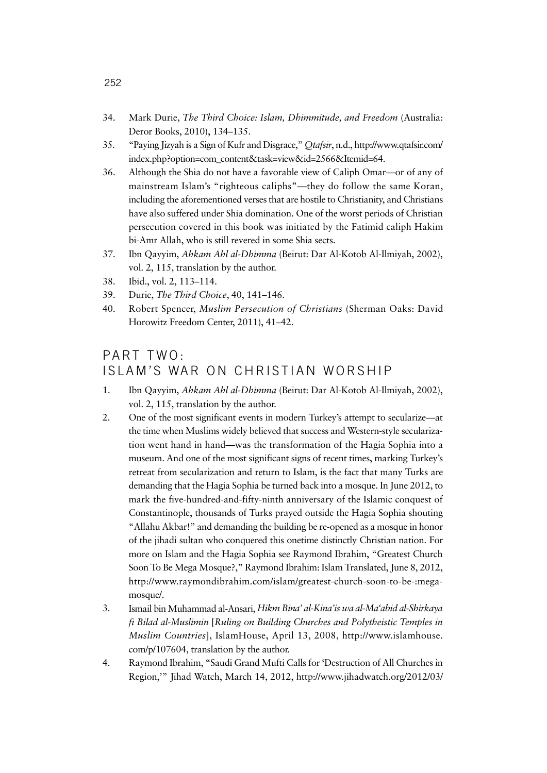- 34. Mark Durie, *The Third Choice: Islam, Dhimmitude, and Freedom* (Australia: Deror Books, 2010), 134–135.
- 35. "Paying Jizyah is a Sign of Kufr and Disgrace," *Qtafsir*, n.d., http://www.qtafsir.com/ index.php?option=com\_content&task=view&id=2566&Itemid=64.
- 36. Although the Shia do not have a favorable view of Caliph Omar—or of any of mainstream Islam's "righteous caliphs"—they do follow the same Koran, including the aforementioned verses that are hostile to Christianity, and Christians have also suffered under Shia domination. One of the worst periods of Christian persecution covered in this book was initiated by the Fatimid caliph Hakim bi-Amr Allah, who is still revered in some Shia sects.
- 37. Ibn Qayyim, *Ahkam Ahl al-Dhimma* (Beirut: Dar Al-Kotob Al-Ilmiyah, 2002), vol. 2, 115, translation by the author.
- 38. Ibid., vol. 2, 113–114.
- 39. Durie, *The Third Choice*, 40, 141–146.
- 40. Robert Spencer, *Muslim Persecution of Christians* (Sherman Oaks: David Horowitz Freedom Center, 2011), 41–42.

# PART TWO: ISLAM'S WAR ON CHRISTIAN WORSHIP

- 1. Ibn Qayyim, *Ahkam Ahl al-Dhimma* (Beirut: Dar Al-Kotob Al-Ilmiyah, 2002), vol. 2, 115, translation by the author.
- 2. One of the most significant events in modern Turkey's attempt to secularize—at the time when Muslims widely believed that success and Western-style secularization went hand in hand—was the transformation of the Hagia Sophia into a museum. And one of the most significant signs of recent times, marking Turkey's retreat from secularization and return to Islam, is the fact that many Turks are demanding that the Hagia Sophia be turned back into a mosque. In June 2012, to mark the five-hundred-and-fifty-ninth anniversary of the Islamic conquest of Constantinople, thousands of Turks prayed outside the Hagia Sophia shouting "Allahu Akbar!" and demanding the building be re-opened as a mosque in honor of the jihadi sultan who conquered this onetime distinctly Christian nation. For more on Islam and the Hagia Sophia see Raymond Ibrahim, "Greatest Church Soon To Be Mega Mosque?," Raymond Ibrahim: Islam Translated, June 8, 2012, http://www.raymondibrahim.com/islam/greatest-church-soon-to-be-:megamosque/.
- 3. Ismail bin Muhammad al-Ansari, *Hikm Bina' al-Kina'is wa al-Ma'abid al-Shirkaya fi Bilad al-Muslimin* [*Ruling on Building Churches and Polytheistic Temples in Muslim Countries*], IslamHouse, April 13, 2008, http://www.islamhouse. com/p/107604, translation by the author.
- 4. Raymond Ibrahim, "Saudi Grand Mufti Calls for 'Destruction of All Churches in Region,'" Jihad Watch, March 14, 2012, http://www.jihadwatch.org/2012/03/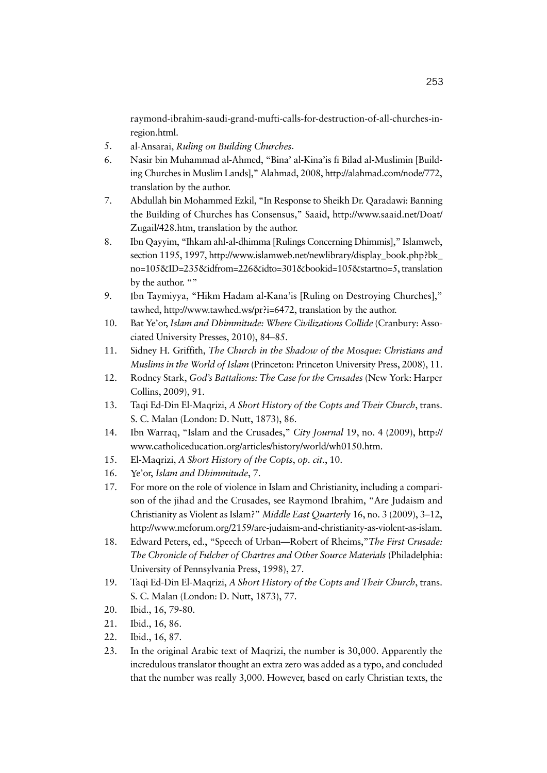raymond-ibrahim-saudi-grand-mufti-calls-for-destruction-of-all-churches-inregion.html.

- 5. al-Ansarai, *Ruling on Building Churches*.
- 6. Nasir bin Muhammad al-Ahmed, "Bina' al-Kina'is fi Bilad al-Muslimin [Building Churches in Muslim Lands]," Alahmad, 2008, http://alahmad.com/node/772, translation by the author.
- 7. Abdullah bin Mohammed Ezkil, "In Response to Sheikh Dr. Qaradawi: Banning the Building of Churches has Consensus," Saaid, http://www.saaid.net/Doat/ Zugail/428.htm, translation by the author.
- 8. Ibn Qayyim, "Ihkam ahl-al-dhimma [Rulings Concerning Dhimmis]," Islamweb, section 1195, 1997, http://www.islamweb.net/newlibrary/display\_book.php?bk\_ no=105&ID=235&idfrom=226&idto=301&bookid=105&startno=5, translation by the author. ""
- 9. Ibn Taymiyya, "Hikm Hadam al-Kana'is [Ruling on Destroying Churches]," tawhed, http://www.tawhed.ws/pr?i=6472, translation by the author.
- 10. Bat Ye'or, *Islam and Dhimmitude: Where Civilizations Collide* (Cranbury: Associated University Presses, 2010), 84–85.
- 11. Sidney H. Griffith, *The Church in the Shadow of the Mosque: Christians and Muslims in the World of Islam* (Princeton: Princeton University Press, 2008), 11.
- 12. Rodney Stark, *God's Battalions: The Case for the Crusades* (New York: Harper Collins, 2009), 91.
- 13. Taqi Ed-Din El-Maqrizi, *A Short History of the Copts and Their Church*, trans. S. C. Malan (London: D. Nutt, 1873), 86.
- 14. Ibn Warraq, "Islam and the Crusades," *City Journal* 19, no. 4 (2009), http:// www.catholiceducation.org/articles/history/world/wh0150.htm.
- 15. El-Maqrizi, *A Short History of the Copts*, *op. cit.*, 10.
- 16. Ye'or, *Islam and Dhimmitude*, 7.
- 17. For more on the role of violence in Islam and Christianity, including a comparison of the jihad and the Crusades, see Raymond Ibrahim, "Are Judaism and Christianity as Violent as Islam?" *Middle East Quarterly* 16, no. 3 (2009), 3–12, http://www.meforum.org/2159/are-judaism-and-christianity-as-violent-as-islam.
- 18. Edward Peters, ed., "Speech of Urban—Robert of Rheims,"*The First Crusade: The Chronicle of Fulcher of Chartres and Other Source Materials* (Philadelphia: University of Pennsylvania Press, 1998), 27.
- 19. Taqi Ed-Din El-Maqrizi, *A Short History of the Copts and Their Church*, trans. S. C. Malan (London: D. Nutt, 1873), 77.
- 20. Ibid., 16, 79-80.
- 21. Ibid., 16, 86.
- 22. Ibid., 16, 87.
- 23. In the original Arabic text of Maqrizi, the number is 30,000. Apparently the incredulous translator thought an extra zero was added as a typo, and concluded that the number was really 3,000. However, based on early Christian texts, the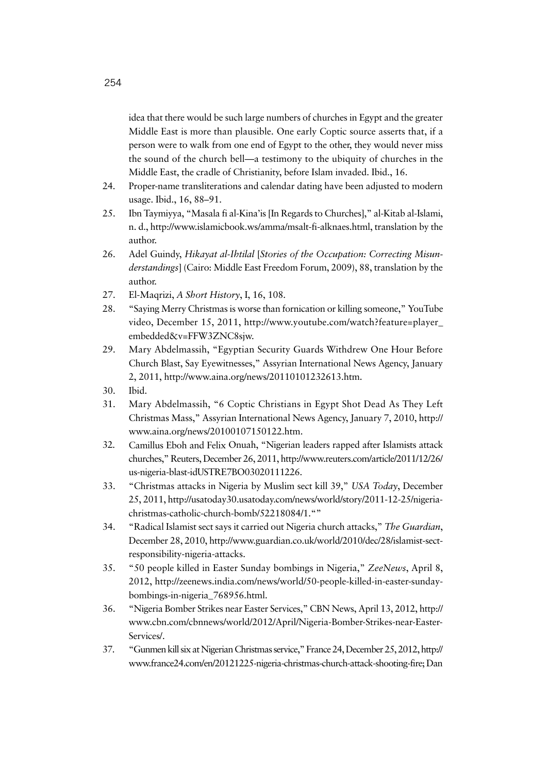idea that there would be such large numbers of churches in Egypt and the greater Middle East is more than plausible. One early Coptic source asserts that, if a person were to walk from one end of Egypt to the other, they would never miss the sound of the church bell—a testimony to the ubiquity of churches in the Middle East, the cradle of Christianity, before Islam invaded. Ibid., 16.

- 24. Proper-name transliterations and calendar dating have been adjusted to modern usage. Ibid., 16, 88–91.
- 25. Ibn Taymiyya, "Masala fi al-Kina'is [In Regards to Churches]," al-Kitab al-Islami, n. d., http://www.islamicbook.ws/amma/msalt-fi-alknaes.html, translation by the author.
- 26. Adel Guindy, *Hikayat al-Ihtilal* [*Stories of the Occupation: Correcting Misunderstandings*] (Cairo: Middle East Freedom Forum, 2009), 88, translation by the author.
- 27. El-Maqrizi, *A Short History*, I, 16, 108.
- 28. "Saying Merry Christmas is worse than fornication or killing someone," YouTube video, December 15, 2011, http://www.youtube.com/watch?feature=player\_ embedded&v=FFW3ZNC8sjw.
- 29. Mary Abdelmassih, "Egyptian Security Guards Withdrew One Hour Before Church Blast, Say Eyewitnesses," Assyrian International News Agency, January 2, 2011, http://www.aina.org/news/20110101232613.htm.
- 30. Ibid.
- 31. Mary Abdelmassih, "6 Coptic Christians in Egypt Shot Dead As They Left Christmas Mass," Assyrian International News Agency, January 7, 2010, http:// www.aina.org/news/20100107150122.htm.
- 32. Camillus Eboh and Felix Onuah, "Nigerian leaders rapped after Islamists attack churches," Reuters, December 26, 2011, http://www.reuters.com/article/2011/12/26/ us-nigeria-blast-idUSTRE7BO03020111226.
- 33. "Christmas attacks in Nigeria by Muslim sect kill 39," *USA Today*, December 25, 2011, http://usatoday30.usatoday.com/news/world/story/2011-12-25/nigeriachristmas-catholic-church-bomb/52218084/1.""
- 34. "Radical Islamist sect says it carried out Nigeria church attacks," *The Guardian*, December 28, 2010, http://www.guardian.co.uk/world/2010/dec/28/islamist-sectresponsibility-nigeria-attacks.
- 35. "50 people killed in Easter Sunday bombings in Nigeria," *ZeeNews*, April 8, 2012, http://zeenews.india.com/news/world/50-people-killed-in-easter-sundaybombings-in-nigeria\_768956.html.
- 36. "Nigeria Bomber Strikes near Easter Services," CBN News, April 13, 2012, http:// www.cbn.com/cbnnews/world/2012/April/Nigeria-Bomber-Strikes-near-Easter-Services/.
- 37. "Gunmen kill six at Nigerian Christmas service," France 24, December 25, 2012, http:// www.france24.com/en/20121225-nigeria-christmas-church-attack-shooting-fire; Dan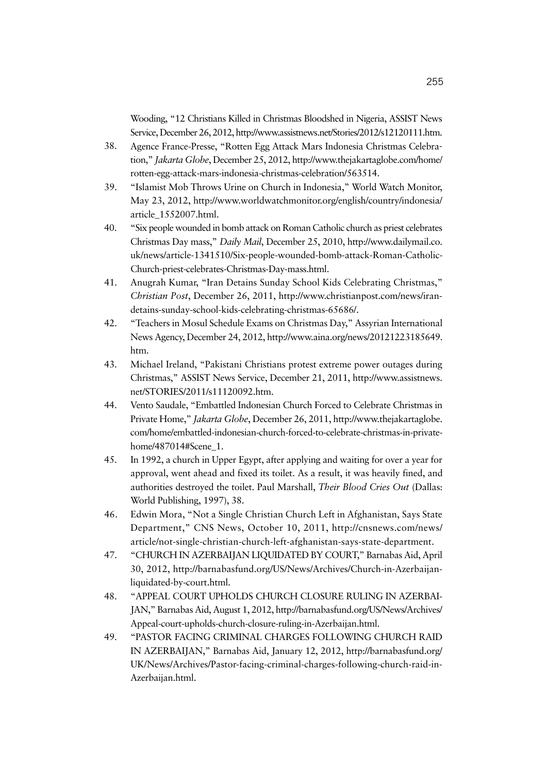Wooding, "12 Christians Killed in Christmas Bloodshed in Nigeria, ASSIST News Service, December 26, 2012, http://www.assistnews.net/Stories/2012/s12120111.htm.

- 38. Agence France-Presse, "Rotten Egg Attack Mars Indonesia Christmas Celebration," *Jakarta Globe*, December 25, 2012, http://www.thejakartaglobe.com/home/ rotten-egg-attack-mars-indonesia-christmas-celebration/563514.
- 39. "Islamist Mob Throws Urine on Church in Indonesia," World Watch Monitor, May 23, 2012, http://www.worldwatchmonitor.org/english/country/indonesia/ article\_1552007.html.
- 40. "Six people wounded in bomb attack on Roman Catholic church as priest celebrates Christmas Day mass," *Daily Mail*, December 25, 2010, http://www.dailymail.co. uk/news/article-1341510/Six-people-wounded-bomb-attack-Roman-Catholic-Church-priest-celebrates-Christmas-Day-mass.html.
- 41. Anugrah Kumar, "Iran Detains Sunday School Kids Celebrating Christmas," *Christian Post*, December 26, 2011, http://www.christianpost.com/news/irandetains-sunday-school-kids-celebrating-christmas-65686/.
- 42. "Teachers in Mosul Schedule Exams on Christmas Day," Assyrian International News Agency, December 24, 2012, http://www.aina.org/news/20121223185649. htm.
- 43. Michael Ireland, "Pakistani Christians protest extreme power outages during Christmas," ASSIST News Service, December 21, 2011, http://www.assistnews. net/STORIES/2011/s11120092.htm.
- 44. Vento Saudale, "Embattled Indonesian Church Forced to Celebrate Christmas in Private Home," *Jakarta Globe*, December 26, 2011, http://www.thejakartaglobe. com/home/embattled-indonesian-church-forced-to-celebrate-christmas-in-privatehome/487014#Scene\_1.
- 45. In 1992, a church in Upper Egypt, after applying and waiting for over a year for approval, went ahead and fixed its toilet. As a result, it was heavily fined, and authorities destroyed the toilet. Paul Marshall, *Their Blood Cries Out* (Dallas: World Publishing, 1997), 38.
- 46. Edwin Mora, "Not a Single Christian Church Left in Afghanistan, Says State Department," CNS News, October 10, 2011, http://cnsnews.com/news/ article/not-single-christian-church-left-afghanistan-says-state-department.
- 47. "CHURCH IN AZERBAIJAN LIQUIDATED BY COURT," Barnabas Aid, April 30, 2012, http://barnabasfund.org/US/News/Archives/Church-in-Azerbaijanliquidated-by-court.html.
- 48. "APPEAL COURT UPHOLDS CHURCH CLOSURE RULING IN AZERBAI-JAN," Barnabas Aid, August 1, 2012, http://barnabasfund.org/US/News/Archives/ Appeal-court-upholds-church-closure-ruling-in-Azerbaijan.html.
- 49. "PASTOR FACING CRIMINAL CHARGES FOLLOWING CHURCH RAID IN AZERBAIJAN," Barnabas Aid, January 12, 2012, http://barnabasfund.org/ UK/News/Archives/Pastor-facing-criminal-charges-following-church-raid-in-Azerbaijan.html.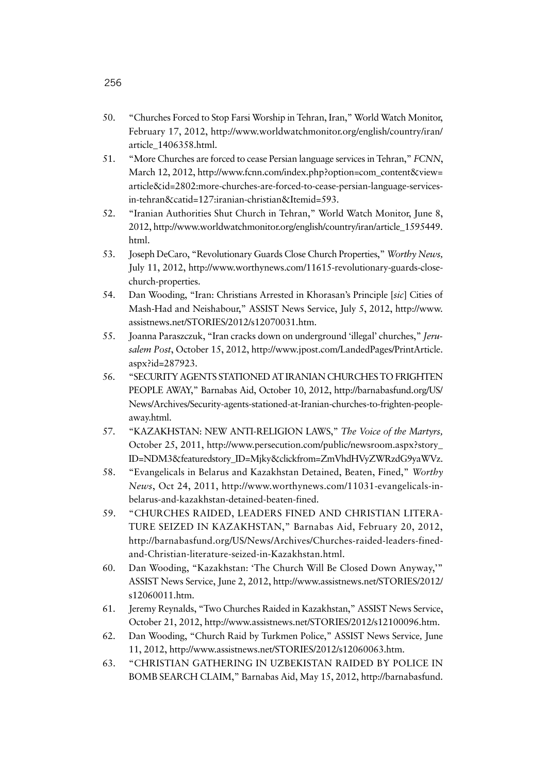- 50. "Churches Forced to Stop Farsi Worship in Tehran, Iran," World Watch Monitor, February 17, 2012, http://www.worldwatchmonitor.org/english/country/iran/ article\_1406358.html.
- 51. "More Churches are forced to cease Persian language services in Tehran," *FCNN*, March 12, 2012, http://www.fcnn.com/index.php?option=com\_content&view= article&id=2802:more-churches-are-forced-to-cease-persian-language-servicesin-tehran&catid=127:iranian-christian&Itemid=593.
- 52. "Iranian Authorities Shut Church in Tehran," World Watch Monitor, June 8, 2012, http://www.worldwatchmonitor.org/english/country/iran/article\_1595449. html.
- 53. Joseph DeCaro, "Revolutionary Guards Close Church Properties," *Worthy News,*  July 11, 2012, http://www.worthynews.com/11615-revolutionary-guards-closechurch-properties.
- 54. Dan Wooding, "Iran: Christians Arrested in Khorasan's Principle [*sic*] Cities of Mash-Had and Neishabour," ASSIST News Service, July 5, 2012, http://www. assistnews.net/STORIES/2012/s12070031.htm.
- 55. Joanna Paraszczuk, "Iran cracks down on underground 'illegal' churches," *Jerusalem Post*, October 15, 2012, http://www.jpost.com/LandedPages/PrintArticle. aspx?id=287923.
- 56. "SECURITY AGENTS STATIONED AT IRANIAN CHURCHES TO FRIGHTEN PEOPLE AWAY," Barnabas Aid, October 10, 2012, http://barnabasfund.org/US/ News/Archives/Security-agents-stationed-at-Iranian-churches-to-frighten-peopleaway.html.
- 57. "KAZAKHSTAN: NEW ANTI-RELIGION LAWS," *The Voice of the Martyrs,* October 25, 2011, http://www.persecution.com/public/newsroom.aspx?story\_ ID=NDM3&featuredstory\_ID=Mjky&clickfrom=ZmVhdHVyZWRzdG9yaWVz.
- 58. "Evangelicals in Belarus and Kazakhstan Detained, Beaten, Fined," *Worthy News*, Oct 24, 2011, http://www.worthynews.com/11031-evangelicals-inbelarus-and-kazakhstan-detained-beaten-fined.
- 59. "CHURCHES RAIDED, LEADERS FINED AND CHRISTIAN LITERA-TURE SEIZED IN KAZAKHSTAN," Barnabas Aid, February 20, 2012, http://barnabasfund.org/US/News/Archives/Churches-raided-leaders-finedand-Christian-literature-seized-in-Kazakhstan.html.
- 60. Dan Wooding, "Kazakhstan: 'The Church Will Be Closed Down Anyway,'" ASSIST News Service, June 2, 2012, http://www.assistnews.net/STORIES/2012/ s12060011.htm.
- 61. Jeremy Reynalds, "Two Churches Raided in Kazakhstan," ASSIST News Service, October 21, 2012, http://www.assistnews.net/STORIES/2012/s12100096.htm.
- 62. Dan Wooding, "Church Raid by Turkmen Police," ASSIST News Service*,* June 11, 2012, http://www.assistnews.net/STORIES/2012/s12060063.htm.
- 63. "CHRISTIAN GATHERING IN UZBEKISTAN RAIDED BY POLICE IN BOMB SEARCH CLAIM," Barnabas Aid, May 15, 2012, http://barnabasfund.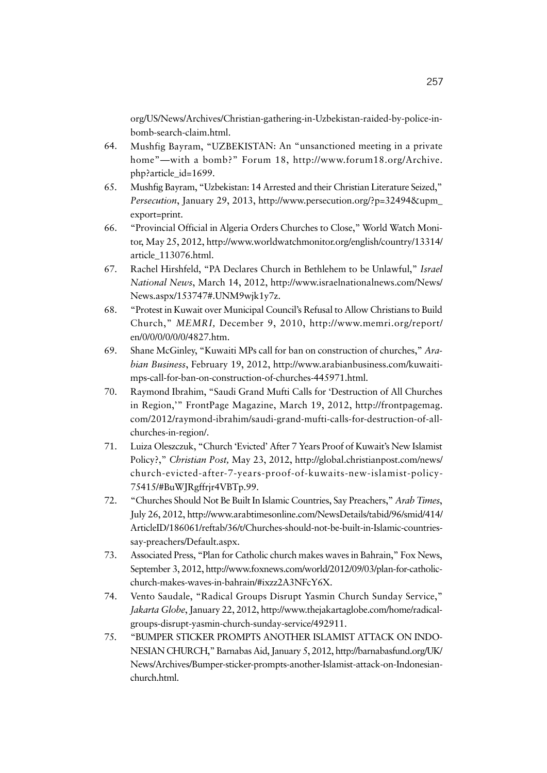org/US/News/Archives/Christian-gathering-in-Uzbekistan-raided-by-police-inbomb-search-claim.html.

- 64. Mushfig Bayram, "UZBEKISTAN: An "unsanctioned meeting in a private home"—with a bomb?" Forum 18, http://www.forum18.org/Archive. php?article\_id=1699.
- 65. Mushfig Bayram, "Uzbekistan: 14 Arrested and their Christian Literature Seized," *Persecution*, January 29, 2013, http://www.persecution.org/?p=32494&upm\_ export=print.
- 66. "Provincial Official in Algeria Orders Churches to Close," World Watch Monitor, May 25, 2012, http://www.worldwatchmonitor.org/english/country/13314/ article\_113076.html.
- 67. Rachel Hirshfeld, "PA Declares Church in Bethlehem to be Unlawful," *Israel National News*, March 14, 2012, http://www.israelnationalnews.com/News/ News.aspx/153747#.UNM9wjk1y7z.
- 68. "Protest in Kuwait over Municipal Council's Refusal to Allow Christians to Build Church," *MEMRI,* December 9, 2010, http://www.memri.org/report/ en/0/0/0/0/0/0/4827.htm.
- 69. Shane McGinley, "Kuwaiti MPs call for ban on construction of churches," *Arabian Business*, February 19, 2012, http://www.arabianbusiness.com/kuwaitimps-call-for-ban-on-construction-of-churches-445971.html.
- 70. Raymond Ibrahim, "Saudi Grand Mufti Calls for 'Destruction of All Churches in Region,'" FrontPage Magazine, March 19, 2012, http://frontpagemag. com/2012/raymond-ibrahim/saudi-grand-mufti-calls-for-destruction-of-allchurches-in-region/.
- 71. Luiza Oleszczuk, "Church 'Evicted' After 7 Years Proof of Kuwait's New Islamist Policy?," *Christian Post,* May 23, 2012, http://global.christianpost.com/news/ church-evicted-after-7-years-proof-of-kuwaits-new-islamist-policy-75415/#BuWJRgffrjr4VBTp.99.
- 72. "Churches Should Not Be Built In Islamic Countries, Say Preachers," *Arab Times*, July 26, 2012, http://www.arabtimesonline.com/NewsDetails/tabid/96/smid/414/ ArticleID/186061/reftab/36/t/Churches-should-not-be-built-in-Islamic-countriessay-preachers/Default.aspx.
- 73. Associated Press, "Plan for Catholic church makes waves in Bahrain," Fox News, September 3, 2012, http://www.foxnews.com/world/2012/09/03/plan-for-catholicchurch-makes-waves-in-bahrain/#ixzz2A3NFcY6X.
- 74. Vento Saudale, "Radical Groups Disrupt Yasmin Church Sunday Service," *Jakarta Globe*, January 22, 2012, http://www.thejakartaglobe.com/home/radicalgroups-disrupt-yasmin-church-sunday-service/492911.
- 75. "BUMPER STICKER PROMPTS ANOTHER ISLAMIST ATTACK ON INDO-NESIAN CHURCH," Barnabas Aid, January 5, 2012, http://barnabasfund.org/UK/ News/Archives/Bumper-sticker-prompts-another-Islamist-attack-on-Indonesianchurch.html.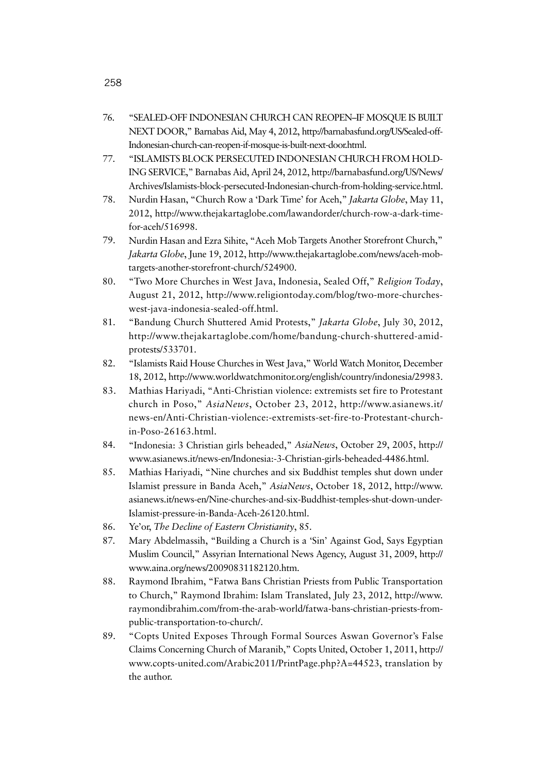- 76. "SEALED-OFF INDONESIAN CHURCH CAN REOPEN–IF MOSQUE IS BUILT NEXT DOOR," Barnabas Aid, May 4, 2012, http://barnabasfund.org/US/Sealed-off-Indonesian-church-can-reopen-if-mosque-is-built-next-door.html.
- 77. "ISLAMISTS BLOCK PERSECUTED INDONESIAN CHURCH FROM HOLD-ING SERVICE," Barnabas Aid, April 24, 2012, http://barnabasfund.org/US/News/ Archives/Islamists-block-persecuted-Indonesian-church-from-holding-service.html.
- 78. Nurdin Hasan, "Church Row a 'Dark Time' for Aceh," *Jakarta Globe*, May 11, 2012, http://www.thejakartaglobe.com/lawandorder/church-row-a-dark-timefor-aceh/516998.
- 79. Nurdin Hasan and Ezra Sihite, "Aceh Mob Targets Another Storefront Church," *Jakarta Globe*, June 19, 2012, http://www.thejakartaglobe.com/news/aceh-mobtargets-another-storefront-church/524900.
- 80. "Two More Churches in West Java, Indonesia, Sealed Off," *Religion Today*, August 21, 2012, http://www.religiontoday.com/blog/two-more-churcheswest-java-indonesia-sealed-off.html.
- 81. "Bandung Church Shuttered Amid Protests," *Jakarta Globe*, July 30, 2012, http://www.thejakartaglobe.com/home/bandung-church-shuttered-amidprotests/533701.
- 82. "Islamists Raid House Churches in West Java," World Watch Monitor, December 18, 2012, http://www.worldwatchmonitor.org/english/country/indonesia/29983.
- 83. Mathias Hariyadi, "Anti-Christian violence: extremists set fire to Protestant church in Poso," *AsiaNews*, October 23, 2012, http://www.asianews.it/ news-en/Anti-Christian-violence:-extremists-set-fire-to-Protestant-churchin-Poso-26163.html.
- 84. "Indonesia: 3 Christian girls beheaded," *AsiaNews*, October 29, 2005, http:// www.asianews.it/news-en/Indonesia:-3-Christian-girls-beheaded-4486.html.
- 85. Mathias Hariyadi, "Nine churches and six Buddhist temples shut down under Islamist pressure in Banda Aceh," *AsiaNews*, October 18, 2012, http://www. asianews.it/news-en/Nine-churches-and-six-Buddhist-temples-shut-down-under-Islamist-pressure-in-Banda-Aceh-26120.html.
- 86. Ye'or, *The Decline of Eastern Christianity*, 85.
- 87. Mary Abdelmassih, "Building a Church is a 'Sin' Against God, Says Egyptian Muslim Council," Assyrian International News Agency, August 31, 2009, http:// www.aina.org/news/20090831182120.htm.
- 88. Raymond Ibrahim, "Fatwa Bans Christian Priests from Public Transportation to Church," Raymond Ibrahim: Islam Translated, July 23, 2012, http://www. raymondibrahim.com/from-the-arab-world/fatwa-bans-christian-priests-frompublic-transportation-to-church/.
- 89. "Copts United Exposes Through Formal Sources Aswan Governor's False Claims Concerning Church of Maranib," Copts United, October 1, 2011, http:// www.copts-united.com/Arabic2011/PrintPage.php?A=44523, translation by the author.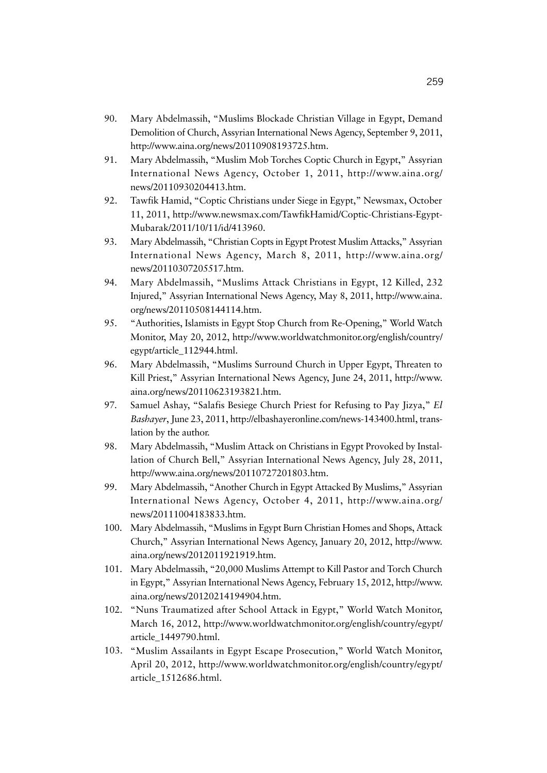- 90. Mary Abdelmassih, "Muslims Blockade Christian Village in Egypt, Demand Demolition of Church, Assyrian International News Agency, September 9, 2011, http://www.aina.org/news/20110908193725.htm.
- 91. Mary Abdelmassih, "Muslim Mob Torches Coptic Church in Egypt," Assyrian International News Agency, October 1, 2011, http://www.aina.org/ news/20110930204413.htm.
- 92. Tawfik Hamid, "Coptic Christians under Siege in Egypt," Newsmax, October 11, 2011, http://www.newsmax.com/TawfikHamid/Coptic-Christians-Egypt-Mubarak/2011/10/11/id/413960.
- 93. Mary Abdelmassih, "Christian Copts in Egypt Protest Muslim Attacks," Assyrian International News Agency, March 8, 2011, http://www.aina.org/ news/20110307205517.htm.
- 94. Mary Abdelmassih, "Muslims Attack Christians in Egypt, 12 Killed, 232 Injured," Assyrian International News Agency, May 8, 2011, http://www.aina. org/news/20110508144114.htm.
- 95. "Authorities, Islamists in Egypt Stop Church from Re-Opening," World Watch Monitor, May 20, 2012, http://www.worldwatchmonitor.org/english/country/ egypt/article\_112944.html.
- 96. Mary Abdelmassih, "Muslims Surround Church in Upper Egypt, Threaten to Kill Priest," Assyrian International News Agency, June 24, 2011, http://www. aina.org/news/20110623193821.htm.
- 97. Samuel Ashay, "Salafis Besiege Church Priest for Refusing to Pay Jizya," *El Bashayer*, June 23, 2011, http://elbashayeronline.com/news-143400.html, translation by the author.
- 98. Mary Abdelmassih, "Muslim Attack on Christians in Egypt Provoked by Installation of Church Bell," Assyrian International News Agency, July 28, 2011, http://www.aina.org/news/20110727201803.htm.
- 99. Mary Abdelmassih, "Another Church in Egypt Attacked By Muslims," Assyrian International News Agency, October 4, 2011, http://www.aina.org/ news/20111004183833.htm.
- 100. Mary Abdelmassih, "Muslims in Egypt Burn Christian Homes and Shops, Attack Church," Assyrian International News Agency, January 20, 2012, http://www. aina.org/news/2012011921919.htm.
- 101. Mary Abdelmassih, "20,000 Muslims Attempt to Kill Pastor and Torch Church in Egypt," Assyrian International News Agency, February 15, 2012, http://www. aina.org/news/20120214194904.htm.
- 102. "Nuns Traumatized after School Attack in Egypt," World Watch Monitor, March 16, 2012, http://www.worldwatchmonitor.org/english/country/egypt/ article\_1449790.html.
- 103. "Muslim Assailants in Egypt Escape Prosecution," World Watch Monitor, April 20, 2012, http://www.worldwatchmonitor.org/english/country/egypt/ article\_1512686.html.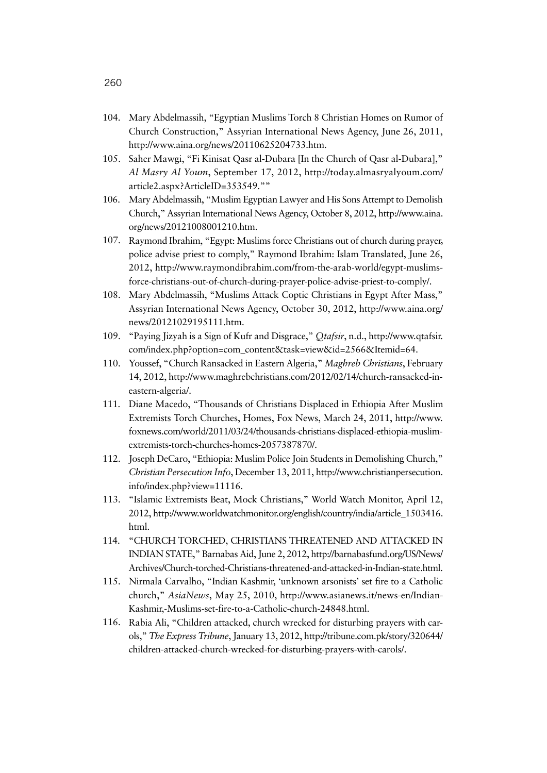- 104. Mary Abdelmassih, "Egyptian Muslims Torch 8 Christian Homes on Rumor of Church Construction," Assyrian International News Agency, June 26, 2011, http://www.aina.org/news/20110625204733.htm.
- 105. Saher Mawgi, "Fi Kinisat Qasr al-Dubara [In the Church of Qasr al-Dubara]," *Al Masry Al Youm*, September 17, 2012, http://today.almasryalyoum.com/ article2.aspx?ArticleID=353549.""
- 106. Mary Abdelmassih, "Muslim Egyptian Lawyer and His Sons Attempt to Demolish Church," Assyrian International News Agency, October 8, 2012, http://www.aina. org/news/20121008001210.htm.
- 107. Raymond Ibrahim, "Egypt: Muslims force Christians out of church during prayer, police advise priest to comply," Raymond Ibrahim: Islam Translated, June 26, 2012, http://www.raymondibrahim.com/from-the-arab-world/egypt-muslimsforce-christians-out-of-church-during-prayer-police-advise-priest-to-comply/.
- 108. Mary Abdelmassih, "Muslims Attack Coptic Christians in Egypt After Mass," Assyrian International News Agency, October 30, 2012, http://www.aina.org/ news/20121029195111.htm.
- 109. "Paying Jizyah is a Sign of Kufr and Disgrace," *Qtafsir*, n.d., http://www.qtafsir. com/index.php?option=com\_content&task=view&id=2566&Itemid=64.
- 110. Youssef, "Church Ransacked in Eastern Algeria," *Maghreb Christians*, February 14, 2012, http://www.maghrebchristians.com/2012/02/14/church-ransacked-ineastern-algeria/.
- 111. Diane Macedo, "Thousands of Christians Displaced in Ethiopia After Muslim Extremists Torch Churches, Homes, Fox News, March 24, 2011, http://www. foxnews.com/world/2011/03/24/thousands-christians-displaced-ethiopia-muslimextremists-torch-churches-homes-2057387870/.
- 112. Joseph DeCaro, "Ethiopia: Muslim Police Join Students in Demolishing Church," *Christian Persecution Info*, December 13, 2011, http://www.christianpersecution. info/index.php?view=11116.
- 113. "Islamic Extremists Beat, Mock Christians," World Watch Monitor, April 12, 2012, http://www.worldwatchmonitor.org/english/country/india/article\_1503416. html.
- 114. "CHURCH TORCHED, CHRISTIANS THREATENED AND ATTACKED IN INDIAN STATE," Barnabas Aid, June 2, 2012, http://barnabasfund.org/US/News/ Archives/Church-torched-Christians-threatened-and-attacked-in-Indian-state.html.
- 115. Nirmala Carvalho, "Indian Kashmir, 'unknown arsonists' set fire to a Catholic church," *AsiaNews*, May 25, 2010, http://www.asianews.it/news-en/Indian-Kashmir,-Muslims-set-fire-to-a-Catholic-church-24848.html.
- 116. Rabia Ali, "Children attacked, church wrecked for disturbing prayers with carols," *The Express Tribune*, January 13, 2012, http://tribune.com.pk/story/320644/ children-attacked-church-wrecked-for-disturbing-prayers-with-carols/.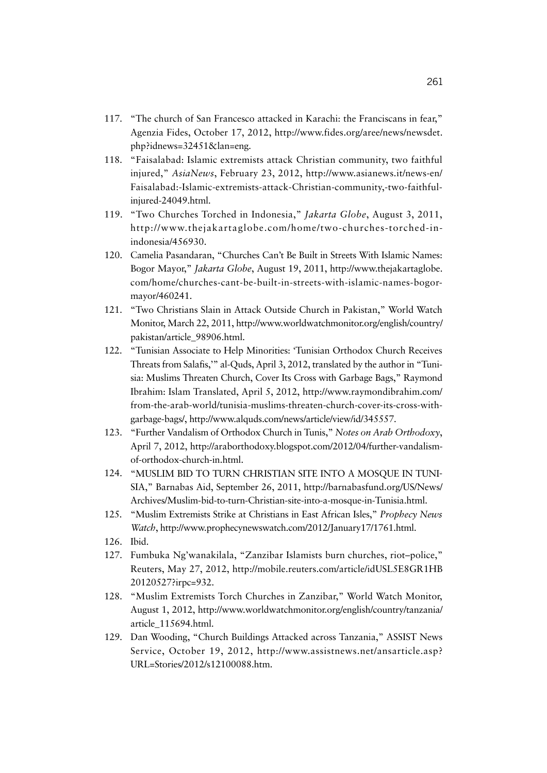- 117. "The church of San Francesco attacked in Karachi: the Franciscans in fear," Agenzia Fides, October 17, 2012, http://www.fides.org/aree/news/newsdet. php?idnews=32451&lan=eng.
- 118. "Faisalabad: Islamic extremists attack Christian community, two faithful injured," *AsiaNews*, February 23, 2012, http://www.asianews.it/news-en/ Faisalabad:-Islamic-extremists-attack-Christian-community,-two-faithfulinjured-24049.html.
- 119. "Two Churches Torched in Indonesia," *Jakarta Globe*, August 3, 2011, http://www.thejakartaglobe.com/home/two-churches-torched-inindonesia/456930.
- 120. Camelia Pasandaran, "Churches Can't Be Built in Streets With Islamic Names: Bogor Mayor," *Jakarta Globe*, August 19, 2011, http://www.thejakartaglobe. com/home/churches-cant-be-built-in-streets-with-islamic-names-bogormayor/460241.
- 121. "Two Christians Slain in Attack Outside Church in Pakistan," World Watch Monitor, March 22, 2011, http://www.worldwatchmonitor.org/english/country/ pakistan/article\_98906.html.
- 122. "Tunisian Associate to Help Minorities: 'Tunisian Orthodox Church Receives Threats from Salafis,'" al-Quds, April 3, 2012, translated by the author in "Tunisia: Muslims Threaten Church, Cover Its Cross with Garbage Bags," Raymond Ibrahim: Islam Translated, April 5, 2012, http://www.raymondibrahim.com/ from-the-arab-world/tunisia-muslims-threaten-church-cover-its-cross-withgarbage-bags/, http://www.alquds.com/news/article/view/id/345557.
- 123. "Further Vandalism of Orthodox Church in Tunis," *Notes on Arab Orthodoxy*, April 7, 2012, http://araborthodoxy.blogspot.com/2012/04/further-vandalismof-orthodox-church-in.html.
- 124. "MUSLIM BID TO TURN CHRISTIAN SITE INTO A MOSQUE IN TUNI-SIA," Barnabas Aid, September 26, 2011, http://barnabasfund.org/US/News/ Archives/Muslim-bid-to-turn-Christian-site-into-a-mosque-in-Tunisia.html.
- 125. "Muslim Extremists Strike at Christians in East African Isles," *Prophecy News Watch*, http://www.prophecynewswatch.com/2012/January17/1761.html.
- 126. Ibid.
- 127. Fumbuka Ng'wanakilala, "Zanzibar Islamists burn churches, riot–police," Reuters, May 27, 2012, http://mobile.reuters.com/article/idUSL5E8GR1HB 20120527?irpc=932.
- 128. "Muslim Extremists Torch Churches in Zanzibar," World Watch Monitor, August 1, 2012, http://www.worldwatchmonitor.org/english/country/tanzania/ article\_115694.html.
- 129. Dan Wooding, "Church Buildings Attacked across Tanzania," ASSIST News Service, October 19, 2012, http://www.assistnews.net/ansarticle.asp? URL=Stories/2012/s12100088.htm.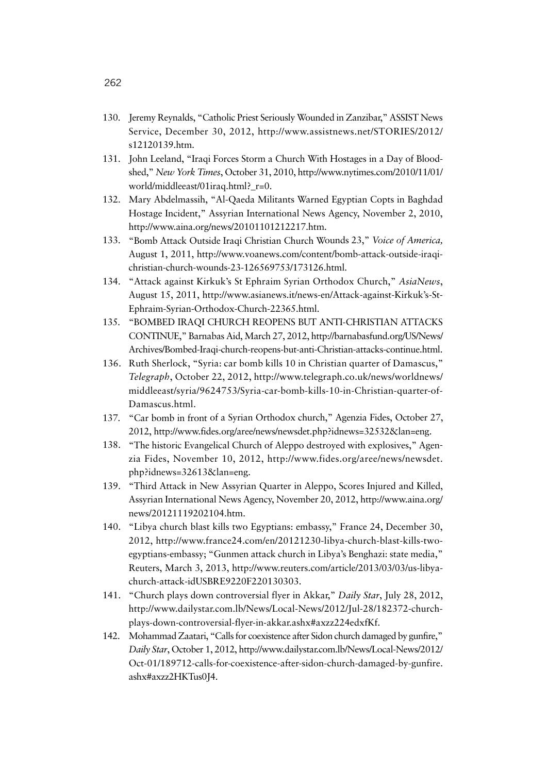- 130. Jeremy Reynalds, "Catholic Priest Seriously Wounded in Zanzibar," ASSIST News Service, December 30, 2012, http://www.assistnews.net/STORIES/2012/ s12120139.htm.
- 131. John Leeland, "Iraqi Forces Storm a Church With Hostages in a Day of Bloodshed," *New York Times*, October 31, 2010, http://www.nytimes.com/2010/11/01/ world/middleeast/01iraq.html?\_r=0.
- 132. Mary Abdelmassih, "Al-Qaeda Militants Warned Egyptian Copts in Baghdad Hostage Incident," Assyrian International News Agency, November 2, 2010, http://www.aina.org/news/20101101212217.htm.
- 133. "Bomb Attack Outside Iraqi Christian Church Wounds 23," *Voice of America,*  August 1, 2011, http://www.voanews.com/content/bomb-attack-outside-iraqichristian-church-wounds-23-126569753/173126.html.
- 134. "Attack against Kirkuk's St Ephraim Syrian Orthodox Church," *AsiaNews*, August 15, 2011, http://www.asianews.it/news-en/Attack-against-Kirkuk's-St-Ephraim-Syrian-Orthodox-Church-22365.html.
- 135. "BOMBED IRAQI CHURCH REOPENS BUT ANTI-CHRISTIAN ATTACKS CONTINUE," Barnabas Aid, March 27, 2012, http://barnabasfund.org/US/News/ Archives/Bombed-Iraqi-church-reopens-but-anti-Christian-attacks-continue.html.
- 136. Ruth Sherlock, "Syria: car bomb kills 10 in Christian quarter of Damascus," *Telegraph*, October 22, 2012, http://www.telegraph.co.uk/news/worldnews/ middleeast/syria/9624753/Syria-car-bomb-kills-10-in-Christian-quarter-of-Damascus.html.
- 137. "Car bomb in front of a Syrian Orthodox church," Agenzia Fides, October 27, 2012, http://www.fides.org/aree/news/newsdet.php?idnews=32532&lan=eng.
- 138. "The historic Evangelical Church of Aleppo destroyed with explosives," Agenzia Fides, November 10, 2012, http://www.fides.org/aree/news/newsdet. php?idnews=32613&lan=eng.
- 139. "Third Attack in New Assyrian Quarter in Aleppo, Scores Injured and Killed, Assyrian International News Agency, November 20, 2012, http://www.aina.org/ news/20121119202104.htm.
- 140. "Libya church blast kills two Egyptians: embassy," France 24, December 30, 2012, http://www.france24.com/en/20121230-libya-church-blast-kills-twoegyptians-embassy; "Gunmen attack church in Libya's Benghazi: state media," Reuters, March 3, 2013, http://www.reuters.com/article/2013/03/03/us-libyachurch-attack-idUSBRE9220F220130303.
- 141. "Church plays down controversial flyer in Akkar," *Daily Star*, July 28, 2012, http://www.dailystar.com.lb/News/Local-News/2012/Jul-28/182372-churchplays-down-controversial-flyer-in-akkar.ashx#axzz224edxfKf.
- 142. Mohammad Zaatari, "Calls for coexistence after Sidon church damaged by gunfire," *Daily Star*, October 1, 2012, http://www.dailystar.com.lb/News/Local-News/2012/ Oct-01/189712-calls-for-coexistence-after-sidon-church-damaged-by-gunfire. ashx#axzz2HKTus0J4.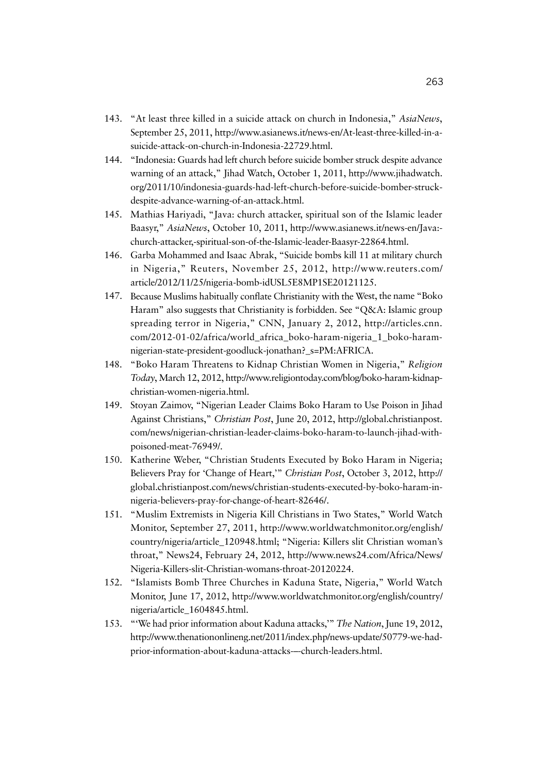- 143. "At least three killed in a suicide attack on church in Indonesia," *AsiaNews*, September 25, 2011, http://www.asianews.it/news-en/At-least-three-killed-in-asuicide-attack-on-church-in-Indonesia-22729.html.
- 144. "Indonesia: Guards had left church before suicide bomber struck despite advance warning of an attack," Jihad Watch, October 1, 2011, http://www.jihadwatch. org/2011/10/indonesia-guards-had-left-church-before-suicide-bomber-struckdespite-advance-warning-of-an-attack.html.
- 145. Mathias Hariyadi, "Java: church attacker, spiritual son of the Islamic leader Baasyr," *AsiaNews*, October 10, 2011, http://www.asianews.it/news-en/Java: church-attacker,-spiritual-son-of-the-Islamic-leader-Baasyr-22864.html.
- 146. Garba Mohammed and Isaac Abrak, "Suicide bombs kill 11 at military church in Nigeria," Reuters, November 25, 2012, http://www.reuters.com/ article/2012/11/25/nigeria-bomb-idUSL5E8MP1SE20121125.
- 147. Because Muslims habitually conflate Christianity with the West, the name "Boko Haram" also suggests that Christianity is forbidden. See "Q&A: Islamic group spreading terror in Nigeria," CNN, January 2, 2012, http://articles.cnn. com/2012-01-02/africa/world\_africa\_boko-haram-nigeria\_1\_boko-haramnigerian-state-president-goodluck-jonathan?\_s=PM:AFRICA.
- 148. "Boko Haram Threatens to Kidnap Christian Women in Nigeria," *Religion Today*, March 12, 2012, http://www.religiontoday.com/blog/boko-haram-kidnapchristian-women-nigeria.html.
- 149. Stoyan Zaimov, "Nigerian Leader Claims Boko Haram to Use Poison in Jihad Against Christians," *Christian Post*, June 20, 2012, http://global.christianpost. com/news/nigerian-christian-leader-claims-boko-haram-to-launch-jihad-withpoisoned-meat-76949/.
- 150. Katherine Weber, "Christian Students Executed by Boko Haram in Nigeria; Believers Pray for 'Change of Heart,'" *Christian Post*, October 3, 2012, http:// global.christianpost.com/news/christian-students-executed-by-boko-haram-innigeria-believers-pray-for-change-of-heart-82646/.
- 151. "Muslim Extremists in Nigeria Kill Christians in Two States," World Watch Monitor, September 27, 2011, http://www.worldwatchmonitor.org/english/ country/nigeria/article\_120948.html; "Nigeria: Killers slit Christian woman's throat," News24, February 24, 2012, http://www.news24.com/Africa/News/ Nigeria-Killers-slit-Christian-womans-throat-20120224.
- 152. "Islamists Bomb Three Churches in Kaduna State, Nigeria," World Watch Monitor, June 17, 2012, http://www.worldwatchmonitor.org/english/country/ nigeria/article\_1604845.html.
- 153. "'We had prior information about Kaduna attacks,'" *The Nation*,June 19, 2012, http://www.thenationonlineng.net/2011/index.php/news-update/50779-we-hadprior-information-about-kaduna-attacks-–-church-leaders.html.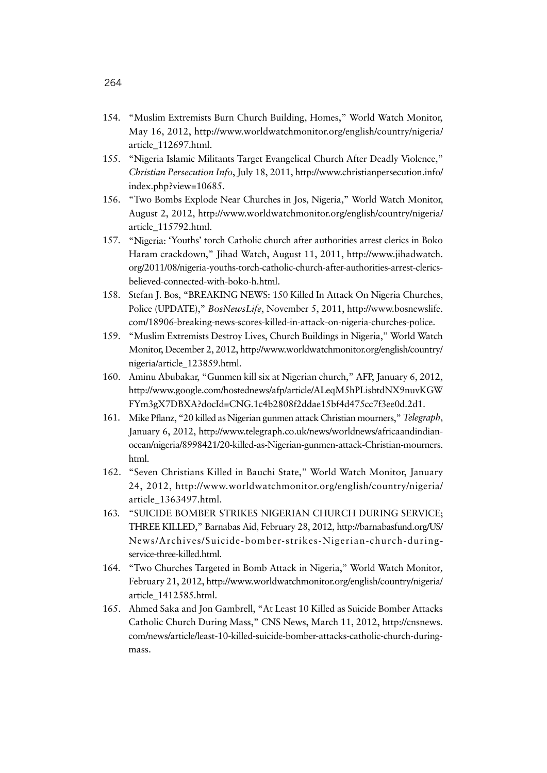- 154. "Muslim Extremists Burn Church Building, Homes," World Watch Monitor, May 16, 2012, http://www.worldwatchmonitor.org/english/country/nigeria/ article\_112697.html.
- 155. "Nigeria Islamic Militants Target Evangelical Church After Deadly Violence," *Christian Persecution Info*, July 18, 2011, http://www.christianpersecution.info/ index.php?view=10685.
- 156. "Two Bombs Explode Near Churches in Jos, Nigeria," World Watch Monitor, August 2, 2012, http://www.worldwatchmonitor.org/english/country/nigeria/ article\_115792.html.
- 157. "Nigeria: 'Youths' torch Catholic church after authorities arrest clerics in Boko Haram crackdown," Jihad Watch, August 11, 2011, http://www.jihadwatch. org/2011/08/nigeria-youths-torch-catholic-church-after-authorities-arrest-clericsbelieved-connected-with-boko-h.html.
- 158. Stefan J. Bos, "BREAKING NEWS: 150 Killed In Attack On Nigeria Churches, Police (UPDATE)," *BosNewsLife*, November 5, 2011, http://www.bosnewslife. com/18906-breaking-news-scores-killed-in-attack-on-nigeria-churches-police.
- 159. "Muslim Extremists Destroy Lives, Church Buildings in Nigeria," World Watch Monitor, December 2, 2012, http://www.worldwatchmonitor.org/english/country/ nigeria/article\_123859.html.
- 160. Aminu Abubakar, "Gunmen kill six at Nigerian church," AFP, January 6, 2012, http://www.google.com/hostednews/afp/article/ALeqM5hPLisbtdNX9nuvKGW FYm3gX7DBXA?docId=CNG.1c4b2808f2ddae15bf4d475cc7f3ee0d.2d1.
- 161. Mike Pflanz, "20 killed as Nigerian gunmen attack Christian mourners," *Telegraph*, January 6, 2012, http://www.telegraph.co.uk/news/worldnews/africaandindianocean/nigeria/8998421/20-killed-as-Nigerian-gunmen-attack-Christian-mourners. html.
- 162. "Seven Christians Killed in Bauchi State," World Watch Monitor, January 24, 2012, http://www.worldwatchmonitor.org/english/country/nigeria/ article\_1363497.html.
- 163. "SUICIDE BOMBER STRIKES NIGERIAN CHURCH DURING SERVICE; THREE KILLED," Barnabas Aid, February 28, 2012, http://barnabasfund.org/US/ News/Archives/Suicide-bomber-strikes-Nigerian-church-duringservice-three-killed.html.
- 164. "Two Churches Targeted in Bomb Attack in Nigeria," World Watch Monitor*,*  February 21, 2012, http://www.worldwatchmonitor.org/english/country/nigeria/ article\_1412585.html.
- 165. Ahmed Saka and Jon Gambrell, "At Least 10 Killed as Suicide Bomber Attacks Catholic Church During Mass," CNS News, March 11, 2012, http://cnsnews. com/news/article/least-10-killed-suicide-bomber-attacks-catholic-church-duringmass.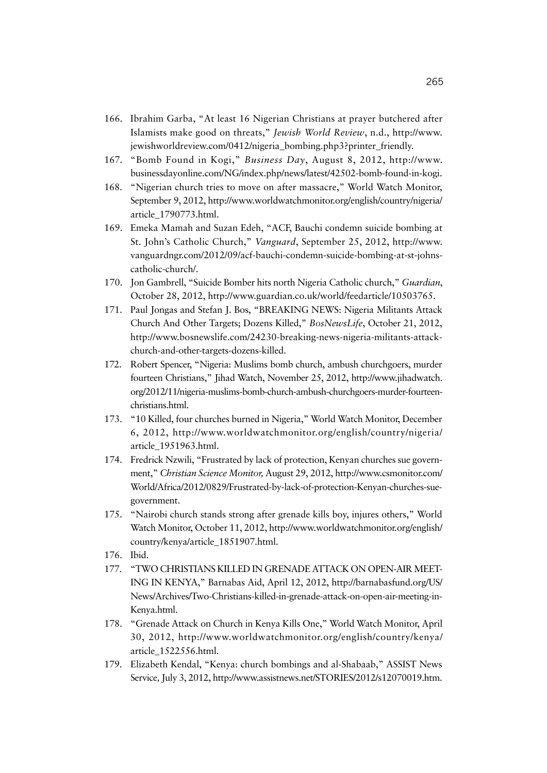- 166. Ibrahim Garba, "At least 16 Nigerian Christians at prayer butchered after Islamists make good on threats," *Jewish World Review*, n.d., http://www. jewishworldreview.com/0412/nigeria\_bombing.php3?printer\_friendly.
- 167. "Bomb Found in Kogi," *Business Day*, August 8, 2012, http://www. businessdayonline.com/NG/index.php/news/latest/42502-bomb-found-in-kogi.
- 168. "Nigerian church tries to move on after massacre," World Watch Monitor, September 9, 2012, http://www.worldwatchmonitor.org/english/country/nigeria/ article\_1790773.html.
- 169. Emeka Mamah and Suzan Edeh, "ACF, Bauchi condemn suicide bombing at St. John's Catholic Church," *Vanguard*, September 25, 2012, http://www. vanguardngr.com/2012/09/acf-bauchi-condemn-suicide-bombing-at-st-johnscatholic-church/.
- 170. Jon Gambrell, "Suicide Bomber hits north Nigeria Catholic church," *Guardian*, October 28, 2012, http://www.guardian.co.uk/world/feedarticle/10503765.
- 171. Paul Jongas and Stefan J. Bos, "BREAKING NEWS: Nigeria Militants Attack Church And Other Targets; Dozens Killed," *BosNewsLife*, October 21, 2012, http://www.bosnewslife.com/24230-breaking-news-nigeria-militants-attackchurch-and-other-targets-dozens-killed.
- 172. Robert Spencer, "Nigeria: Muslims bomb church, ambush churchgoers, murder fourteen Christians," Jihad Watch, November 25, 2012, http://www.jihadwatch. org/2012/11/nigeria-muslims-bomb-church-ambush-churchgoers-murder-fourteenchristians.html.
- 173. "10 Killed, four churches burned in Nigeria," World Watch Monitor, December 6, 2012, http://www.worldwatchmonitor.org/english/country/nigeria/ article\_1951963.html.
- 174. Fredrick Nzwili, "Frustrated by lack of protection, Kenyan churches sue government," *Christian Science Monitor,* August 29, 2012, http://www.csmonitor.com/ World/Africa/2012/0829/Frustrated-by-lack-of-protection-Kenyan-churches-suegovernment.
- 175. "Nairobi church stands strong after grenade kills boy, injures others," World Watch Monitor, October 11, 2012, http://www.worldwatchmonitor.org/english/ country/kenya/article\_1851907.html.
- 176. Ibid.
- 177. "TWO CHRISTIANS KILLED IN GRENADE ATTACK ON OPEN-AIR MEET-ING IN KENYA," Barnabas Aid, April 12, 2012, http://barnabasfund.org/US/ News/Archives/Two-Christians-killed-in-grenade-attack-on-open-air-meeting-in-Kenya.html.
- 178. "Grenade Attack on Church in Kenya Kills One," World Watch Monitor, April 30, 2012, http://www.worldwatchmonitor.org/english/country/kenya/ article\_1522556.html.
- 179. Elizabeth Kendal, "Kenya: church bombings and al-Shabaab," ASSIST News Service*,* July 3, 2012, http://www.assistnews.net/STORIES/2012/s12070019.htm.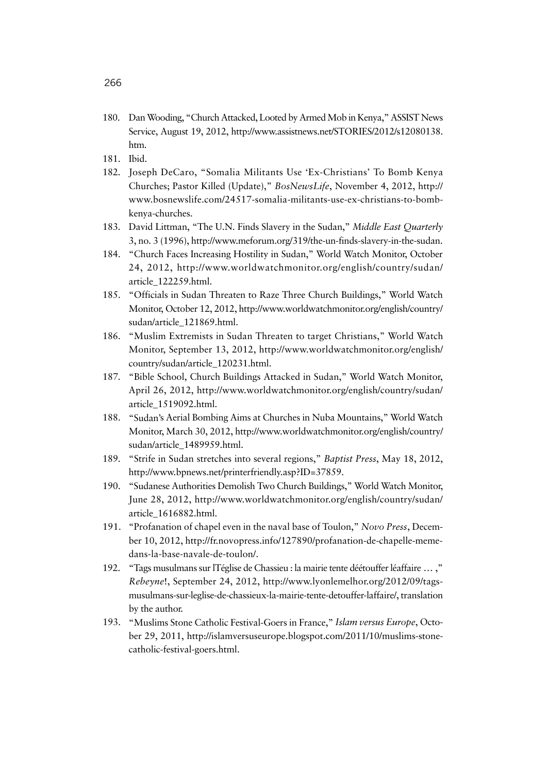- 180. Dan Wooding, "Church Attacked, Looted by Armed Mob in Kenya," ASSIST News Service, August 19, 2012, http://www.assistnews.net/STORIES/2012/s12080138. htm.
- 181. Ibid.
- 182. Joseph DeCaro, "Somalia Militants Use 'Ex-Christians' To Bomb Kenya Churches; Pastor Killed (Update)," *BosNewsLife*, November 4, 2012, http:// www.bosnewslife.com/24517-somalia-militants-use-ex-christians-to-bombkenya-churches.
- 183. David Littman, "The U.N. Finds Slavery in the Sudan," *Middle East Quarterly*  3, no. 3 (1996), http://www.meforum.org/319/the-un-finds-slavery-in-the-sudan.
- 184. "Church Faces Increasing Hostility in Sudan," World Watch Monitor, October 24, 2012, http://www.worldwatchmonitor.org/english/country/sudan/ article\_122259.html.
- 185. "Officials in Sudan Threaten to Raze Three Church Buildings," World Watch Monitor, October 12, 2012, http://www.worldwatchmonitor.org/english/country/ sudan/article\_121869.html.
- 186. "Muslim Extremists in Sudan Threaten to target Christians," World Watch Monitor, September 13, 2012, http://www.worldwatchmonitor.org/english/ country/sudan/article\_120231.html.
- 187. "Bible School, Church Buildings Attacked in Sudan," World Watch Monitor, April 26, 2012, http://www.worldwatchmonitor.org/english/country/sudan/ article\_1519092.html.
- 188. "Sudan's Aerial Bombing Aims at Churches in Nuba Mountains," World Watch Monitor, March 30, 2012, http://www.worldwatchmonitor.org/english/country/ sudan/article\_1489959.html.
- 189. "Strife in Sudan stretches into several regions," *Baptist Press*, May 18, 2012, http://www.bpnews.net/printerfriendly.asp?ID=37859.
- 190. "Sudanese Authorities Demolish Two Church Buildings," World Watch Monitor, June 28, 2012, http://www.worldwatchmonitor.org/english/country/sudan/ article\_1616882.html.
- 191. "Profanation of chapel even in the naval base of Toulon," *Novo Press*, December 10, 2012, http://fr.novopress.info/127890/profanation-de-chapelle-memedans-la-base-navale-de-toulon/.
- 192. "Tags musulmans sur lTéglise de Chassieu : la mairie tente déétouffer léaffaire ... ," *Rebeyne*!, September 24, 2012, http://www.lyonlemelhor.org/2012/09/tagsmusulmans-sur-leglise-de-chassieux-la-mairie-tente-detouffer-laffaire/, translation by the author.
- 193. "Muslims Stone Catholic Festival-Goers in France," *Islam versus Europe*, October 29, 2011, http://islamversuseurope.blogspot.com/2011/10/muslims-stonecatholic-festival-goers.html.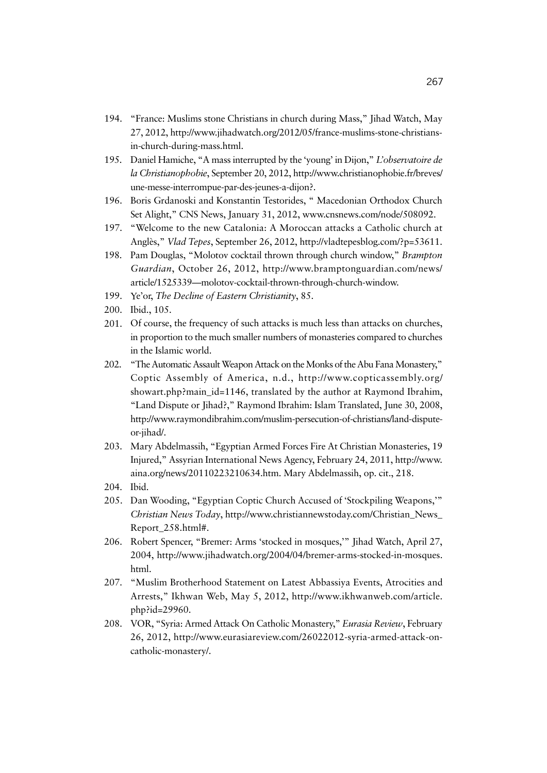- 194. "France: Muslims stone Christians in church during Mass," Jihad Watch, May 27, 2012, http://www.jihadwatch.org/2012/05/france-muslims-stone-christiansin-church-during-mass.html.
- 195. Daniel Hamiche, "A mass interrupted by the 'young' in Dijon," *L'observatoire de la Christianophobie*, September 20, 2012, http://www.christianophobie.fr/breves/ une-messe-interrompue-par-des-jeunes-a-dijon?.
- 196. Boris Grdanoski and Konstantin Testorides, " Macedonian Orthodox Church Set Alight," CNS News, January 31, 2012, www.cnsnews.com/node/508092.
- 197. "Welcome to the new Catalonia: A Moroccan attacks a Catholic church at Anglès," *Vlad Tepes*, September 26, 2012, http://vladtepesblog.com/?p=53611.
- 198. Pam Douglas, "Molotov cocktail thrown through church window," *Brampton Guardian*, October 26, 2012, http://www.bramptonguardian.com/news/ article/1525339—molotov-cocktail-thrown-through-church-window.
- 199. Ye'or, *The Decline of Eastern Christianity*, 85.
- 200. Ibid., 105.
- 201. Of course, the frequency of such attacks is much less than attacks on churches, in proportion to the much smaller numbers of monasteries compared to churches in the Islamic world.
- 202. "The Automatic Assault Weapon Attack on the Monks of the Abu Fana Monastery," Coptic Assembly of America, n.d., http://www.copticassembly.org/ showart.php?main\_id=1146, translated by the author at Raymond Ibrahim, "Land Dispute or Jihad?," Raymond Ibrahim: Islam Translated, June 30, 2008, http://www.raymondibrahim.com/muslim-persecution-of-christians/land-disputeor-jihad/.
- 203. Mary Abdelmassih, "Egyptian Armed Forces Fire At Christian Monasteries, 19 Injured," Assyrian International News Agency, February 24, 2011, http://www. aina.org/news/20110223210634.htm. Mary Abdelmassih, op. cit., 218.
- 204. Ibid.
- 205. Dan Wooding, "Egyptian Coptic Church Accused of 'Stockpiling Weapons,'" *Christian News Today*, http://www.christiannewstoday.com/Christian\_News\_ Report\_258.html#.
- 206. Robert Spencer, "Bremer: Arms 'stocked in mosques,'" Jihad Watch, April 27, 2004, http://www.jihadwatch.org/2004/04/bremer-arms-stocked-in-mosques. html.
- 207. "Muslim Brotherhood Statement on Latest Abbassiya Events, Atrocities and Arrests," Ikhwan Web, May 5, 2012, http://www.ikhwanweb.com/article. php?id=29960.
- 208. VOR, "Syria: Armed Attack On Catholic Monastery," *Eurasia Review*, February 26, 2012, http://www.eurasiareview.com/26022012-syria-armed-attack-oncatholic-monastery/.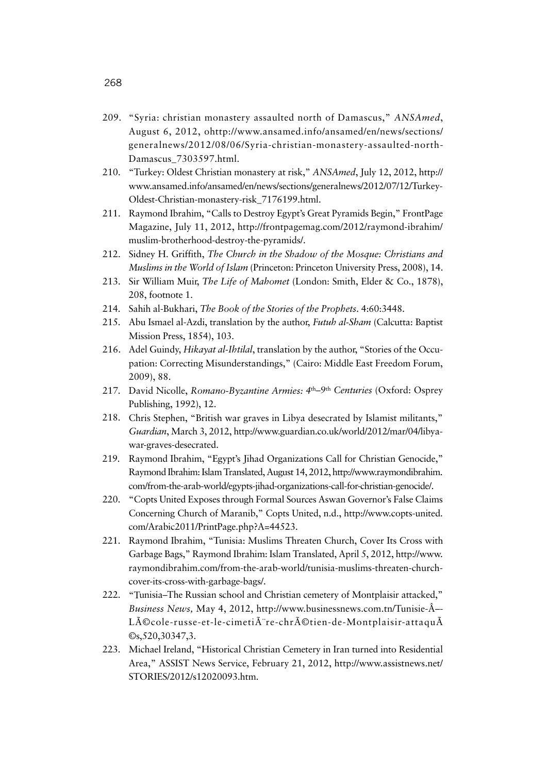- 209. "Syria: christian monastery assaulted north of Damascus," *ANSAmed*, August 6, 2012, ohttp://www.ansamed.info/ansamed/en/news/sections/ generalnews/2012/08/06/Syria-christian-monastery-assaulted-north-Damascus\_7303597.html.
- 210. "Turkey: Oldest Christian monastery at risk," *ANSAmed*, July 12, 2012, http:// www.ansamed.info/ansamed/en/news/sections/generalnews/2012/07/12/Turkey-Oldest-Christian-monastery-risk\_7176199.html.
- 211. Raymond Ibrahim, "Calls to Destroy Egypt's Great Pyramids Begin," FrontPage Magazine, July 11, 2012, http://frontpagemag.com/2012/raymond-ibrahim/ muslim-brotherhood-destroy-the-pyramids/.
- 212. Sidney H. Griffith, *The Church in the Shadow of the Mosque: Christians and Muslims in the World of Islam* (Princeton: Princeton University Press, 2008), 14.
- 213. Sir William Muir, *The Life of Mahomet* (London: Smith, Elder & Co., 1878), 208, footnote 1.
- 214. Sahih al-Bukhari, *The Book of the Stories of the Prophets*. 4:60:3448.
- 215. Abu Ismael al-Azdi, translation by the author, *Futuh al-Sham* (Calcutta: Baptist Mission Press, 1854), 103.
- 216. Adel Guindy, *Hikayat al-Ihtilal*, translation by the author, "Stories of the Occupation: Correcting Misunderstandings," (Cairo: Middle East Freedom Forum, 2009), 88.
- 217. David Nicolle, *Romano-Byzantine Armies: 4*th*–9*th *Centuries* (Oxford: Osprey Publishing, 1992), 12.
- 218. Chris Stephen, "British war graves in Libya desecrated by Islamist militants," *Guardian*, March 3, 2012, http://www.guardian.co.uk/world/2012/mar/04/libyawar-graves-desecrated.
- 219. Raymond Ibrahim, "Egypt's Jihad Organizations Call for Christian Genocide," Raymond Ibrahim: Islam Translated, August 14, 2012, http://www.raymondibrahim. com/from-the-arab-world/egypts-jihad-organizations-call-for-christian-genocide/.
- 220. "Copts United Exposes through Formal Sources Aswan Governor's False Claims Concerning Church of Maranib," Copts United, n.d., http://www.copts-united. com/Arabic2011/PrintPage.php?A=44523.
- 221. Raymond Ibrahim, "Tunisia: Muslims Threaten Church, Cover Its Cross with Garbage Bags," Raymond Ibrahim: Islam Translated, April 5, 2012, http://www. raymondibrahim.com/from-the-arab-world/tunisia-muslims-threaten-churchcover-its-cross-with-garbage-bags/.
- 222. "Tunisia–The Russian school and Christian cemetery of Montplaisir attacked," *Business News, May 4, 2012, http://www.businessnews.com.tn/Tunisie-Â--*Lécole-russe-et-le-cimetià re-chrétien-de-Montplaisir-attaquÃ ©s,520,30347,3.
- 223. Michael Ireland, "Historical Christian Cemetery in Iran turned into Residential Area," ASSIST News Service, February 21, 2012, http://www.assistnews.net/ STORIES/2012/s12020093.htm.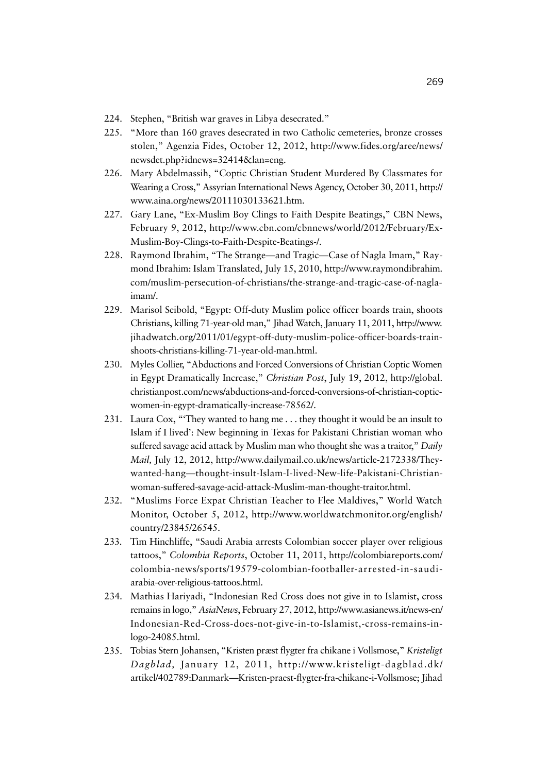- 224. Stephen, "British war graves in Libya desecrated."
- 225. "More than 160 graves desecrated in two Catholic cemeteries, bronze crosses stolen," Agenzia Fides, October 12, 2012, http://www.fides.org/aree/news/ newsdet.php?idnews=32414&lan=eng.
- 226. Mary Abdelmassih, "Coptic Christian Student Murdered By Classmates for Wearing a Cross," Assyrian International News Agency, October 30, 2011, http:// www.aina.org/news/20111030133621.htm.
- 227. Gary Lane, "Ex-Muslim Boy Clings to Faith Despite Beatings," CBN News, February 9, 2012, http://www.cbn.com/cbnnews/world/2012/February/Ex-Muslim-Boy-Clings-to-Faith-Despite-Beatings-/.
- 228. Raymond Ibrahim, "The Strange—and Tragic—Case of Nagla Imam," Raymond Ibrahim: Islam Translated, July 15, 2010, http://www.raymondibrahim. com/muslim-persecution-of-christians/the-strange-and-tragic-case-of-naglaimam/.
- 229. Marisol Seibold, "Egypt: Off-duty Muslim police officer boards train, shoots Christians, killing 71-year-old man," Jihad Watch, January 11, 2011, http://www. jihadwatch.org/2011/01/egypt-off-duty-muslim-police-officer-boards-trainshoots-christians-killing-71-year-old-man.html.
- 230. Myles Collier, "Abductions and Forced Conversions of Christian Coptic Women in Egypt Dramatically Increase," *Christian Post*, July 19, 2012, http://global. christianpost.com/news/abductions-and-forced-conversions-of-christian-copticwomen-in-egypt-dramatically-increase-78562/.
- 231. Laura Cox, "'They wanted to hang me . . . they thought it would be an insult to Islam if I lived': New beginning in Texas for Pakistani Christian woman who suffered savage acid attack by Muslim man who thought she was a traitor," *Daily Mail,* July 12, 2012, http://www.dailymail.co.uk/news/article-2172338/Theywanted-hang—thought-insult-Islam-I-lived-New-life-Pakistani-Christianwoman-suffered-savage-acid-attack-Muslim-man-thought-traitor.html.
- 232. "Muslims Force Expat Christian Teacher to Flee Maldives," World Watch Monitor, October 5, 2012, http://www.worldwatchmonitor.org/english/ country/23845/26545.
- 233. Tim Hinchliffe, "Saudi Arabia arrests Colombian soccer player over religious tattoos," *Colombia Reports*, October 11, 2011, http://colombiareports.com/ colombia-news/sports/19579-colombian-footballer-arrested-in-saudiarabia-over-religious-tattoos.html.
- 234. Mathias Hariyadi, "Indonesian Red Cross does not give in to Islamist, cross remains in logo," *AsiaNews*, February 27, 2012, http://www.asianews.it/news-en/ Indonesian-Red-Cross-does-not-give-in-to-Islamist,-cross-remains-inlogo-24085.html.
- 235. Tobias Stern Johansen, "Kristen præst flygter fra chikane i Vollsmose," *Kristeligt Dagblad,* January 12, 2011, http://www.kristeligt-dagblad.dk/ artikel/402789:Danmark—Kristen-praest-flygter-fra-chikane-i-Vollsmose; Jihad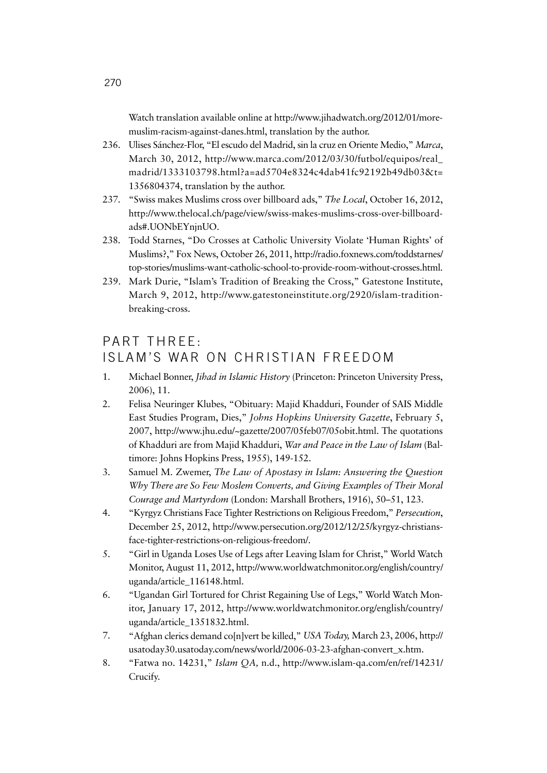Watch translation available online at http://www.jihadwatch.org/2012/01/moremuslim-racism-against-danes.html, translation by the author.

- 236. Ulises Sánchez-Flor, "El escudo del Madrid, sin la cruz en Oriente Medio," *Marca*, March 30, 2012, http://www.marca.com/2012/03/30/futbol/equipos/real\_ madrid/1333103798.html?a=ad5704e8324c4dab41fc92192b49db03&t= 1356804374, translation by the author.
- 237. "Swiss makes Muslims cross over billboard ads," *The Local*, October 16, 2012, http://www.thelocal.ch/page/view/swiss-makes-muslims-cross-over-billboardads#.UONbEYnjnUO.
- 238. Todd Starnes, "Do Crosses at Catholic University Violate 'Human Rights' of Muslims?," Fox News, October 26, 2011, http://radio.foxnews.com/toddstarnes/ top-stories/muslims-want-catholic-school-to-provide-room-without-crosses.html.
- 239. Mark Durie, "Islam's Tradition of Breaking the Cross," Gatestone Institute, March 9, 2012, http://www.gatestoneinstitute.org/2920/islam-traditionbreaking-cross.

## PART THREE: ISLAM'S WAR ON CHRISTIAN FREEDOM

- 1. Michael Bonner, *Jihad in Islamic History* (Princeton: Princeton University Press, 2006), 11.
- 2. Felisa Neuringer Klubes, "Obituary: Majid Khadduri, Founder of SAIS Middle East Studies Program, Dies," *Johns Hopkins University Gazette*, February 5, 2007, http://www.jhu.edu/~gazette/2007/05feb07/05obit.html. The quotations of Khadduri are from Majid Khadduri, *War and Peace in the Law of Islam* (Baltimore: Johns Hopkins Press, 1955), 149-152.
- 3. Samuel M. Zwemer, *The Law of Apostasy in Islam: Answering the Question Why There are So Few Moslem Converts, and Giving Examples of Their Moral Courage and Martyrdom* (London: Marshall Brothers, 1916), 50–51, 123.
- 4. "Kyrgyz Christians Face Tighter Restrictions on Religious Freedom," *Persecution*, December 25, 2012, http://www.persecution.org/2012/12/25/kyrgyz-christiansface-tighter-restrictions-on-religious-freedom/.
- 5. "Girl in Uganda Loses Use of Legs after Leaving Islam for Christ," World Watch Monitor, August 11, 2012, http://www.worldwatchmonitor.org/english/country/ uganda/article\_116148.html.
- 6. "Ugandan Girl Tortured for Christ Regaining Use of Legs," World Watch Monitor, January 17, 2012, http://www.worldwatchmonitor.org/english/country/ uganda/article\_1351832.html.
- 7. "Afghan clerics demand co[n]vert be killed," *USA Today,* March 23, 2006, http:// usatoday30.usatoday.com/news/world/2006-03-23-afghan-convert\_x.htm.
- 8. "Fatwa no. 14231," *Islam QA,* n.d., http://www.islam-qa.com/en/ref/14231/ Crucify.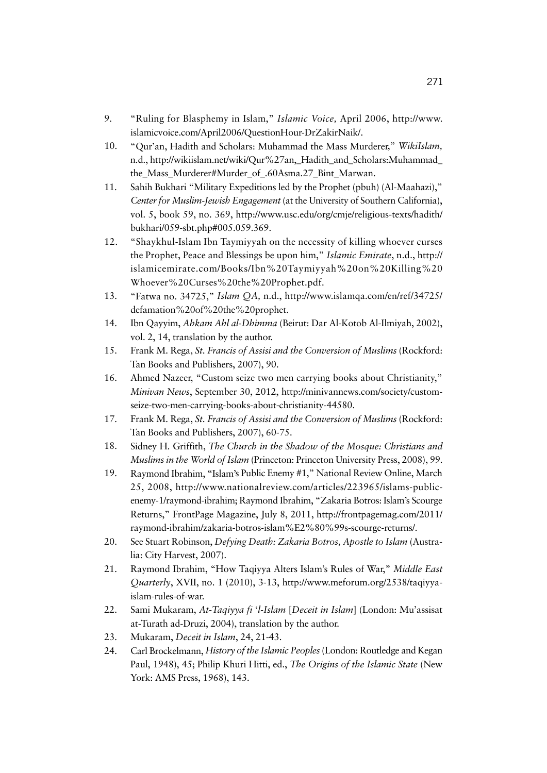- 9. "Ruling for Blasphemy in Islam," *Islamic Voice,* April 2006, http://www. islamicvoice.com/April2006/QuestionHour-DrZakirNaik/.
- 10. "Qur'an, Hadith and Scholars: Muhammad the Mass Murderer," *WikiIslam,*  n.d., http://wikiislam.net/wiki/Qur%27an, Hadith\_and\_Scholars:Muhammad the\_Mass\_Murderer#Murder\_of\_.60Asma.27\_Bint\_Marwan.
- 11. Sahih Bukhari "Military Expeditions led by the Prophet (pbuh) (Al-Maahazi)," *Center for Muslim-Jewish Engagement* (at the University of Southern California), vol. 5, book 59, no. 369, http://www.usc.edu/org/cmje/religious-texts/hadith/ bukhari/059-sbt.php#005.059.369.
- 12. "Shaykhul-Islam Ibn Taymiyyah on the necessity of killing whoever curses the Prophet, Peace and Blessings be upon him," *Islamic Emirate*, n.d., http:// islamicemirate.com/Books/Ibn%20Taymiyyah%20on%20Killing%20 Whoever%20Curses%20the%20Prophet.pdf.
- 13. "Fatwa no. 34725," *Islam QA,* n.d., http://www.islamqa.com/en/ref/34725/ defamation%20of%20the%20prophet.
- 14. Ibn Qayyim, *Ahkam Ahl al-Dhimma* (Beirut: Dar Al-Kotob Al-Ilmiyah, 2002), vol. 2, 14, translation by the author.
- 15. Frank M. Rega, *St. Francis of Assisi and the Conversion of Muslims* (Rockford: Tan Books and Publishers, 2007), 90.
- 16. Ahmed Nazeer, "Custom seize two men carrying books about Christianity," *Minivan News*, September 30, 2012, http://minivannews.com/society/customseize-two-men-carrying-books-about-christianity-44580.
- 17. Frank M. Rega, *St. Francis of Assisi and the Conversion of Muslims* (Rockford: Tan Books and Publishers, 2007), 60-75.
- 18. Sidney H. Griffith, *The Church in the Shadow of the Mosque: Christians and Muslims in the World of Islam* (Princeton: Princeton University Press, 2008), 99.
- 19. Raymond Ibrahim, "Islam's Public Enemy #1," National Review Online, March 25, 2008, http://www.nationalreview.com/articles/223965/islams-publicenemy-1/raymond-ibrahim; Raymond Ibrahim, "Zakaria Botros: Islam's Scourge Returns," FrontPage Magazine, July 8, 2011, http://frontpagemag.com/2011/ raymond-ibrahim/zakaria-botros-islam%E2%80%99s-scourge-returns/.
- 20. See Stuart Robinson, *Defying Death: Zakaria Botros, Apostle to Islam* (Australia: City Harvest, 2007).
- 21. Raymond Ibrahim, "How Taqiyya Alters Islam's Rules of War," *Middle East Quarterly*, XVII, no. 1 (2010), 3-13, http://www.meforum.org/2538/taqiyyaislam-rules-of-war.
- 22. Sami Mukaram, *At-Taqiyya fi* '*l-Islam* [*Deceit in Islam*] (London: Mu'assisat at-Turath ad-Druzi, 2004), translation by the author.
- 23. Mukaram, *Deceit in Islam*, 24, 21-43.
- 24. Carl Brockelmann, *History of the Islamic Peoples* (London: Routledge and Kegan Paul, 1948), 45; Philip Khuri Hitti, ed., *The Origins of the Islamic State* (New York: AMS Press, 1968), 143.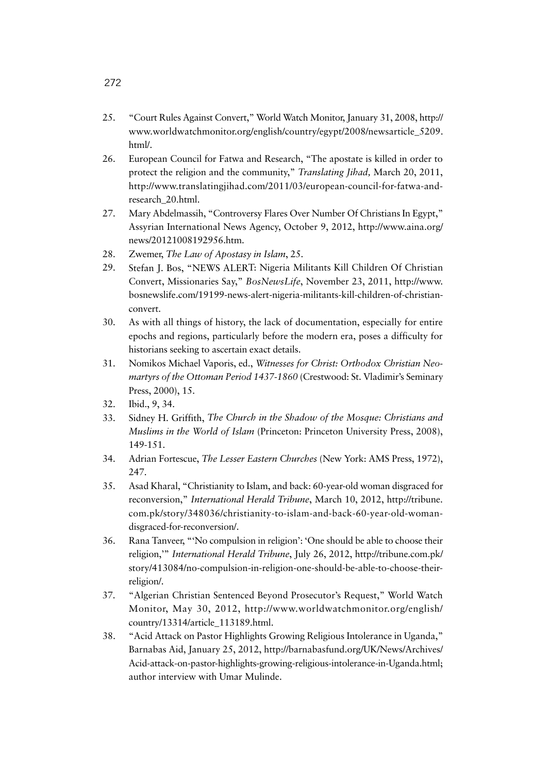- 25. "Court Rules Against Convert," World Watch Monitor, January 31, 2008, http:// www.worldwatchmonitor.org/english/country/egypt/2008/newsarticle\_5209. html/.
- 26. European Council for Fatwa and Research, "The apostate is killed in order to protect the religion and the community," *Translating Jihad,* March 20, 2011, http://www.translatingjihad.com/2011/03/european-council-for-fatwa-andresearch\_20.html.
- 27. Mary Abdelmassih, "Controversy Flares Over Number Of Christians In Egypt," Assyrian International News Agency, October 9, 2012, http://www.aina.org/ news/20121008192956.htm.
- 28. Zwemer, *The Law of Apostasy in Islam*, 25.
- 29. Stefan J. Bos, "NEWS ALERT: Nigeria Militants Kill Children Of Christian Convert, Missionaries Say," *BosNewsLife*, November 23, 2011, http://www. bosnewslife.com/19199-news-alert-nigeria-militants-kill-children-of-christianconvert.
- 30. As with all things of history, the lack of documentation, especially for entire epochs and regions, particularly before the modern era, poses a difficulty for historians seeking to ascertain exact details.
- 31. Nomikos Michael Vaporis, ed., *Witnesses for Christ: Orthodox Christian Neomartyrs of the Ottoman Period 1437-1860* (Crestwood: St. Vladimir's Seminary Press, 2000), 15.
- 32. Ibid., 9, 34.
- 33. Sidney H. Griffith, *The Church in the Shadow of the Mosque: Christians and Muslims in the World of Islam* (Princeton: Princeton University Press, 2008), 149-151.
- 34. Adrian Fortescue, *The Lesser Eastern Churches* (New York: AMS Press, 1972), 247.
- 35. Asad Kharal, "Christianity to Islam, and back: 60-year-old woman disgraced for reconversion," *International Herald Tribune*, March 10, 2012, http://tribune. com.pk/story/348036/christianity-to-islam-and-back-60-year-old-womandisgraced-for-reconversion/.
- 36. Rana Tanveer, "'No compulsion in religion': 'One should be able to choose their religion,'" *International Herald Tribune*, July 26, 2012, http://tribune.com.pk/ story/413084/no-compulsion-in-religion-one-should-be-able-to-choose-theirreligion/.
- 37. "Algerian Christian Sentenced Beyond Prosecutor's Request," World Watch Monitor, May 30, 2012, http://www.worldwatchmonitor.org/english/ country/13314/article\_113189.html.
- 38. "Acid Attack on Pastor Highlights Growing Religious Intolerance in Uganda," Barnabas Aid, January 25, 2012, http://barnabasfund.org/UK/News/Archives/ Acid-attack-on-pastor-highlights-growing-religious-intolerance-in-Uganda.html; author interview with Umar Mulinde.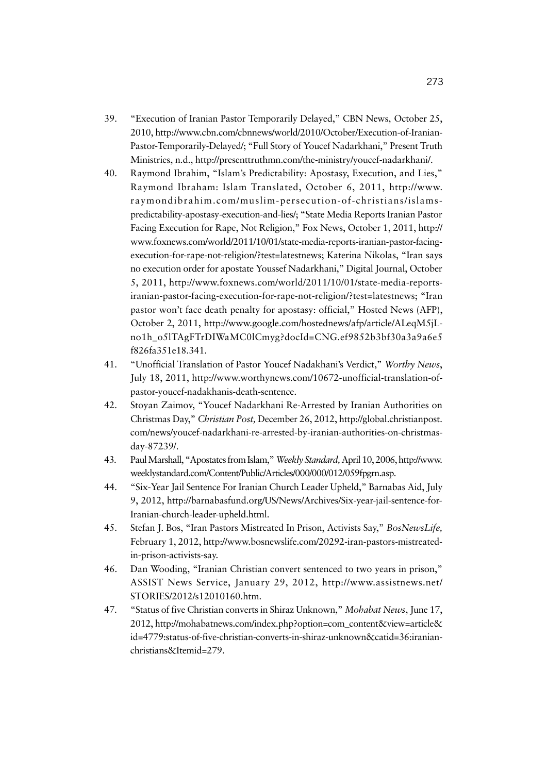- 39. "Execution of Iranian Pastor Temporarily Delayed," CBN News, October 25, 2010, http://www.cbn.com/cbnnews/world/2010/October/Execution-of-Iranian-Pastor-Temporarily-Delayed/; "Full Story of Youcef Nadarkhani," Present Truth Ministries, n.d., http://presenttruthmn.com/the-ministry/youcef-nadarkhani/.
- 40. Raymond Ibrahim, "Islam's Predictability: Apostasy, Execution, and Lies," Raymond Ibraham: Islam Translated, October 6, 2011, http://www. raymondibrahim.com/muslim-persecution-of-christians/islamspredictability-apostasy-execution-and-lies/; "State Media Reports Iranian Pastor Facing Execution for Rape, Not Religion," Fox News, October 1, 2011, http:// www.foxnews.com/world/2011/10/01/state-media-reports-iranian-pastor-facingexecution-for-rape-not-religion/?test=latestnews; Katerina Nikolas, "Iran says no execution order for apostate Youssef Nadarkhani," Digital Journal, October 5, 2011, http://www.foxnews.com/world/2011/10/01/state-media-reportsiranian-pastor-facing-execution-for-rape-not-religion/?test=latestnews; "Iran pastor won't face death penalty for apostasy: official," Hosted News (AFP), October 2, 2011, http://www.google.com/hostednews/afp/article/ALeqM5jLno1h\_o5lTAgFTrDIWaMC0lCmyg?docId=CNG.ef9852b3bf30a3a9a6e5 f826fa351e18.341.
- 41. "Unofficial Translation of Pastor Youcef Nadakhani's Verdict," *Worthy News*, July 18, 2011, http://www.worthynews.com/10672-unofficial-translation-ofpastor-youcef-nadakhanis-death-sentence.
- 42. Stoyan Zaimov, "Youcef Nadarkhani Re-Arrested by Iranian Authorities on Christmas Day," *Christian Post,* December 26, 2012, http://global.christianpost. com/news/youcef-nadarkhani-re-arrested-by-iranian-authorities-on-christmasday-87239/.
- 43. Paul Marshall, "Apostates from Islam," *Weekly Standard,* April 10, 2006, http://www. weeklystandard.com/Content/Public/Articles/000/000/012/059fpgrn.asp.
- 44. "Six-Year Jail Sentence For Iranian Church Leader Upheld," Barnabas Aid, July 9, 2012, http://barnabasfund.org/US/News/Archives/Six-year-jail-sentence-for-Iranian-church-leader-upheld.html.
- 45. Stefan J. Bos, "Iran Pastors Mistreated In Prison, Activists Say," *BosNewsLife,*  February 1, 2012, http://www.bosnewslife.com/20292-iran-pastors-mistreatedin-prison-activists-say.
- 46. Dan Wooding, "Iranian Christian convert sentenced to two years in prison," ASSIST News Service, January 29, 2012, http://www.assistnews.net/ STORIES/2012/s12010160.htm.
- 47. "Status of five Christian converts in Shiraz Unknown," *Mohabat News*, June 17, 2012, http://mohabatnews.com/index.php?option=com\_content&view=article& id=4779:status-of-five-christian-converts-in-shiraz-unknown&catid=36:iranianchristians&Itemid=279.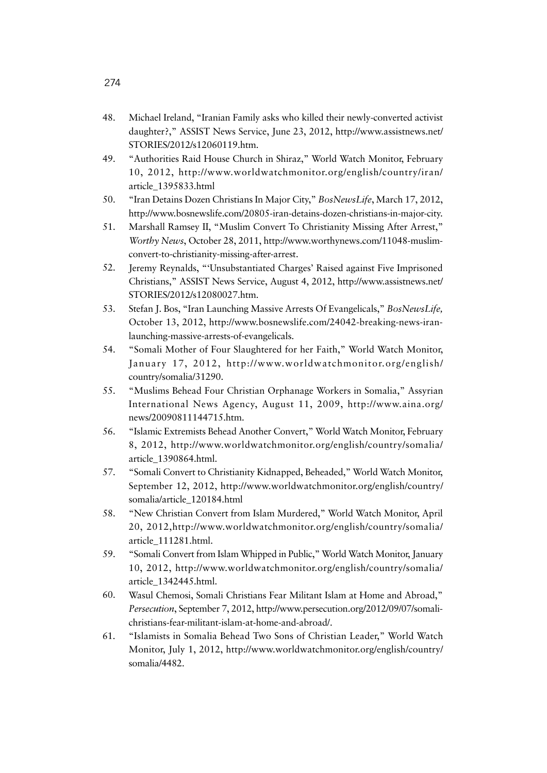- 48. Michael Ireland, "Iranian Family asks who killed their newly-converted activist daughter?," ASSIST News Service, June 23, 2012, http://www.assistnews.net/ STORIES/2012/s12060119.htm.
- 49. "Authorities Raid House Church in Shiraz," World Watch Monitor, February 10, 2012, http://www.worldwatchmonitor.org/english/country/iran/ article\_1395833.html
- 50. "Iran Detains Dozen Christians In Major City," *BosNewsLife*, March 17, 2012, http://www.bosnewslife.com/20805-iran-detains-dozen-christians-in-major-city.
- 51. Marshall Ramsey II, "Muslim Convert To Christianity Missing After Arrest," *Worthy News*, October 28, 2011, http://www.worthynews.com/11048-muslimconvert-to-christianity-missing-after-arrest.
- 52. Jeremy Reynalds, "'Unsubstantiated Charges' Raised against Five Imprisoned Christians," ASSIST News Service, August 4, 2012, http://www.assistnews.net/ STORIES/2012/s12080027.htm.
- 53. Stefan J. Bos, "Iran Launching Massive Arrests Of Evangelicals," *BosNewsLife,*  October 13, 2012, http://www.bosnewslife.com/24042-breaking-news-iranlaunching-massive-arrests-of-evangelicals.
- 54. "Somali Mother of Four Slaughtered for her Faith," World Watch Monitor, January 17, 2012, http://www.worldwatchmonitor.org/english/ country/somalia/31290.
- 55. "Muslims Behead Four Christian Orphanage Workers in Somalia," Assyrian International News Agency, August 11, 2009, http://www.aina.org/ news/20090811144715.htm.
- 56. "Islamic Extremists Behead Another Convert," World Watch Monitor, February 8, 2012, http://www.worldwatchmonitor.org/english/country/somalia/ article\_1390864.html.
- 57. "Somali Convert to Christianity Kidnapped, Beheaded," World Watch Monitor, September 12, 2012, http://www.worldwatchmonitor.org/english/country/ somalia/article\_120184.html
- 58. "New Christian Convert from Islam Murdered," World Watch Monitor, April 20, 2012,http://www.worldwatchmonitor.org/english/country/somalia/ article\_111281.html.
- 59. "Somali Convert from Islam Whipped in Public," World Watch Monitor, January 10, 2012, http://www.worldwatchmonitor.org/english/country/somalia/ article\_1342445.html.
- 60. Wasul Chemosi, Somali Christians Fear Militant Islam at Home and Abroad," *Persecution*, September 7, 2012, http://www.persecution.org/2012/09/07/somalichristians-fear-militant-islam-at-home-and-abroad/.
- 61. "Islamists in Somalia Behead Two Sons of Christian Leader," World Watch Monitor, July 1, 2012, http://www.worldwatchmonitor.org/english/country/ somalia/4482.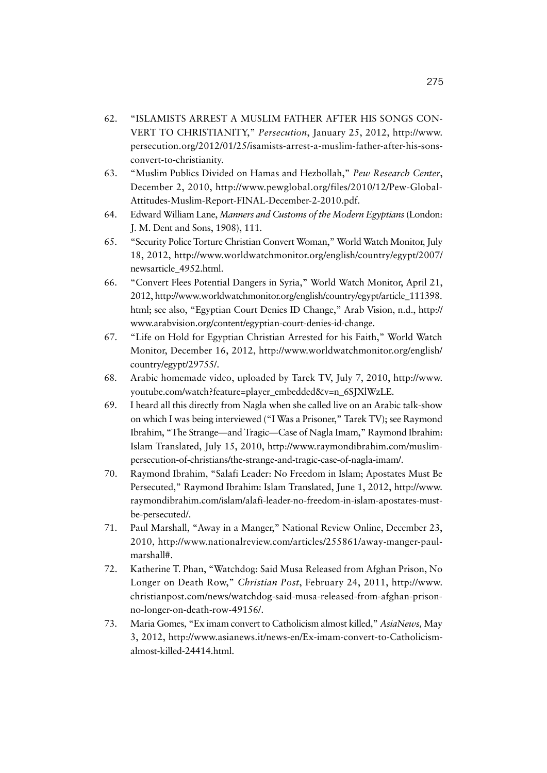- 62. "ISLAMISTS ARREST A MUSLIM FATHER AFTER HIS SONGS CON-VERT TO CHRISTIANITY," *Persecution*, January 25, 2012, http://www. persecution.org/2012/01/25/isamists-arrest-a-muslim-father-after-his-sonsconvert-to-christianity.
- 63. "Muslim Publics Divided on Hamas and Hezbollah," *Pew Research Center*, December 2, 2010, http://www.pewglobal.org/files/2010/12/Pew-Global-Attitudes-Muslim-Report-FINAL-December-2-2010.pdf.
- 64. Edward William Lane, *Manners and Customs of the Modern Egyptians*(London: J. M. Dent and Sons, 1908), 111.
- 65. "Security Police Torture Christian Convert Woman," World Watch Monitor, July 18, 2012, http://www.worldwatchmonitor.org/english/country/egypt/2007/ newsarticle\_4952.html.
- 66. "Convert Flees Potential Dangers in Syria," World Watch Monitor, April 21, 2012, http://www.worldwatchmonitor.org/english/country/egypt/article\_111398. html; see also, "Egyptian Court Denies ID Change," Arab Vision, n.d., http:// www.arabvision.org/content/egyptian-court-denies-id-change.
- 67. "Life on Hold for Egyptian Christian Arrested for his Faith," World Watch Monitor, December 16, 2012, http://www.worldwatchmonitor.org/english/ country/egypt/29755/.
- 68. Arabic homemade video, uploaded by Tarek TV, July 7, 2010, http://www. youtube.com/watch?feature=player\_embedded&v=n\_6SJXlWzLE.
- 69. I heard all this directly from Nagla when she called live on an Arabic talk-show on which I was being interviewed ("I Was a Prisoner," Tarek TV); see Raymond Ibrahim, "The Strange—and Tragic—Case of Nagla Imam," Raymond Ibrahim: Islam Translated, July 15, 2010, http://www.raymondibrahim.com/muslimpersecution-of-christians/the-strange-and-tragic-case-of-nagla-imam/.
- 70. Raymond Ibrahim, "Salafi Leader: No Freedom in Islam; Apostates Must Be Persecuted," Raymond Ibrahim: Islam Translated, June 1, 2012, http://www. raymondibrahim.com/islam/alafi-leader-no-freedom-in-islam-apostates-mustbe-persecuted/.
- 71. Paul Marshall, "Away in a Manger," National Review Online, December 23, 2010, http://www.nationalreview.com/articles/255861/away-manger-paulmarshall#.
- 72. Katherine T. Phan, "Watchdog: Said Musa Released from Afghan Prison, No Longer on Death Row," *Christian Post*, February 24, 2011, http://www. christianpost.com/news/watchdog-said-musa-released-from-afghan-prisonno-longer-on-death-row-49156/.
- 73. Maria Gomes, "Ex imam convert to Catholicism almost killed," *AsiaNews,* May 3, 2012, http://www.asianews.it/news-en/Ex-imam-convert-to-Catholicismalmost-killed-24414.html.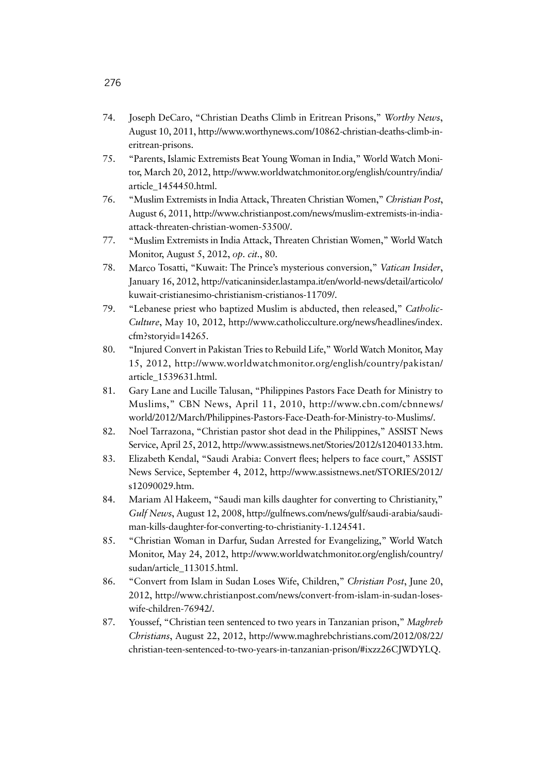- 74. Joseph DeCaro, "Christian Deaths Climb in Eritrean Prisons," *Worthy News*, August 10, 2011, http://www.worthynews.com/10862-christian-deaths-climb-ineritrean-prisons.
- 75. "Parents, Islamic Extremists Beat Young Woman in India," World Watch Monitor, March 20, 2012, http://www.worldwatchmonitor.org/english/country/india/ article\_1454450.html.
- 76. "Muslim Extremists in India Attack, Threaten Christian Women," *Christian Post*, August 6, 2011, http://www.christianpost.com/news/muslim-extremists-in-indiaattack-threaten-christian-women-53500/.
- 77. "Muslim Extremists in India Attack, Threaten Christian Women," World Watch Monitor, August 5, 2012, *op. cit.*, 80.
- 78. Marco Tosatti, "Kuwait: The Prince's mysterious conversion," *Vatican Insider*, January 16, 2012, http://vaticaninsider.lastampa.it/en/world-news/detail/articolo/ kuwait-cristianesimo-christianism-cristianos-11709/.
- 79. "Lebanese priest who baptized Muslim is abducted, then released," *Catholic-Culture*, May 10, 2012, http://www.catholicculture.org/news/headlines/index. cfm?storyid=14265.
- 80. "Injured Convert in Pakistan Tries to Rebuild Life," World Watch Monitor, May 15, 2012, http://www.worldwatchmonitor.org/english/country/pakistan/ article\_1539631.html.
- 81. Gary Lane and Lucille Talusan, "Philippines Pastors Face Death for Ministry to Muslims," CBN News, April 11, 2010, http://www.cbn.com/cbnnews/ world/2012/March/Philippines-Pastors-Face-Death-for-Ministry-to-Muslims/.
- 82. Noel Tarrazona, "Christian pastor shot dead in the Philippines," ASSIST News Service, April 25, 2012, http://www.assistnews.net/Stories/2012/s12040133.htm.
- 83. Elizabeth Kendal, "Saudi Arabia: Convert flees; helpers to face court," ASSIST News Service, September 4, 2012, http://www.assistnews.net/STORIES/2012/ s12090029.htm.
- 84. Mariam Al Hakeem, "Saudi man kills daughter for converting to Christianity," *Gulf News*, August 12, 2008, http://gulfnews.com/news/gulf/saudi-arabia/saudiman-kills-daughter-for-converting-to-christianity-1.124541.
- 85. "Christian Woman in Darfur, Sudan Arrested for Evangelizing," World Watch Monitor, May 24, 2012, http://www.worldwatchmonitor.org/english/country/ sudan/article\_113015.html.
- 86. "Convert from Islam in Sudan Loses Wife, Children," *Christian Post*, June 20, 2012, http://www.christianpost.com/news/convert-from-islam-in-sudan-loseswife-children-76942/.
- 87. Youssef, "Christian teen sentenced to two years in Tanzanian prison," *Maghreb Christians*, August 22, 2012, http://www.maghrebchristians.com/2012/08/22/ christian-teen-sentenced-to-two-years-in-tanzanian-prison/#ixzz26CJWDYLQ.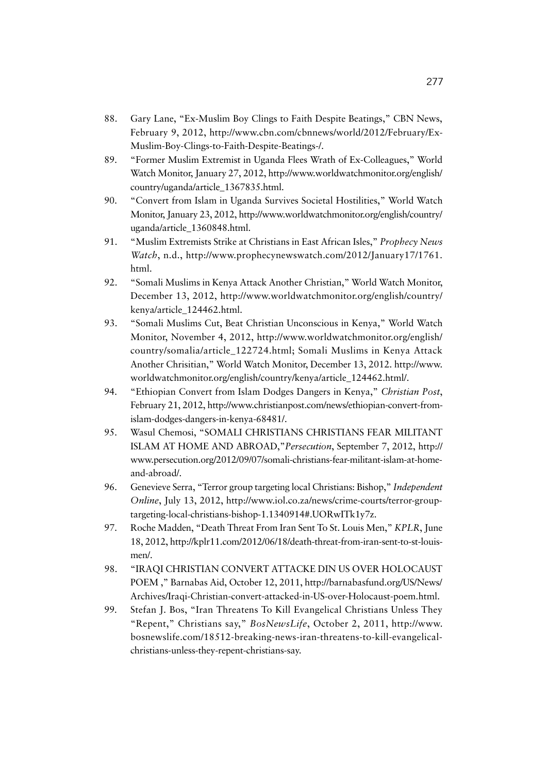- 88. Gary Lane, "Ex-Muslim Boy Clings to Faith Despite Beatings," CBN News, February 9, 2012, http://www.cbn.com/cbnnews/world/2012/February/Ex-Muslim-Boy-Clings-to-Faith-Despite-Beatings-/.
- 89. "Former Muslim Extremist in Uganda Flees Wrath of Ex-Colleagues," World Watch Monitor, January 27, 2012, http://www.worldwatchmonitor.org/english/ country/uganda/article\_1367835.html.
- 90. "Convert from Islam in Uganda Survives Societal Hostilities," World Watch Monitor, January 23, 2012, http://www.worldwatchmonitor.org/english/country/ uganda/article\_1360848.html.
- 91. "Muslim Extremists Strike at Christians in East African Isles," *Prophecy News Watch*, n.d., http://www.prophecynewswatch.com/2012/January17/1761. html.
- 92. "Somali Muslims in Kenya Attack Another Christian," World Watch Monitor, December 13, 2012, http://www.worldwatchmonitor.org/english/country/ kenya/article\_124462.html.
- 93. "Somali Muslims Cut, Beat Christian Unconscious in Kenya," World Watch Monitor, November 4, 2012, http://www.worldwatchmonitor.org/english/ country/somalia/article\_122724.html; Somali Muslims in Kenya Attack Another Chrisitian," World Watch Monitor, December 13, 2012. http://www. worldwatchmonitor.org/english/country/kenya/article\_124462.html/.
- 94. "Ethiopian Convert from Islam Dodges Dangers in Kenya," *Christian Post*, February 21, 2012, http://www.christianpost.com/news/ethiopian-convert-fromislam-dodges-dangers-in-kenya-68481/.
- 95. Wasul Chemosi, "SOMALI CHRISTIANS CHRISTIANS FEAR MILITANT ISLAM AT HOME AND ABROAD,"*Persecution*, September 7, 2012, http:// www.persecution.org/2012/09/07/somali-christians-fear-militant-islam-at-homeand-abroad/.
- 96. Genevieve Serra, "Terror group targeting local Christians: Bishop," *Independent Online*, July 13, 2012, http://www.iol.co.za/news/crime-courts/terror-grouptargeting-local-christians-bishop-1.1340914#.UORwITk1y7z.
- 97. Roche Madden, "Death Threat From Iran Sent To St. Louis Men," *KPLR*, June 18, 2012, http://kplr11.com/2012/06/18/death-threat-from-iran-sent-to-st-louismen/.
- 98. "IRAQI CHRISTIAN CONVERT ATTACKE DIN US OVER HOLOCAUST POEM ," Barnabas Aid, October 12, 2011, http://barnabasfund.org/US/News/ Archives/Iraqi-Christian-convert-attacked-in-US-over-Holocaust-poem.html.
- 99. Stefan J. Bos, "Iran Threatens To Kill Evangelical Christians Unless They "Repent," Christians say," *BosNewsLife*, October 2, 2011, http://www. bosnewslife.com/18512-breaking-news-iran-threatens-to-kill-evangelicalchristians-unless-they-repent-christians-say.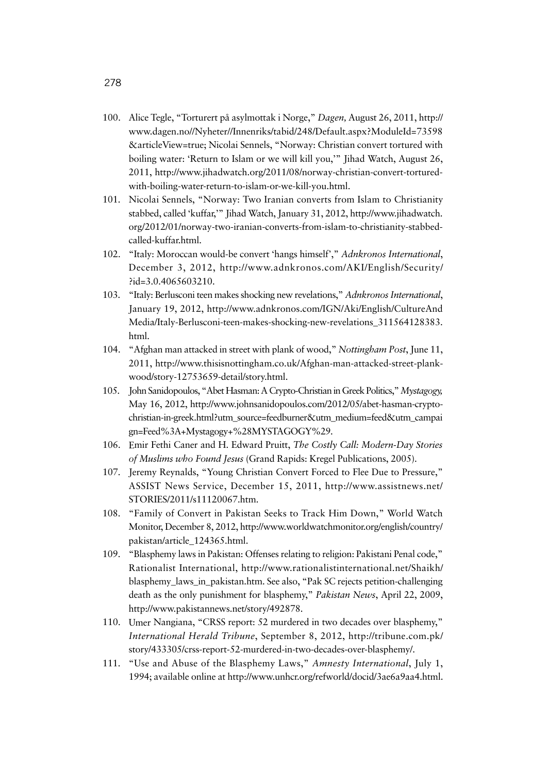- 100. Alice Tegle, "Torturert på asylmottak i Norge," *Dagen,* August 26, 2011, http:// www.dagen.no//Nyheter//Innenriks/tabid/248/Default.aspx?ModuleId=73598 &articleView=true; Nicolai Sennels, "Norway: Christian convert tortured with boiling water: 'Return to Islam or we will kill you,'" Jihad Watch, August 26, 2011, http://www.jihadwatch.org/2011/08/norway-christian-convert-torturedwith-boiling-water-return-to-islam-or-we-kill-you.html.
- 101. Nicolai Sennels, "Norway: Two Iranian converts from Islam to Christianity stabbed, called 'kuffar,'" Jihad Watch, January 31, 2012, http://www.jihadwatch. org/2012/01/norway-two-iranian-converts-from-islam-to-christianity-stabbedcalled-kuffar.html.
- 102. "Italy: Moroccan would-be convert 'hangs himself'," *Adnkronos International*, December 3, 2012, http://www.adnkronos.com/AKI/English/Security/ ?id=3.0.4065603210.
- 103. "Italy: Berlusconi teen makes shocking new revelations," *Adnkronos International*, January 19, 2012, http://www.adnkronos.com/IGN/Aki/English/CultureAnd Media/Italy-Berlusconi-teen-makes-shocking-new-revelations\_311564128383. html.
- 104. "Afghan man attacked in street with plank of wood," *Nottingham Post*, June 11, 2011, http://www.thisisnottingham.co.uk/Afghan-man-attacked-street-plankwood/story-12753659-detail/story.html.
- 105. John Sanidopoulos, "Abet Hasman: A Crypto-Christian in Greek Politics," *Mystagogy,*  May 16, 2012, http://www.johnsanidopoulos.com/2012/05/abet-hasman-cryptochristian-in-greek.html?utm\_source=feedburner&utm\_medium=feed&utm\_campai gn=Feed%3A+Mystagogy+%28MYSTAGOGY%29.
- 106. Emir Fethi Caner and H. Edward Pruitt, *The Costly Call: Modern-Day Stories of Muslims who Found Jesus* (Grand Rapids: Kregel Publications, 2005).
- 107. Jeremy Reynalds, "Young Christian Convert Forced to Flee Due to Pressure," ASSIST News Service, December 15, 2011, http://www.assistnews.net/ STORIES/2011/s11120067.htm.
- 108. "Family of Convert in Pakistan Seeks to Track Him Down," World Watch Monitor, December 8, 2012, http://www.worldwatchmonitor.org/english/country/ pakistan/article\_124365.html.
- 109. "Blasphemy laws in Pakistan: Offenses relating to religion: Pakistani Penal code," Rationalist International, http://www.rationalistinternational.net/Shaikh/ blasphemy\_laws\_in\_pakistan.htm. See also, "Pak SC rejects petition-challenging death as the only punishment for blasphemy," *Pakistan News*, April 22, 2009, http://www.pakistannews.net/story/492878.
- 110. Umer Nangiana, "CRSS report: 52 murdered in two decades over blasphemy," *International Herald Tribune*, September 8, 2012, http://tribune.com.pk/ story/433305/crss-report-52-murdered-in-two-decades-over-blasphemy/.
- 111. "Use and Abuse of the Blasphemy Laws," *Amnesty International*, July 1, 1994; available online at http://www.unhcr.org/refworld/docid/3ae6a9aa4.html.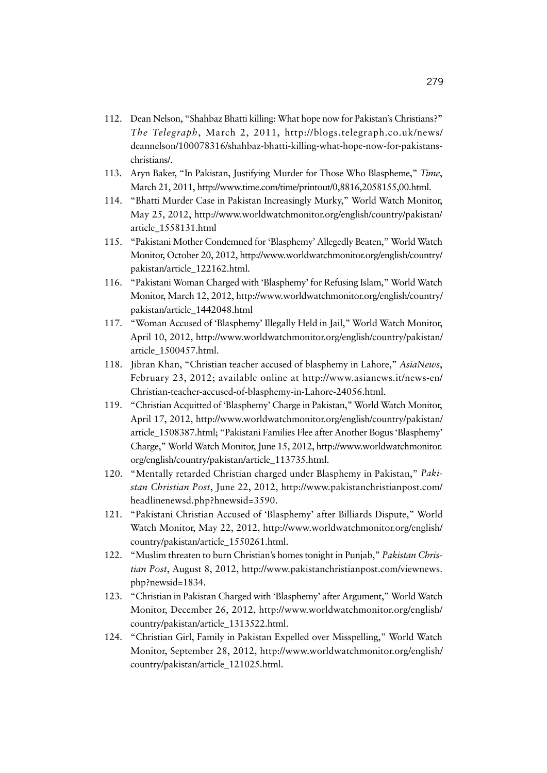- 112. Dean Nelson, "Shahbaz Bhatti killing: What hope now for Pakistan's Christians?" *The Telegraph*, March 2, 2011, http://blogs.telegraph.co.uk/news/ deannelson/100078316/shahbaz-bhatti-killing-what-hope-now-for-pakistanschristians/.
- 113. Aryn Baker, "In Pakistan, Justifying Murder for Those Who Blaspheme," *Time*, March 21, 2011, http://www.time.com/time/printout/0,8816,2058155,00.html.
- 114. "Bhatti Murder Case in Pakistan Increasingly Murky," World Watch Monitor, May 25, 2012, http://www.worldwatchmonitor.org/english/country/pakistan/ article\_1558131.html
- 115. "Pakistani Mother Condemned for 'Blasphemy' Allegedly Beaten," World Watch Monitor, October 20, 2012, http://www.worldwatchmonitor.org/english/country/ pakistan/article\_122162.html.
- 116. "Pakistani Woman Charged with 'Blasphemy' for Refusing Islam," World Watch Monitor, March 12, 2012, http://www.worldwatchmonitor.org/english/country/ pakistan/article\_1442048.html
- 117. "Woman Accused of 'Blasphemy' Illegally Held in Jail," World Watch Monitor, April 10, 2012, http://www.worldwatchmonitor.org/english/country/pakistan/ article\_1500457.html.
- 118. Jibran Khan, "Christian teacher accused of blasphemy in Lahore," *AsiaNews*, February 23, 2012; available online at http://www.asianews.it/news-en/ Christian-teacher-accused-of-blasphemy-in-Lahore-24056.html.
- 119. "Christian Acquitted of 'Blasphemy' Charge in Pakistan," World Watch Monitor, April 17, 2012, http://www.worldwatchmonitor.org/english/country/pakistan/ article\_1508387.html; "Pakistani Families Flee after Another Bogus 'Blasphemy' Charge," World Watch Monitor, June 15, 2012, http://www.worldwatchmonitor. org/english/country/pakistan/article\_113735.html.
- 120. "Mentally retarded Christian charged under Blasphemy in Pakistan," *Pakistan Christian Post*, June 22, 2012, http://www.pakistanchristianpost.com/ headlinenewsd.php?hnewsid=3590.
- 121. "Pakistani Christian Accused of 'Blasphemy' after Billiards Dispute," World Watch Monitor, May 22, 2012, http://www.worldwatchmonitor.org/english/ country/pakistan/article\_1550261.html.
- 122. "Muslim threaten to burn Christian's homes tonight in Punjab," *Pakistan Christian Post*, August 8, 2012, http://www.pakistanchristianpost.com/viewnews. php?newsid=1834.
- 123. "Christian in Pakistan Charged with 'Blasphemy' after Argument," World Watch Monitor, December 26, 2012, http://www.worldwatchmonitor.org/english/ country/pakistan/article\_1313522.html.
- 124. "Christian Girl, Family in Pakistan Expelled over Misspelling," World Watch Monitor, September 28, 2012, http://www.worldwatchmonitor.org/english/ country/pakistan/article\_121025.html.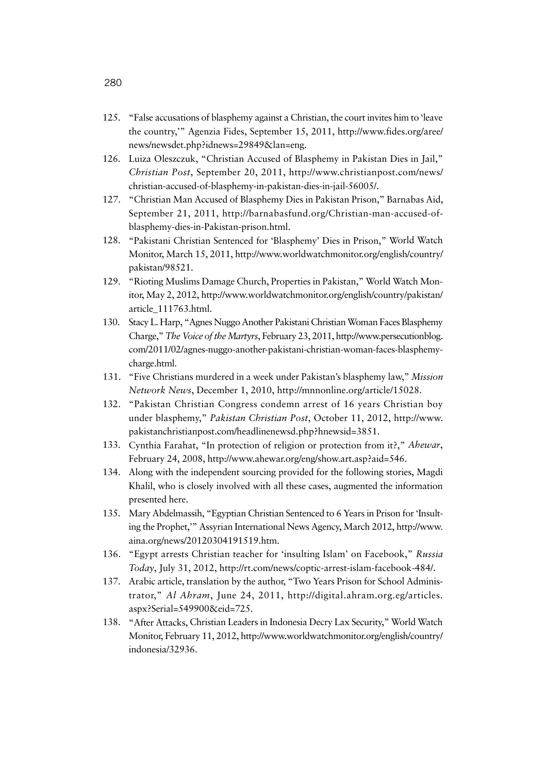- 125. "False accusations of blasphemy against a Christian, the court invites him to 'leave the country,'" Agenzia Fides, September 15, 2011, http://www.fides.org/aree/ news/newsdet.php?idnews=29849&lan=eng.
- 126. Luiza Oleszczuk, "Christian Accused of Blasphemy in Pakistan Dies in Jail," *Christian Post*, September 20, 2011, http://www.christianpost.com/news/ christian-accused-of-blasphemy-in-pakistan-dies-in-jail-56005/.
- 127. "Christian Man Accused of Blasphemy Dies in Pakistan Prison," Barnabas Aid, September 21, 2011, http://barnabasfund.org/Christian-man-accused-ofblasphemy-dies-in-Pakistan-prison.html.
- 128. "Pakistani Christian Sentenced for 'Blasphemy' Dies in Prison," World Watch Monitor, March 15, 2011, http://www.worldwatchmonitor.org/english/country/ pakistan/98521.
- 129. "Rioting Muslims Damage Church, Properties in Pakistan," World Watch Monitor, May 2, 2012, http://www.worldwatchmonitor.org/english/country/pakistan/ article\_111763.html.
- 130. Stacy L. Harp, "Agnes Nuggo Another Pakistani Christian Woman Faces Blasphemy Charge," *The Voice of the Martyrs*, February 23, 2011, http://www.persecutionblog. com/2011/02/agnes-nuggo-another-pakistani-christian-woman-faces-blasphemycharge.html.
- 131. "Five Christians murdered in a week under Pakistan's blasphemy law," *Mission Network News*, December 1, 2010, http://mnnonline.org/article/15028.
- 132. "Pakistan Christian Congress condemn arrest of 16 years Christian boy under blasphemy," *Pakistan Christian Post*, October 11, 2012, http://www. pakistanchristianpost.com/headlinenewsd.php?hnewsid=3851.
- 133. Cynthia Farahat, "In protection of religion or protection from it?," *Ahewar*, February 24, 2008, http://www.ahewar.org/eng/show.art.asp?aid=546.
- 134. Along with the independent sourcing provided for the following stories, Magdi Khalil, who is closely involved with all these cases, augmented the information presented here.
- 135. Mary Abdelmassih, "Egyptian Christian Sentenced to 6 Years in Prison for 'Insulting the Prophet,'" Assyrian International News Agency, March 2012, http://www. aina.org/news/20120304191519.htm.
- 136. "Egypt arrests Christian teacher for 'insulting Islam' on Facebook," *Russia Today*, July 31, 2012, http://rt.com/news/coptic-arrest-islam-facebook-484/.
- 137. Arabic article, translation by the author, "Two Years Prison for School Administrator," *Al Ahram*, June 24, 2011, http://digital.ahram.org.eg/articles. aspx?Serial=549900&eid=725.
- 138. "After Attacks, Christian Leaders in Indonesia Decry Lax Security," World Watch Monitor, February 11, 2012, http://www.worldwatchmonitor.org/english/country/ indonesia/32936.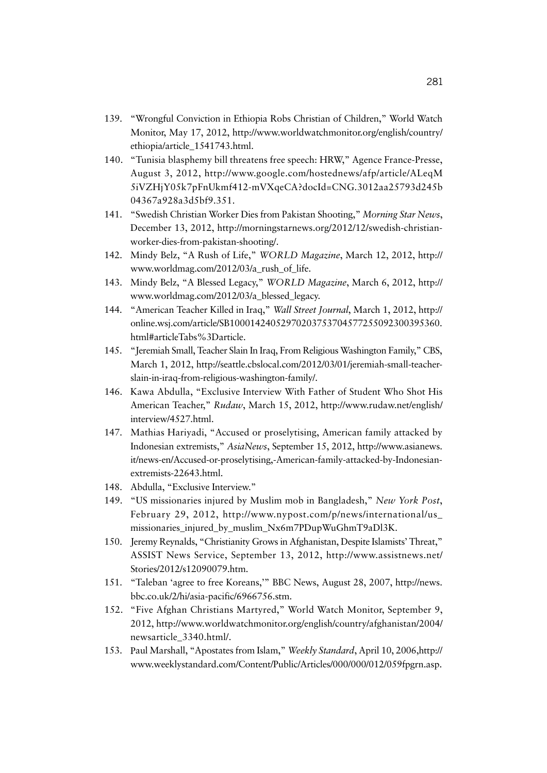- 139. "Wrongful Conviction in Ethiopia Robs Christian of Children," World Watch Monitor, May 17, 2012, http://www.worldwatchmonitor.org/english/country/ ethiopia/article\_1541743.html.
- 140. "Tunisia blasphemy bill threatens free speech: HRW," Agence France-Presse, August 3, 2012, http://www.google.com/hostednews/afp/article/ALeqM 5iVZHjY05k7pFnUkmf412-mVXqeCA?docId=CNG.3012aa25793d245b 04367a928a3d5bf9.351.
- 141. "Swedish Christian Worker Dies from Pakistan Shooting," *Morning Star News*, December 13, 2012, http://morningstarnews.org/2012/12/swedish-christianworker-dies-from-pakistan-shooting/.
- 142. Mindy Belz, "A Rush of Life," *WORLD Magazine*, March 12, 2012, http:// www.worldmag.com/2012/03/a\_rush\_of\_life.
- 143. Mindy Belz, "A Blessed Legacy," *WORLD Magazine*, March 6, 2012, http:// www.worldmag.com/2012/03/a\_blessed\_legacy.
- 144. "American Teacher Killed in Iraq," *Wall Street Journal*, March 1, 2012, http:// online.wsj.com/article/SB10001424052970203753704577255092300395360. html#articleTabs%3Darticle.
- 145. "Jeremiah Small, Teacher Slain In Iraq, From Religious Washington Family," CBS, March 1, 2012, http://seattle.cbslocal.com/2012/03/01/jeremiah-small-teacherslain-in-iraq-from-religious-washington-family/.
- 146. Kawa Abdulla, "Exclusive Interview With Father of Student Who Shot His American Teacher," *Rudaw*, March 15, 2012, http://www.rudaw.net/english/ interview/4527.html.
- 147. Mathias Hariyadi, "Accused or proselytising, American family attacked by Indonesian extremists," *AsiaNews*, September 15, 2012, http://www.asianews. it/news-en/Accused-or-proselytising,-American-family-attacked-by-Indonesianextremists-22643.html.
- 148. Abdulla, "Exclusive Interview."
- 149. "US missionaries injured by Muslim mob in Bangladesh," *New York Post*, February 29, 2012, http://www.nypost.com/p/news/international/us\_ missionaries\_injured\_by\_muslim\_Nx6m7PDupWuGhmT9aDl3K.
- 150. Jeremy Reynalds, "Christianity Grows in Afghanistan, Despite Islamists' Threat," ASSIST News Service, September 13, 2012, http://www.assistnews.net/ Stories/2012/s12090079.htm.
- 151. "Taleban 'agree to free Koreans,'" BBC News, August 28, 2007, http://news. bbc.co.uk/2/hi/asia-pacific/6966756.stm.
- 152. "Five Afghan Christians Martyred," World Watch Monitor, September 9, 2012, http://www.worldwatchmonitor.org/english/country/afghanistan/2004/ newsarticle\_3340.html/.
- 153. Paul Marshall, "Apostates from Islam," *Weekly Standard*, April 10, 2006,http:// www.weeklystandard.com/Content/Public/Articles/000/000/012/059fpgrn.asp.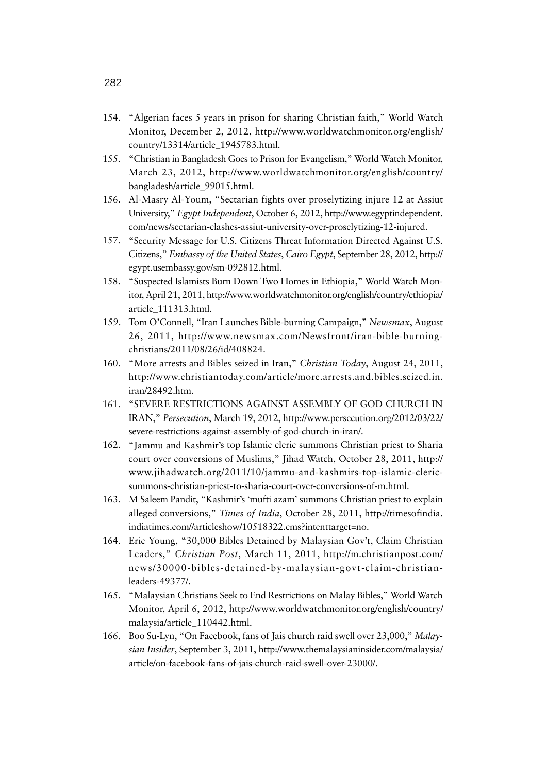- 154. "Algerian faces 5 years in prison for sharing Christian faith," World Watch Monitor, December 2, 2012, http://www.worldwatchmonitor.org/english/ country/13314/article\_1945783.html.
- 155. "Christian in Bangladesh Goes to Prison for Evangelism," World Watch Monitor, March 23, 2012, http://www.worldwatchmonitor.org/english/country/ bangladesh/article\_99015.html.
- 156. Al-Masry Al-Youm, "Sectarian fights over proselytizing injure 12 at Assiut University," *Egypt Independent*, October 6, 2012, http://www.egyptindependent. com/news/sectarian-clashes-assiut-university-over-proselytizing-12-injured.
- 157. "Security Message for U.S. Citizens Threat Information Directed Against U.S. Citizens," *Embassy of the United States*, *Cairo Egypt*, September 28, 2012, http:// egypt.usembassy.gov/sm-092812.html.
- 158. "Suspected Islamists Burn Down Two Homes in Ethiopia," World Watch Monitor, April 21, 2011, http://www.worldwatchmonitor.org/english/country/ethiopia/ article\_111313.html.
- 159. Tom O'Connell, "Iran Launches Bible-burning Campaign," *Newsmax*, August 26, 2011, http://www.newsmax.com/Newsfront/iran-bible-burningchristians/2011/08/26/id/408824.
- 160. "More arrests and Bibles seized in Iran," *Christian Today*, August 24, 2011, http://www.christiantoday.com/article/more.arrests.and.bibles.seized.in. iran/28492.htm.
- 161. "SEVERE RESTRICTIONS AGAINST ASSEMBLY OF GOD CHURCH IN IRAN," *Persecution*, March 19, 2012, http://www.persecution.org/2012/03/22/ severe-restrictions-against-assembly-of-god-church-in-iran/.
- 162. "Jammu and Kashmir's top Islamic cleric summons Christian priest to Sharia court over conversions of Muslims," Jihad Watch, October 28, 2011, http:// www.jihadwatch.org/2011/10/jammu-and-kashmirs-top-islamic-clericsummons-christian-priest-to-sharia-court-over-conversions-of-m.html.
- 163. M Saleem Pandit, "Kashmir's 'mufti azam' summons Christian priest to explain alleged conversions," *Times of India*, October 28, 2011, http://timesofindia. indiatimes.com//articleshow/10518322.cms?intenttarget=no.
- 164. Eric Young, "30,000 Bibles Detained by Malaysian Gov't, Claim Christian Leaders," *Christian Post*, March 11, 2011, http://m.christianpost.com/ news/30000-bibles-detained-by-malaysian-govt-claim-christianleaders-49377/.
- 165. "Malaysian Christians Seek to End Restrictions on Malay Bibles," World Watch Monitor, April 6, 2012, http://www.worldwatchmonitor.org/english/country/ malaysia/article\_110442.html.
- 166. Boo Su-Lyn, "On Facebook, fans of Jais church raid swell over 23,000," *Malaysian Insider*, September 3, 2011, http://www.themalaysianinsider.com/malaysia/ article/on-facebook-fans-of-jais-church-raid-swell-over-23000/.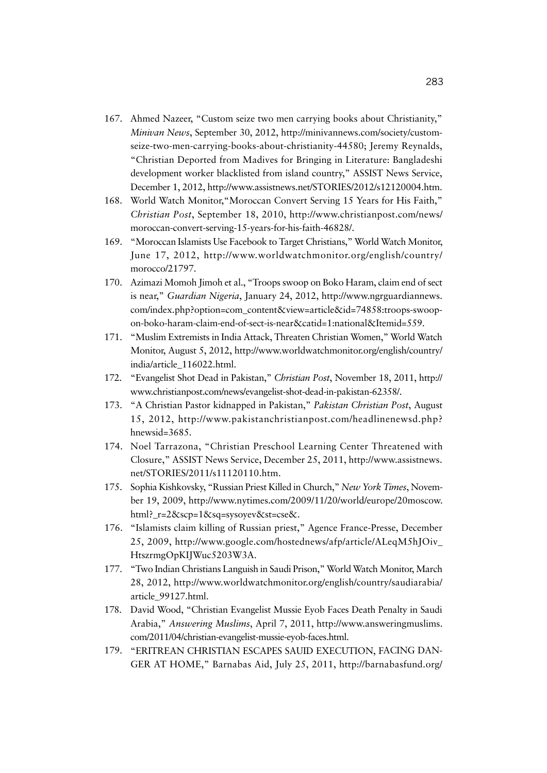- 167. Ahmed Nazeer, "Custom seize two men carrying books about Christianity," *Minivan News*, September 30, 2012, http://minivannews.com/society/customseize-two-men-carrying-books-about-christianity-44580; Jeremy Reynalds, "Christian Deported from Madives for Bringing in Literature: Bangladeshi development worker blacklisted from island country," ASSIST News Service, December 1, 2012, http://www.assistnews.net/STORIES/2012/s12120004.htm.
- 168. World Watch Monitor,"Moroccan Convert Serving 15 Years for His Faith," *Christian Post*, September 18, 2010, http://www.christianpost.com/news/ moroccan-convert-serving-15-years-for-his-faith-46828/.
- 169. "Moroccan Islamists Use Facebook to Target Christians," World Watch Monitor, June 17, 2012, http://www.worldwatchmonitor.org/english/country/ morocco/21797.
- 170. Azimazi Momoh Jimoh et al., "Troops swoop on Boko Haram, claim end of sect is near," *Guardian Nigeria*, January 24, 2012, http://www.ngrguardiannews. com/index.php?option=com\_content&view=article&id=74858:troops-swoopon-boko-haram-claim-end-of-sect-is-near&catid=1:national&Itemid=559.
- 171. "Muslim Extremists in India Attack, Threaten Christian Women," World Watch Monitor, August 5, 2012, http://www.worldwatchmonitor.org/english/country/ india/article\_116022.html.
- 172. "Evangelist Shot Dead in Pakistan," *Christian Post*, November 18, 2011, http:// www.christianpost.com/news/evangelist-shot-dead-in-pakistan-62358/.
- 173. "A Christian Pastor kidnapped in Pakistan," *Pakistan Christian Post*, August 15, 2012, http://www.pakistanchristianpost.com/headlinenewsd.php? hnewsid=3685.
- 174. Noel Tarrazona, "Christian Preschool Learning Center Threatened with Closure," ASSIST News Service, December 25, 2011, http://www.assistnews. net/STORIES/2011/s11120110.htm.
- 175. Sophia Kishkovsky, "Russian Priest Killed in Church," *New York Times*, November 19, 2009, http://www.nytimes.com/2009/11/20/world/europe/20moscow. html?\_r=2&scp=1&sq=sysoyev&st=cse&.
- 176. "Islamists claim killing of Russian priest," Agence France-Presse, December 25, 2009, http://www.google.com/hostednews/afp/article/ALeqM5hJOiv\_ HtszrmgOpKIJWuc5203W3A.
- 177. "Two Indian Christians Languish in Saudi Prison," World Watch Monitor, March 28, 2012, http://www.worldwatchmonitor.org/english/country/saudiarabia/ article\_99127.html.
- 178. David Wood, "Christian Evangelist Mussie Eyob Faces Death Penalty in Saudi Arabia," *Answering Muslims*, April 7, 2011, http://www.answeringmuslims. com/2011/04/christian-evangelist-mussie-eyob-faces.html.
- 179. "ERITREAN CHRISTIAN ESCAPES SAUID EXECUTION, FACING DAN-GER AT HOME," Barnabas Aid, July 25, 2011, http://barnabasfund.org/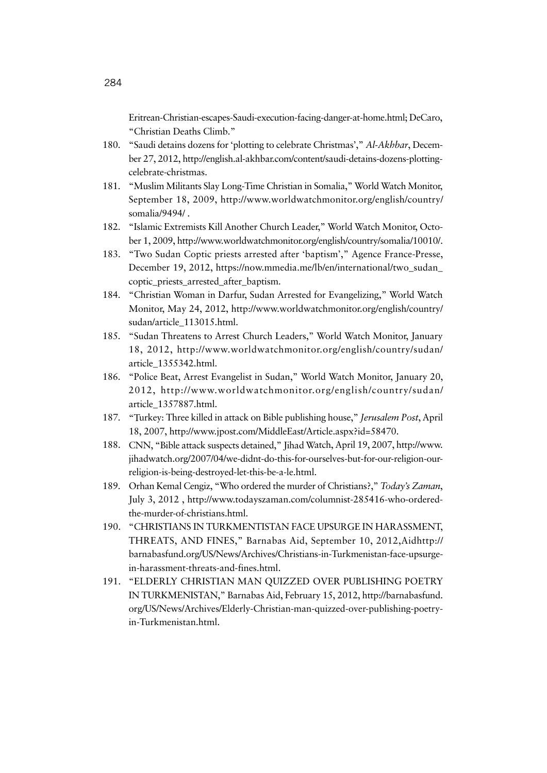Eritrean-Christian-escapes-Saudi-execution-facing-danger-at-home.html; DeCaro, "Christian Deaths Climb."

- 180. "Saudi detains dozens for 'plotting to celebrate Christmas'," *Al-Akhbar*, December 27, 2012, http://english.al-akhbar.com/content/saudi-detains-dozens-plottingcelebrate-christmas.
- 181. "Muslim Militants Slay Long-Time Christian in Somalia," World Watch Monitor, September 18, 2009, http://www.worldwatchmonitor.org/english/country/ somalia/9494/ .
- 182. "Islamic Extremists Kill Another Church Leader," World Watch Monitor, October 1, 2009, http://www.worldwatchmonitor.org/english/country/somalia/10010/.
- 183. "Two Sudan Coptic priests arrested after 'baptism'," Agence France-Presse, December 19, 2012, https://now.mmedia.me/lb/en/international/two\_sudan\_ coptic\_priests\_arrested\_after\_baptism.
- 184. "Christian Woman in Darfur, Sudan Arrested for Evangelizing," World Watch Monitor, May 24, 2012, http://www.worldwatchmonitor.org/english/country/ sudan/article\_113015.html.
- 185. "Sudan Threatens to Arrest Church Leaders," World Watch Monitor, January 18, 2012, http://www.worldwatchmonitor.org/english/country/sudan/ article\_1355342.html.
- 186. "Police Beat, Arrest Evangelist in Sudan," World Watch Monitor, January 20, 2012, http://www.worldwatchmonitor.org/english/country/sudan/ article\_1357887.html.
- 187. "Turkey: Three killed in attack on Bible publishing house," *Jerusalem Post*, April 18, 2007, http://www.jpost.com/MiddleEast/Article.aspx?id=58470.
- 188. CNN, "Bible attack suspects detained," Jihad Watch, April 19, 2007, http://www. jihadwatch.org/2007/04/we-didnt-do-this-for-ourselves-but-for-our-religion-ourreligion-is-being-destroyed-let-this-be-a-le.html.
- 189. Orhan Kemal Cengiz, "Who ordered the murder of Christians?," *Today's Zaman*, July 3, 2012 , http://www.todayszaman.com/columnist-285416-who-orderedthe-murder-of-christians.html.
- 190. "CHRISTIANS IN TURKMENTISTAN FACE UPSURGE IN HARASSMENT, THREATS, AND FINES," Barnabas Aid, September 10, 2012,Aidhttp:// barnabasfund.org/US/News/Archives/Christians-in-Turkmenistan-face-upsurgein-harassment-threats-and-fines.html.
- 191. "ELDERLY CHRISTIAN MAN QUIZZED OVER PUBLISHING POETRY IN TURKMENISTAN," Barnabas Aid, February 15, 2012, http://barnabasfund. org/US/News/Archives/Elderly-Christian-man-quizzed-over-publishing-poetryin-Turkmenistan.html.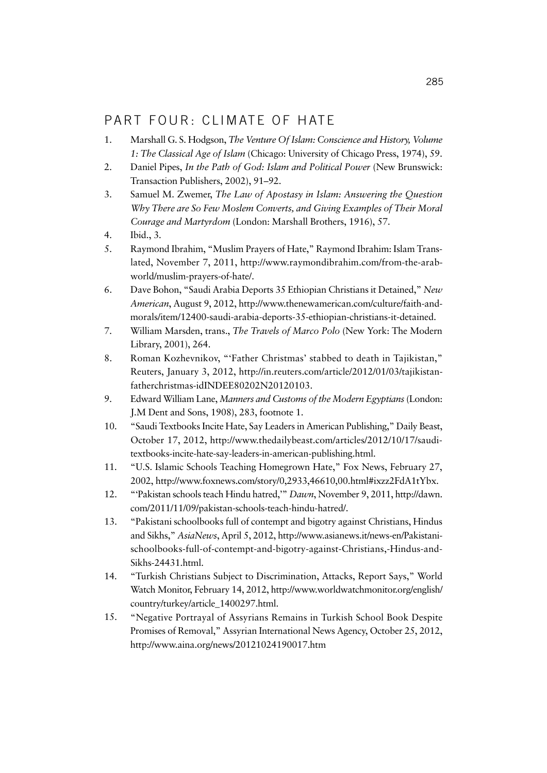### PART FOUR: CLIMATE OF HATE

- 1. Marshall G. S. Hodgson, *The Venture Of Islam: Conscience and History, Volume 1: The Classical Age of Islam* (Chicago: University of Chicago Press, 1974), 59.
- 2. Daniel Pipes, *In the Path of God: Islam and Political Power* (New Brunswick: Transaction Publishers, 2002), 91–92.
- 3. Samuel M. Zwemer, *The Law of Apostasy in Islam: Answering the Question Why There are So Few Moslem Converts, and Giving Examples of Their Moral Courage and Martyrdom* (London: Marshall Brothers, 1916), 57.
- 4. Ibid., 3.
- 5. Raymond Ibrahim, "Muslim Prayers of Hate," Raymond Ibrahim: Islam Translated, November 7, 2011, http://www.raymondibrahim.com/from-the-arabworld/muslim-prayers-of-hate/.
- 6. Dave Bohon, "Saudi Arabia Deports 35 Ethiopian Christians it Detained," *New American*, August 9, 2012, http://www.thenewamerican.com/culture/faith-andmorals/item/12400-saudi-arabia-deports-35-ethiopian-christians-it-detained.
- 7. William Marsden, trans., *The Travels of Marco Polo* (New York: The Modern Library, 2001), 264.
- 8. Roman Kozhevnikov, "'Father Christmas' stabbed to death in Tajikistan," Reuters, January 3, 2012, http://in.reuters.com/article/2012/01/03/tajikistanfatherchristmas-idINDEE80202N20120103.
- 9. Edward William Lane, *Manners and Customs of the Modern Egyptians*(London: J.M Dent and Sons, 1908), 283, footnote 1.
- 10. "Saudi Textbooks Incite Hate, Say Leaders in American Publishing," Daily Beast, October 17, 2012, http://www.thedailybeast.com/articles/2012/10/17/sauditextbooks-incite-hate-say-leaders-in-american-publishing.html.
- 11. "U.S. Islamic Schools Teaching Homegrown Hate," Fox News, February 27, 2002, http://www.foxnews.com/story/0,2933,46610,00.html#ixzz2FdA1tYbx.
- 12. "'Pakistan schools teach Hindu hatred,'" *Dawn*, November 9, 2011, http://dawn. com/2011/11/09/pakistan-schools-teach-hindu-hatred/.
- 13. "Pakistani schoolbooks full of contempt and bigotry against Christians, Hindus and Sikhs," *AsiaNews*, April 5, 2012, http://www.asianews.it/news-en/Pakistanischoolbooks-full-of-contempt-and-bigotry-against-Christians,-Hindus-and-Sikhs-24431.html.
- 14. "Turkish Christians Subject to Discrimination, Attacks, Report Says," World Watch Monitor, February 14, 2012, http://www.worldwatchmonitor.org/english/ country/turkey/article\_1400297.html.
- 15. "Negative Portrayal of Assyrians Remains in Turkish School Book Despite Promises of Removal," Assyrian International News Agency, October 25, 2012, http://www.aina.org/news/20121024190017.htm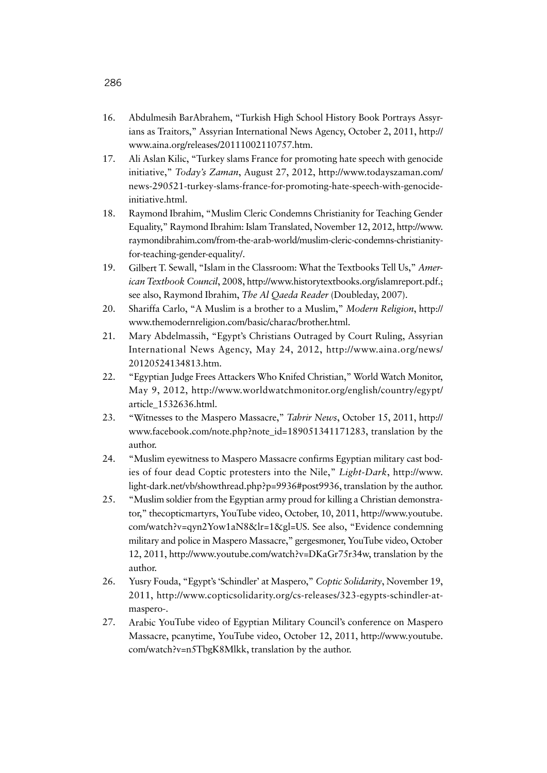- 16. Abdulmesih BarAbrahem, "Turkish High School History Book Portrays Assyrians as Traitors," Assyrian International News Agency, October 2, 2011, http:// www.aina.org/releases/20111002110757.htm.
- 17. Ali Aslan Kilic, "Turkey slams France for promoting hate speech with genocide initiative," *Today's Zaman*, August 27, 2012, http://www.todayszaman.com/ news-290521-turkey-slams-france-for-promoting-hate-speech-with-genocideinitiative.html.
- 18. Raymond Ibrahim, "Muslim Cleric Condemns Christianity for Teaching Gender Equality," Raymond Ibrahim: Islam Translated, November 12, 2012, http://www. raymondibrahim.com/from-the-arab-world/muslim-cleric-condemns-christianityfor-teaching-gender-equality/.
- 19. Gilbert T. Sewall, "Islam in the Classroom: What the Textbooks Tell Us," *American Textbook Council*, 2008, http://www.historytextbooks.org/islamreport.pdf.; see also, Raymond Ibrahim, *The Al Qaeda Reader* (Doubleday, 2007).
- 20. Shariffa Carlo, "A Muslim is a brother to a Muslim," *Modern Religion*, http:// www.themodernreligion.com/basic/charac/brother.html.
- 21. Mary Abdelmassih, "Egypt's Christians Outraged by Court Ruling, Assyrian International News Agency, May 24, 2012, http://www.aina.org/news/ 20120524134813.htm.
- 22. "Egyptian Judge Frees Attackers Who Knifed Christian," World Watch Monitor, May 9, 2012, http://www.worldwatchmonitor.org/english/country/egypt/ article\_1532636.html.
- 23. "Witnesses to the Maspero Massacre," *Tahrir News*, October 15, 2011, http:// www.facebook.com/note.php?note\_id=189051341171283, translation by the author.
- 24. "Muslim eyewitness to Maspero Massacre confirms Egyptian military cast bodies of four dead Coptic protesters into the Nile," *Light-Dark*, http://www. light-dark.net/vb/showthread.php?p=9936#post9936, translation by the author.
- 25. "Muslim soldier from the Egyptian army proud for killing a Christian demonstrator," thecopticmartyrs, YouTube video, October, 10, 2011, http://www.youtube. com/watch?v=qyn2Yow1aN8&lr=1&gl=US. See also, "Evidence condemning military and police in Maspero Massacre," gergesmoner, YouTube video, October 12, 2011, http://www.youtube.com/watch?v=DKaGr75r34w, translation by the author.
- 26. Yusry Fouda, "Egypt's 'Schindler' at Maspero," *Coptic Solidarity*, November 19, 2011, http://www.copticsolidarity.org/cs-releases/323-egypts-schindler-atmaspero-.
- 27. Arabic YouTube video of Egyptian Military Council's conference on Maspero Massacre, pcanytime, YouTube video, October 12, 2011, http://www.youtube. com/watch?v=n5TbgK8Mlkk, translation by the author.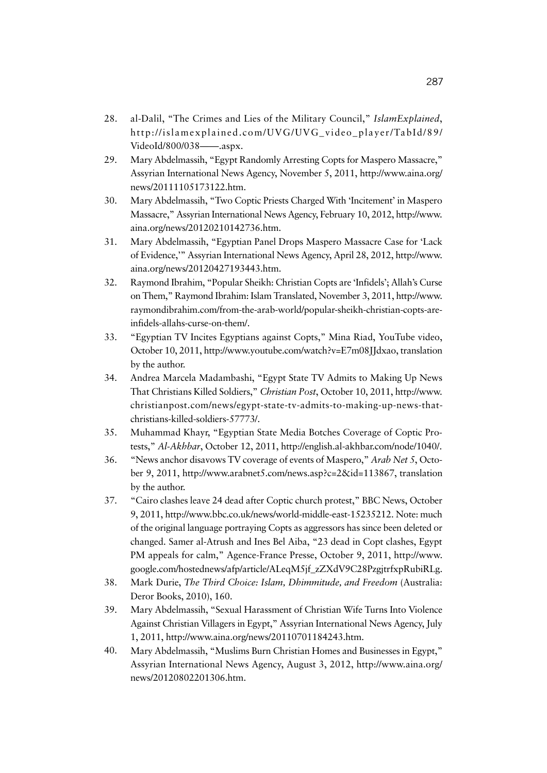- 28. al-Dalil, "The Crimes and Lies of the Military Council," *IslamExplained*, http://islamexplained.com/UVG/UVG\_video\_player/TabId/89/ VideoId/800/038——.aspx.
- 29. Mary Abdelmassih, "Egypt Randomly Arresting Copts for Maspero Massacre," Assyrian International News Agency, November 5, 2011, http://www.aina.org/ news/20111105173122.htm.
- 30. Mary Abdelmassih, "Two Coptic Priests Charged With 'Incitement' in Maspero Massacre," Assyrian International News Agency, February 10, 2012, http://www. aina.org/news/20120210142736.htm.
- 31. Mary Abdelmassih, "Egyptian Panel Drops Maspero Massacre Case for 'Lack of Evidence,'" Assyrian International News Agency, April 28, 2012, http://www. aina.org/news/20120427193443.htm.
- 32. Raymond Ibrahim, "Popular Sheikh: Christian Copts are 'Infidels'; Allah's Curse on Them," Raymond Ibrahim: Islam Translated, November 3, 2011, http://www. raymondibrahim.com/from-the-arab-world/popular-sheikh-christian-copts-areinfidels-allahs-curse-on-them/.
- 33. "Egyptian TV Incites Egyptians against Copts," Mina Riad, YouTube video, October 10, 2011, http://www.youtube.com/watch?v=E7m08JJdxao, translation by the author.
- 34. Andrea Marcela Madambashi, "Egypt State TV Admits to Making Up News That Christians Killed Soldiers," *Christian Post*, October 10, 2011, http://www. christianpost.com/news/egypt-state-tv-admits-to-making-up-news-thatchristians-killed-soldiers-57773/.
- 35. Muhammad Khayr, "Egyptian State Media Botches Coverage of Coptic Protests," *Al-Akhbar*, October 12, 2011, http://english.al-akhbar.com/node/1040/.
- 36. "News anchor disavows TV coverage of events of Maspero," *Arab Net 5*, October 9, 2011, http://www.arabnet5.com/news.asp?c=2&id=113867, translation by the author.
- 37. "Cairo clashes leave 24 dead after Coptic church protest," BBC News, October 9, 2011, http://www.bbc.co.uk/news/world-middle-east-15235212. Note: much of the original language portraying Copts as aggressors has since been deleted or changed. Samer al-Atrush and Ines Bel Aiba, "23 dead in Copt clashes, Egypt PM appeals for calm," Agence-France Presse, October 9, 2011, http://www. google.com/hostednews/afp/article/ALeqM5jf\_zZXdV9C28PzgjtrfxpRubiRLg.
- 38. Mark Durie, *The Third Choice: Islam, Dhimmitude, and Freedom* (Australia: Deror Books, 2010), 160.
- 39. Mary Abdelmassih, "Sexual Harassment of Christian Wife Turns Into Violence Against Christian Villagers in Egypt," Assyrian International News Agency, July 1, 2011, http://www.aina.org/news/20110701184243.htm.
- 40. Mary Abdelmassih, "Muslims Burn Christian Homes and Businesses in Egypt," Assyrian International News Agency, August 3, 2012, http://www.aina.org/ news/20120802201306.htm.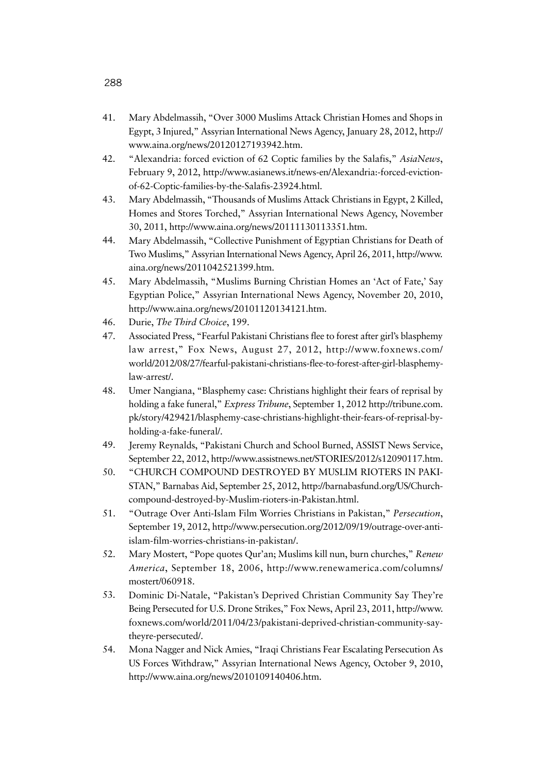- 41. Mary Abdelmassih, "Over 3000 Muslims Attack Christian Homes and Shops in Egypt, 3 Injured," Assyrian International News Agency, January 28, 2012, http:// www.aina.org/news/20120127193942.htm.
- 42. "Alexandria: forced eviction of 62 Coptic families by the Salafis," *AsiaNews*, February 9, 2012, http://www.asianews.it/news-en/Alexandria:-forced-evictionof-62-Coptic-families-by-the-Salafis-23924.html.
- 43. Mary Abdelmassih, "Thousands of Muslims Attack Christians in Egypt, 2 Killed, Homes and Stores Torched," Assyrian International News Agency, November 30, 2011, http://www.aina.org/news/20111130113351.htm.
- 44. Mary Abdelmassih, "Collective Punishment of Egyptian Christians for Death of Two Muslims," Assyrian International News Agency, April 26, 2011, http://www. aina.org/news/2011042521399.htm.
- 45. Mary Abdelmassih, "Muslims Burning Christian Homes an 'Act of Fate,' Say Egyptian Police," Assyrian International News Agency, November 20, 2010, http://www.aina.org/news/20101120134121.htm.
- 46. Durie, *The Third Choice*, 199.
- 47. Associated Press, "Fearful Pakistani Christians flee to forest after girl's blasphemy law arrest," Fox News, August 27, 2012, http://www.foxnews.com/ world/2012/08/27/fearful-pakistani-christians-flee-to-forest-after-girl-blasphemylaw-arrest/.
- 48. Umer Nangiana, "Blasphemy case: Christians highlight their fears of reprisal by holding a fake funeral," *Express Tribune*, September 1, 2012 http://tribune.com. pk/story/429421/blasphemy-case-christians-highlight-their-fears-of-reprisal-byholding-a-fake-funeral/.
- 49. Jeremy Reynalds, "Pakistani Church and School Burned, ASSIST News Service, September 22, 2012, http://www.assistnews.net/STORIES/2012/s12090117.htm.
- 50. "CHURCH COMPOUND DESTROYED BY MUSLIM RIOTERS IN PAKI-STAN," Barnabas Aid, September 25, 2012, http://barnabasfund.org/US/Churchcompound-destroyed-by-Muslim-rioters-in-Pakistan.html.
- 51. "Outrage Over Anti-Islam Film Worries Christians in Pakistan," *Persecution*, September 19, 2012, http://www.persecution.org/2012/09/19/outrage-over-antiislam-film-worries-christians-in-pakistan/.
- 52. Mary Mostert, "Pope quotes Qur'an; Muslims kill nun, burn churches," *Renew America*, September 18, 2006, http://www.renewamerica.com/columns/ mostert/060918.
- 53. Dominic Di-Natale, "Pakistan's Deprived Christian Community Say They're Being Persecuted for U.S. Drone Strikes," Fox News, April 23, 2011, http://www. foxnews.com/world/2011/04/23/pakistani-deprived-christian-community-saytheyre-persecuted/.
- 54. Mona Nagger and Nick Amies, "Iraqi Christians Fear Escalating Persecution As US Forces Withdraw," Assyrian International News Agency, October 9, 2010, http://www.aina.org/news/2010109140406.htm.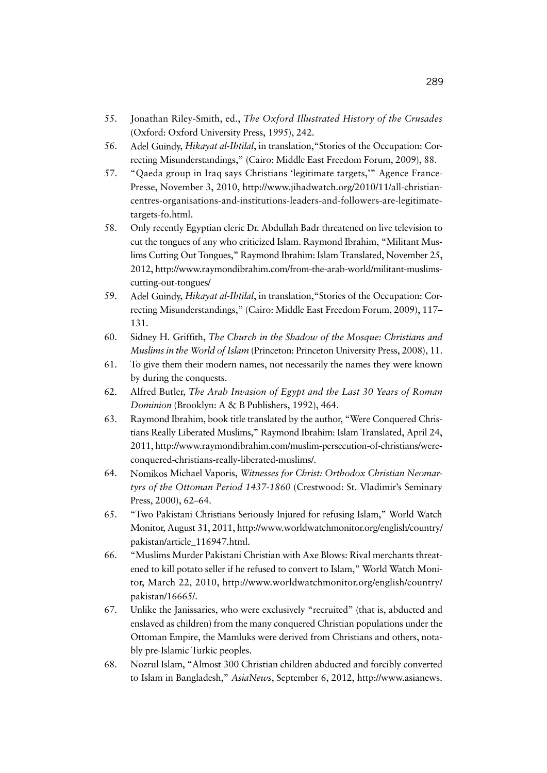- 55. Jonathan Riley-Smith, ed., *The Oxford Illustrated History of the Crusades* (Oxford: Oxford University Press, 1995), 242.
- 56. Adel Guindy, *Hikayat al-Ihtilal*, in translation,"Stories of the Occupation: Correcting Misunderstandings," (Cairo: Middle East Freedom Forum, 2009), 88.
- 57. "Qaeda group in Iraq says Christians 'legitimate targets,'" Agence France-Presse, November 3, 2010, http://www.jihadwatch.org/2010/11/all-christiancentres-organisations-and-institutions-leaders-and-followers-are-legitimatetargets-fo.html.
- 58. Only recently Egyptian cleric Dr. Abdullah Badr threatened on live television to cut the tongues of any who criticized Islam. Raymond Ibrahim, "Militant Muslims Cutting Out Tongues," Raymond Ibrahim: Islam Translated, November 25, 2012, http://www.raymondibrahim.com/from-the-arab-world/militant-muslimscutting-out-tongues/
- 59. Adel Guindy, *Hikayat al-Ihtilal*, in translation,"Stories of the Occupation: Correcting Misunderstandings," (Cairo: Middle East Freedom Forum, 2009), 117– 131.
- 60. Sidney H. Griffith, *The Church in the Shadow of the Mosque: Christians and Muslims in the World of Islam* (Princeton: Princeton University Press, 2008), 11.
- 61. To give them their modern names, not necessarily the names they were known by during the conquests.
- 62. Alfred Butler, *The Arab Invasion of Egypt and the Last 30 Years of Roman Dominion* (Brooklyn: A & B Publishers, 1992), 464.
- 63. Raymond Ibrahim, book title translated by the author, "Were Conquered Christians Really Liberated Muslims," Raymond Ibrahim: Islam Translated, April 24, 2011, http://www.raymondibrahim.com/muslim-persecution-of-christians/wereconquered-christians-really-liberated-muslims/.
- 64. Nomikos Michael Vaporis, *Witnesses for Christ: Orthodox Christian Neomartyrs of the Ottoman Period 1437-1860* (Crestwood: St. Vladimir's Seminary Press, 2000), 62–64.
- 65. "Two Pakistani Christians Seriously Injured for refusing Islam," World Watch Monitor, August 31, 2011, http://www.worldwatchmonitor.org/english/country/ pakistan/article\_116947.html.
- 66. "Muslims Murder Pakistani Christian with Axe Blows: Rival merchants threatened to kill potato seller if he refused to convert to Islam," World Watch Monitor, March 22, 2010, http://www.worldwatchmonitor.org/english/country/ pakistan/16665/.
- 67. Unlike the Janissaries, who were exclusively "recruited" (that is, abducted and enslaved as children) from the many conquered Christian populations under the Ottoman Empire, the Mamluks were derived from Christians and others, notably pre-Islamic Turkic peoples.
- 68. Nozrul Islam, "Almost 300 Christian children abducted and forcibly converted to Islam in Bangladesh," *AsiaNews*, September 6, 2012, http://www.asianews.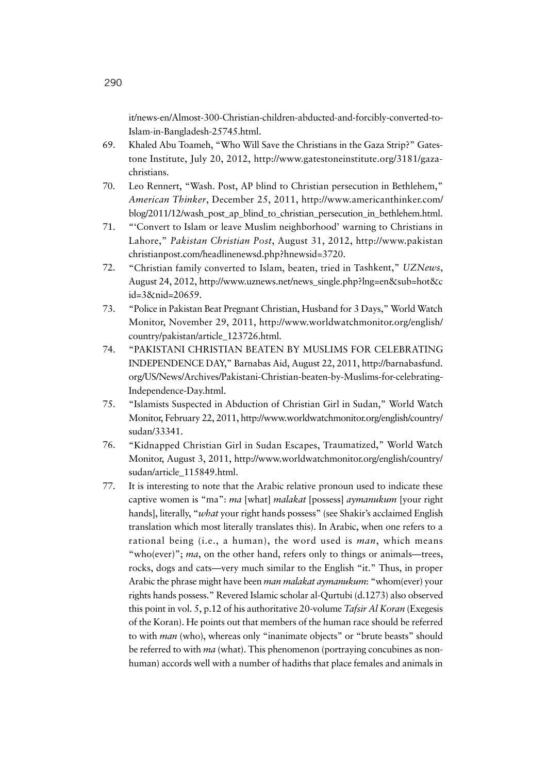it/news-en/Almost-300-Christian-children-abducted-and-forcibly-converted-to-Islam-in-Bangladesh-25745.html.

- 69. Khaled Abu Toameh, "Who Will Save the Christians in the Gaza Strip?" Gatestone Institute, July 20, 2012, http://www.gatestoneinstitute.org/3181/gazachristians.
- 70. Leo Rennert, "Wash. Post, AP blind to Christian persecution in Bethlehem," *American Thinker*, December 25, 2011, http://www.americanthinker.com/ blog/2011/12/wash\_post\_ap\_blind\_to\_christian\_persecution\_in\_bethlehem.html.
- 71. "'Convert to Islam or leave Muslim neighborhood' warning to Christians in Lahore," *Pakistan Christian Post*, August 31, 2012, http://www.pakistan christianpost.com/headlinenewsd.php?hnewsid=3720.
- 72. "Christian family converted to Islam, beaten, tried in Tashkent," *UZNews*, August 24, 2012, http://www.uznews.net/news\_single.php?lng=en&sub=hot&c id=3&nid=20659.
- 73. "Police in Pakistan Beat Pregnant Christian, Husband for 3 Days," World Watch Monitor, November 29, 2011, http://www.worldwatchmonitor.org/english/ country/pakistan/article\_123726.html.
- 74. "PAKISTANI CHRISTIAN BEATEN BY MUSLIMS FOR CELEBRATING INDEPENDENCE DAY," Barnabas Aid, August 22, 2011, http://barnabasfund. org/US/News/Archives/Pakistani-Christian-beaten-by-Muslims-for-celebrating-Independence-Day.html.
- 75. "Islamists Suspected in Abduction of Christian Girl in Sudan," World Watch Monitor, February 22, 2011, http://www.worldwatchmonitor.org/english/country/ sudan/33341.
- 76. "Kidnapped Christian Girl in Sudan Escapes, Traumatized," World Watch Monitor, August 3, 2011, http://www.worldwatchmonitor.org/english/country/ sudan/article\_115849.html.
- 77. It is interesting to note that the Arabic relative pronoun used to indicate these captive women is "ma": *ma* [what] *malakat* [possess] *aymanukum* [your right hands], literally, "*what* your right hands possess" (see Shakir's acclaimed English translation which most literally translates this). In Arabic, when one refers to a rational being (i.e., a human), the word used is *man*, which means "who(ever)"; *ma*, on the other hand, refers only to things or animals—trees, rocks, dogs and cats—very much similar to the English "it." Thus, in proper Arabic the phrase might have been *man malakat aymanukum*: "whom(ever) your rights hands possess." Revered Islamic scholar al-Qurtubi (d.1273) also observed this point in vol. 5, p.12 of his authoritative 20-volume *Tafsir Al Koran* (Exegesis of the Koran). He points out that members of the human race should be referred to with *man* (who), whereas only "inanimate objects" or "brute beasts" should be referred to with *ma* (what). This phenomenon (portraying concubines as nonhuman) accords well with a number of hadiths that place females and animals in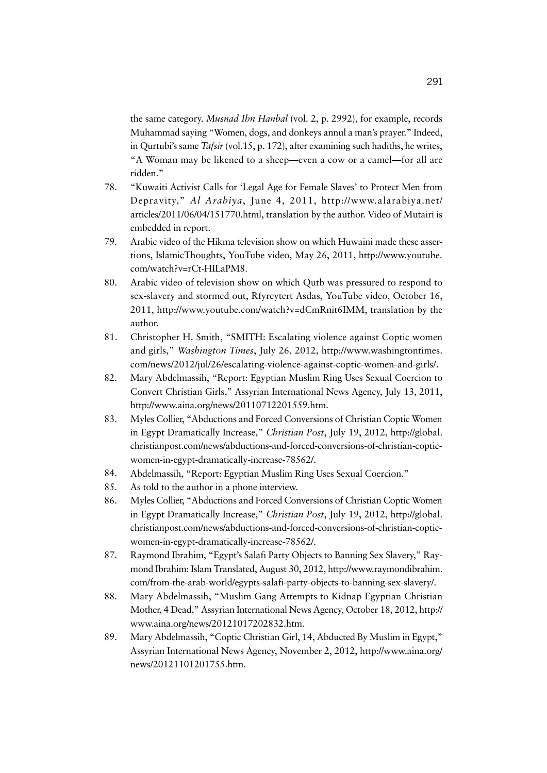the same category. *Musnad Ibn Hanbal* (vol. 2, p. 2992), for example, records Muhammad saying "Women, dogs, and donkeys annul a man's prayer." Indeed, in Qurtubi's same *Tafsir* (vol.15, p. 172), after examining such hadiths, he writes, "A Woman may be likened to a sheep—even a cow or a camel—for all are ridden."

- 78. "Kuwaiti Activist Calls for 'Legal Age for Female Slaves' to Protect Men from Depravity," *Al Arabiya*, June 4, 2011, http://www.alarabiya.net/ articles/2011/06/04/151770.html, translation by the author. Video of Mutairi is embedded in report.
- 79. Arabic video of the Hikma television show on which Huwaini made these assertions, IslamicThoughts, YouTube video, May 26, 2011, http://www.youtube. com/watch?v=rCt-HILaPM8.
- 80. Arabic video of television show on which Qutb was pressured to respond to sex-slavery and stormed out, Rfyreytert Asdas, YouTube video, October 16, 2011, http://www.youtube.com/watch?v=dCmRnit6IMM, translation by the author.
- 81. Christopher H. Smith, "SMITH: Escalating violence against Coptic women and girls," *Washington Times*, July 26, 2012, http://www.washingtontimes. com/news/2012/jul/26/escalating-violence-against-coptic-women-and-girls/.
- 82. Mary Abdelmassih, "Report: Egyptian Muslim Ring Uses Sexual Coercion to Convert Christian Girls," Assyrian International News Agency, July 13, 2011, http://www.aina.org/news/20110712201559.htm.
- 83. Myles Collier, "Abductions and Forced Conversions of Christian Coptic Women in Egypt Dramatically Increase," *Christian Post*, July 19, 2012, http://global. christianpost.com/news/abductions-and-forced-conversions-of-christian-copticwomen-in-egypt-dramatically-increase-78562/.
- 84. Abdelmassih, "Report: Egyptian Muslim Ring Uses Sexual Coercion."
- 85. As told to the author in a phone interview.
- 86. Myles Collier, "Abductions and Forced Conversions of Christian Coptic Women in Egypt Dramatically Increase," *Christian Post*, July 19, 2012, http://global. christianpost.com/news/abductions-and-forced-conversions-of-christian-copticwomen-in-egypt-dramatically-increase-78562/.
- 87. Raymond Ibrahim, "Egypt's Salafi Party Objects to Banning Sex Slavery," Raymond Ibrahim: Islam Translated, August 30, 2012, http://www.raymondibrahim. com/from-the-arab-world/egypts-salafi-party-objects-to-banning-sex-slavery/.
- 88. Mary Abdelmassih, "Muslim Gang Attempts to Kidnap Egyptian Christian Mother, 4 Dead," Assyrian International News Agency, October 18, 2012, http:// www.aina.org/news/20121017202832.htm.
- 89. Mary Abdelmassih, "Coptic Christian Girl, 14, Abducted By Muslim in Egypt," Assyrian International News Agency, November 2, 2012, http://www.aina.org/ news/20121101201755.htm.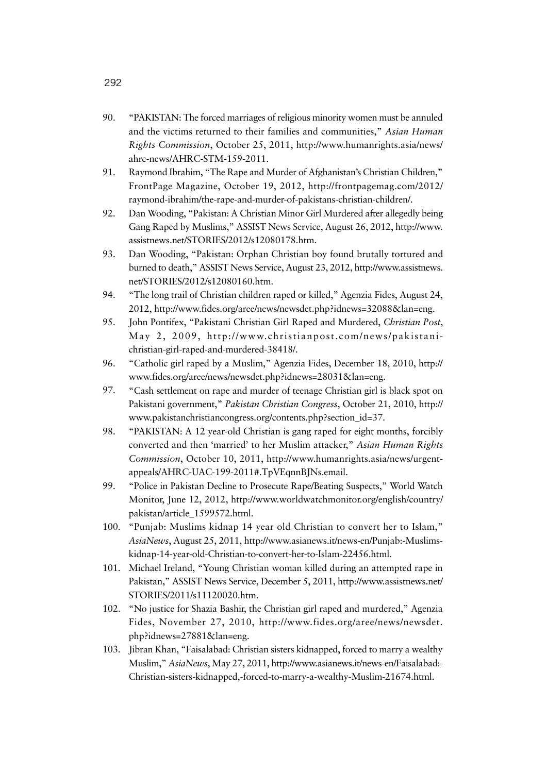- 90. "PAKISTAN: The forced marriages of religious minority women must be annuled and the victims returned to their families and communities," *Asian Human Rights Commission*, October 25, 2011, http://www.humanrights.asia/news/ ahrc-news/AHRC-STM-159-2011.
- 91. Raymond Ibrahim, "The Rape and Murder of Afghanistan's Christian Children," FrontPage Magazine, October 19, 2012, http://frontpagemag.com/2012/ raymond-ibrahim/the-rape-and-murder-of-pakistans-christian-children/.
- 92. Dan Wooding, "Pakistan: A Christian Minor Girl Murdered after allegedly being Gang Raped by Muslims," ASSIST News Service, August 26, 2012, http://www. assistnews.net/STORIES/2012/s12080178.htm.
- 93. Dan Wooding, "Pakistan: Orphan Christian boy found brutally tortured and burned to death," ASSIST News Service, August 23, 2012, http://www.assistnews. net/STORIES/2012/s12080160.htm.
- 94. "The long trail of Christian children raped or killed," Agenzia Fides, August 24, 2012, http://www.fides.org/aree/news/newsdet.php?idnews=32088&lan=eng.
- 95. John Pontifex, "Pakistani Christian Girl Raped and Murdered, *Christian Post*, May 2, 2009, http://www.christianpost.com/news/pakistanichristian-girl-raped-and-murdered-38418/.
- 96. "Catholic girl raped by a Muslim," Agenzia Fides, December 18, 2010, http:// www.fides.org/aree/news/newsdet.php?idnews=28031&lan=eng.
- 97. "Cash settlement on rape and murder of teenage Christian girl is black spot on Pakistani government," *Pakistan Christian Congress*, October 21, 2010, http:// www.pakistanchristiancongress.org/contents.php?section\_id=37.
- 98. "PAKISTAN: A 12 year-old Christian is gang raped for eight months, forcibly converted and then 'married' to her Muslim attacker," *Asian Human Rights Commission*, October 10, 2011, http://www.humanrights.asia/news/urgentappeals/AHRC-UAC-199-2011#.TpVEqnnBJNs.email.
- 99. "Police in Pakistan Decline to Prosecute Rape/Beating Suspects," World Watch Monitor, June 12, 2012, http://www.worldwatchmonitor.org/english/country/ pakistan/article\_1599572.html.
- 100. "Punjab: Muslims kidnap 14 year old Christian to convert her to Islam," *AsiaNews*, August 25, 2011, http://www.asianews.it/news-en/Punjab:-Muslimskidnap-14-year-old-Christian-to-convert-her-to-Islam-22456.html.
- 101. Michael Ireland, "Young Christian woman killed during an attempted rape in Pakistan," ASSIST News Service, December 5, 2011, http://www.assistnews.net/ STORIES/2011/s11120020.htm.
- 102. "No justice for Shazia Bashir, the Christian girl raped and murdered," Agenzia Fides, November 27, 2010, http://www.fides.org/aree/news/newsdet. php?idnews=27881&lan=eng.
- 103. Jibran Khan, "Faisalabad: Christian sisters kidnapped, forced to marry a wealthy Muslim," *AsiaNews*, May 27, 2011, http://www.asianews.it/news-en/Faisalabad:- Christian-sisters-kidnapped,-forced-to-marry-a-wealthy-Muslim-21674.html.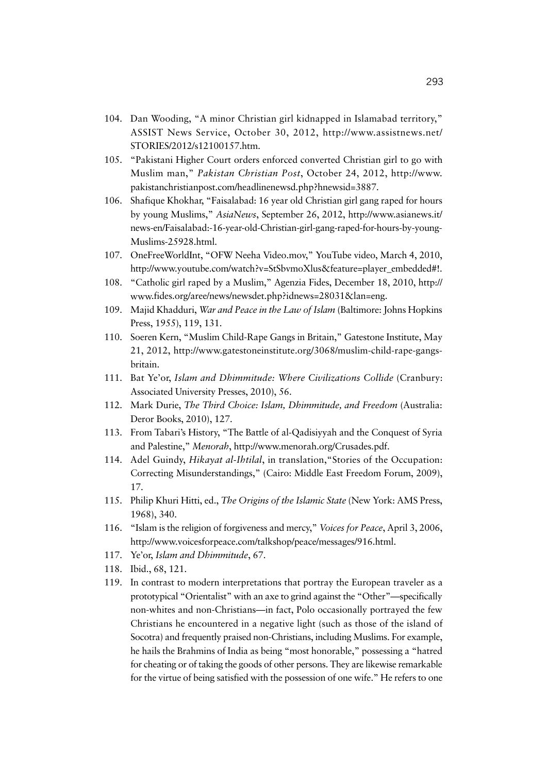- 104. Dan Wooding, "A minor Christian girl kidnapped in Islamabad territory," ASSIST News Service, October 30, 2012, http://www.assistnews.net/ STORIES/2012/s12100157.htm.
- 105. "Pakistani Higher Court orders enforced converted Christian girl to go with Muslim man," *Pakistan Christian Post*, October 24, 2012, http://www. pakistanchristianpost.com/headlinenewsd.php?hnewsid=3887.
- 106. Shafique Khokhar, "Faisalabad: 16 year old Christian girl gang raped for hours by young Muslims," *AsiaNews*, September 26, 2012, http://www.asianews.it/ news-en/Faisalabad:-16-year-old-Christian-girl-gang-raped-for-hours-by-young-Muslims-25928.html.
- 107. OneFreeWorldInt, "OFW Neeha Video.mov," YouTube video, March 4, 2010, http://www.youtube.com/watch?v=StSbvmoXlus&feature=player\_embedded#!.
- 108. "Catholic girl raped by a Muslim," Agenzia Fides, December 18, 2010, http:// www.fides.org/aree/news/newsdet.php?idnews=28031&lan=eng.
- 109. Majid Khadduri, *War and Peace in the Law of Islam* (Baltimore: Johns Hopkins Press, 1955), 119, 131.
- 110. Soeren Kern, "Muslim Child-Rape Gangs in Britain," Gatestone Institute, May 21, 2012, http://www.gatestoneinstitute.org/3068/muslim-child-rape-gangsbritain.
- 111. Bat Ye'or, *Islam and Dhimmitude: Where Civilizations Collide* (Cranbury: Associated University Presses, 2010), 56.
- 112. Mark Durie, *The Third Choice: Islam, Dhimmitude, and Freedom* (Australia: Deror Books, 2010), 127.
- 113. From Tabari's History, "The Battle of al-Qadisiyyah and the Conquest of Syria and Palestine," *Menorah*, http://www.menorah.org/Crusades.pdf.
- 114. Adel Guindy, *Hikayat al-Ihtilal*, in translation,"Stories of the Occupation: Correcting Misunderstandings," (Cairo: Middle East Freedom Forum, 2009), 17.
- 115. Philip Khuri Hitti, ed., *The Origins of the Islamic State* (New York: AMS Press, 1968), 340.
- 116. "Islam is the religion of forgiveness and mercy," *Voices for Peace*, April 3, 2006, http://www.voicesforpeace.com/talkshop/peace/messages/916.html.
- 117. Ye'or, *Islam and Dhimmitude*, 67.
- 118. Ibid., 68, 121.
- 119. In contrast to modern interpretations that portray the European traveler as a prototypical "Orientalist" with an axe to grind against the "Other"—specifically non-whites and non-Christians—in fact, Polo occasionally portrayed the few Christians he encountered in a negative light (such as those of the island of Socotra) and frequently praised non-Christians, including Muslims. For example, he hails the Brahmins of India as being "most honorable," possessing a "hatred for cheating or of taking the goods of other persons. They are likewise remarkable for the virtue of being satisfied with the possession of one wife." He refers to one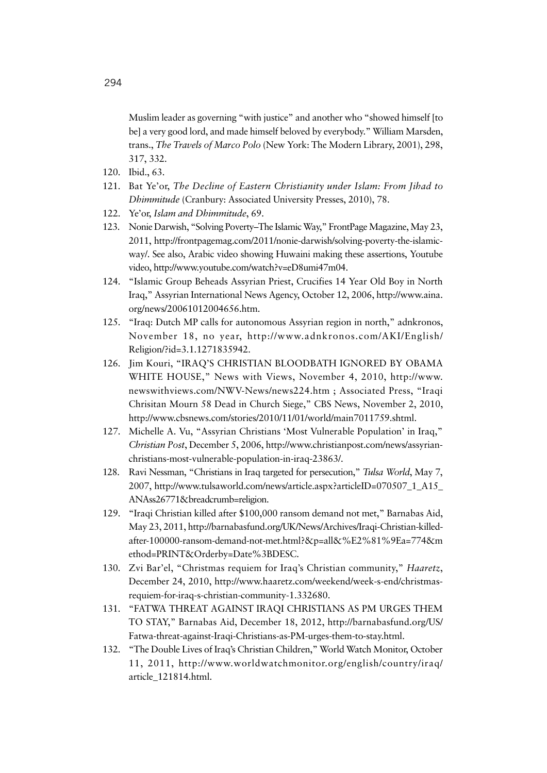Muslim leader as governing "with justice" and another who "showed himself [to be] a very good lord, and made himself beloved by everybody." William Marsden, trans., *The Travels of Marco Polo* (New York: The Modern Library, 2001), 298, 317, 332.

- 120. Ibid., 63.
- 121. Bat Ye'or, *The Decline of Eastern Christianity under Islam: From Jihad to Dhimmitude* (Cranbury: Associated University Presses, 2010), 78.
- 122. Ye'or, *Islam and Dhimmitude*, 69.
- 123. Nonie Darwish, "Solving Poverty–The Islamic Way," FrontPage Magazine, May 23, 2011, http://frontpagemag.com/2011/nonie-darwish/solving-poverty-the-islamicway/. See also, Arabic video showing Huwaini making these assertions, Youtube video, http://www.youtube.com/watch?v=eD8umi47m04.
- 124. "Islamic Group Beheads Assyrian Priest, Crucifies 14 Year Old Boy in North Iraq," Assyrian International News Agency, October 12, 2006, http://www.aina. org/news/20061012004656.htm.
- 125. "Iraq: Dutch MP calls for autonomous Assyrian region in north," adnkronos, November 18, no year, http://www.adnkronos.com/AKI/English/ Religion/?id=3.1.1271835942.
- 126. Jim Kouri, "IRAQ'S CHRISTIAN BLOODBATH IGNORED BY OBAMA WHITE HOUSE," News with Views, November 4, 2010, http://www. newswithviews.com/NWV-News/news224.htm ; Associated Press, "Iraqi Chrisitan Mourn 58 Dead in Church Siege," CBS News, November 2, 2010, http://www.cbsnews.com/stories/2010/11/01/world/main7011759.shtml.
- 127. Michelle A. Vu, "Assyrian Christians 'Most Vulnerable Population' in Iraq," *Christian Post*, December 5, 2006, http://www.christianpost.com/news/assyrianchristians-most-vulnerable-population-in-iraq-23863/.
- 128. Ravi Nessman, "Christians in Iraq targeted for persecution," *Tulsa World*, May 7, 2007, http://www.tulsaworld.com/news/article.aspx?articleID=070507\_1\_A15\_ ANAss26771&breadcrumb=religion.
- 129. "Iraqi Christian killed after \$100,000 ransom demand not met," Barnabas Aid, May 23, 2011, http://barnabasfund.org/UK/News/Archives/Iraqi-Christian-killedafter-100000-ransom-demand-not-met.html?&p=all&%E2%81%9Ea=774&m ethod=PRINT&Orderby=Date%3BDESC.
- 130. Zvi Bar'el, "Christmas requiem for Iraq's Christian community," *Haaretz*, December 24, 2010, http://www.haaretz.com/weekend/week-s-end/christmasrequiem-for-iraq-s-christian-community-1.332680.
- 131. "FATWA THREAT AGAINST IRAQI CHRISTIANS AS PM URGES THEM TO STAY," Barnabas Aid, December 18, 2012, http://barnabasfund.org/US/ Fatwa-threat-against-Iraqi-Christians-as-PM-urges-them-to-stay.html.
- 132. "The Double Lives of Iraq's Christian Children," World Watch Monitor, October 11, 2011, http://www.worldwatchmonitor.org/english/country/iraq/ article\_121814.html.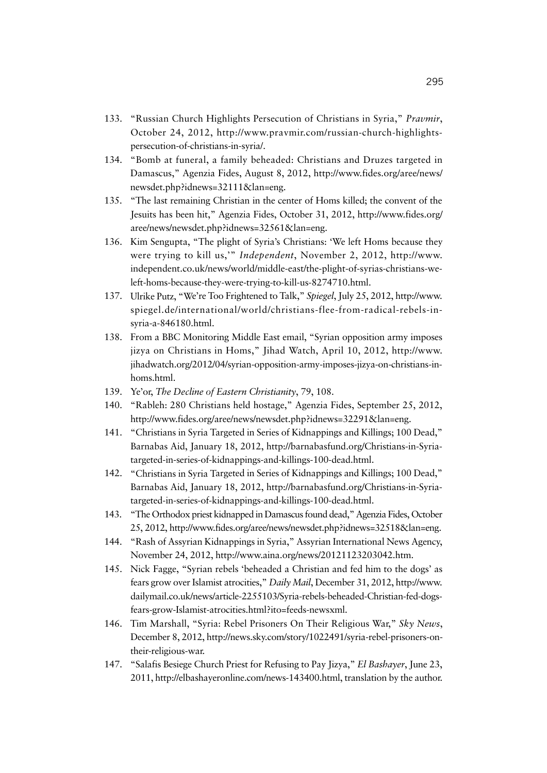- 133. "Russian Church Highlights Persecution of Christians in Syria," *Pravmir*, October 24, 2012, http://www.pravmir.com/russian-church-highlightspersecution-of-christians-in-syria/.
- 134. "Bomb at funeral, a family beheaded: Christians and Druzes targeted in Damascus," Agenzia Fides, August 8, 2012, http://www.fides.org/aree/news/ newsdet.php?idnews=32111&lan=eng.
- 135. "The last remaining Christian in the center of Homs killed; the convent of the Jesuits has been hit," Agenzia Fides, October 31, 2012, http://www.fides.org/ aree/news/newsdet.php?idnews=32561&lan=eng.
- 136. Kim Sengupta, "The plight of Syria's Christians: 'We left Homs because they were trying to kill us,'" *Independent*, November 2, 2012, http://www. independent.co.uk/news/world/middle-east/the-plight-of-syrias-christians-weleft-homs-because-they-were-trying-to-kill-us-8274710.html.
- 137. Ulrike Putz, "We're Too Frightened to Talk," *Spiegel*, July 25, 2012, http://www. spiegel.de/international/world/christians-flee-from-radical-rebels-insyria-a-846180.html.
- 138. From a BBC Monitoring Middle East email, "Syrian opposition army imposes jizya on Christians in Homs," Jihad Watch, April 10, 2012, http://www. jihadwatch.org/2012/04/syrian-opposition-army-imposes-jizya-on-christians-inhoms.html.
- 139. Ye'or, *The Decline of Eastern Christianity*, 79, 108.
- 140. "Rableh: 280 Christians held hostage," Agenzia Fides, September 25, 2012, http://www.fides.org/aree/news/newsdet.php?idnews=32291&lan=eng.
- 141. "Christians in Syria Targeted in Series of Kidnappings and Killings; 100 Dead," Barnabas Aid, January 18, 2012, http://barnabasfund.org/Christians-in-Syriatargeted-in-series-of-kidnappings-and-killings-100-dead.html.
- 142. "Christians in Syria Targeted in Series of Kidnappings and Killings; 100 Dead," Barnabas Aid, January 18, 2012, http://barnabasfund.org/Christians-in-Syriatargeted-in-series-of-kidnappings-and-killings-100-dead.html.
- 143. "The Orthodox priest kidnapped in Damascus found dead," Agenzia Fides, October 25, 2012, http://www.fides.org/aree/news/newsdet.php?idnews=32518&lan=eng.
- 144. "Rash of Assyrian Kidnappings in Syria," Assyrian International News Agency, November 24, 2012, http://www.aina.org/news/20121123203042.htm.
- 145. Nick Fagge, "Syrian rebels 'beheaded a Christian and fed him to the dogs' as fears grow over Islamist atrocities," *Daily Mail*, December 31, 2012, http://www. dailymail.co.uk/news/article-2255103/Syria-rebels-beheaded-Christian-fed-dogsfears-grow-Islamist-atrocities.html?ito=feeds-newsxml.
- 146. Tim Marshall, "Syria: Rebel Prisoners On Their Religious War," *Sky News*, December 8, 2012, http://news.sky.com/story/1022491/syria-rebel-prisoners-ontheir-religious-war.
- 147. "Salafis Besiege Church Priest for Refusing to Pay Jizya," *El Bashayer*, June 23, 2011, http://elbashayeronline.com/news-143400.html, translation by the author.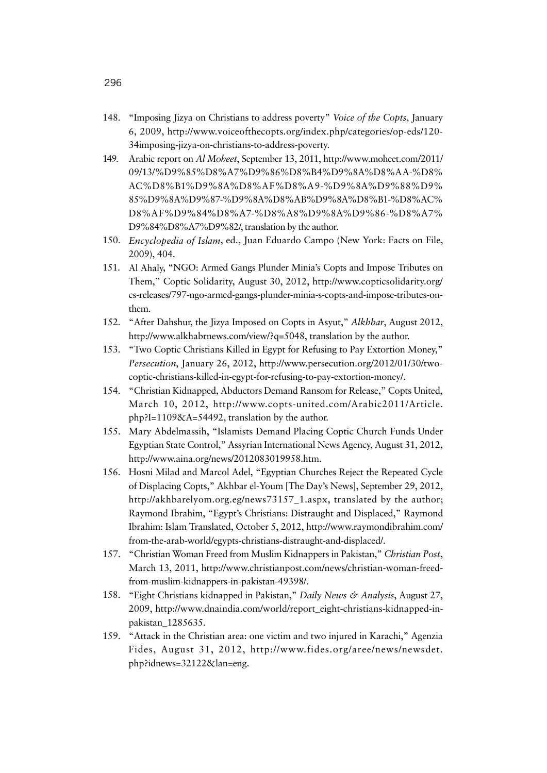- 148. "Imposing Jizya on Christians to address poverty" *Voice of the Copts*, January 6, 2009, http://www.voiceofthecopts.org/index.php/categories/op-eds/120- 34imposing-jizya-on-christians-to-address-poverty.
- 149. Arabic report on *Al Moheet*, September 13, 2011, http://www.moheet.com/2011/ 09/13/%D9%85%D8%A7%D9%86%D8%B4%D9%8A%D8%AA-%D8% AC%D8%B1%D9%8A%D8%AF%D8%A9-%D9%8A%D9%88%D9% 85%D9%8A%D9%87-%D9%8A%D8%AB%D9%8A%D8%B1-%D8%AC% D8%AF%D9%84%D8%A7-%D8%A8%D9%8A%D9%86-%D8%A7% D9%84%D8%A7%D9%82/, translation by the author.
- 150. *Encyclopedia of Islam*, ed., Juan Eduardo Campo (New York: Facts on File, 2009), 404.
- 151. Al Ahaly, "NGO: Armed Gangs Plunder Minia's Copts and Impose Tributes on Them," Coptic Solidarity, August 30, 2012, http://www.copticsolidarity.org/ cs-releases/797-ngo-armed-gangs-plunder-minia-s-copts-and-impose-tributes-onthem.
- 152. "After Dahshur, the Jizya Imposed on Copts in Asyut," *Alkhbar*, August 2012, http://www.alkhabrnews.com/view/?q=5048, translation by the author.
- 153. "Two Coptic Christians Killed in Egypt for Refusing to Pay Extortion Money," *Persecution*, January 26, 2012, http://www.persecution.org/2012/01/30/twocoptic-christians-killed-in-egypt-for-refusing-to-pay-extortion-money/.
- 154. "Christian Kidnapped, Abductors Demand Ransom for Release," Copts United, March 10, 2012, http://www.copts-united.com/Arabic2011/Article. php?I=1109&A=54492, translation by the author.
- 155. Mary Abdelmassih, "Islamists Demand Placing Coptic Church Funds Under Egyptian State Control," Assyrian International News Agency, August 31, 2012, http://www.aina.org/news/2012083019958.htm.
- 156. Hosni Milad and Marcol Adel, "Egyptian Churches Reject the Repeated Cycle of Displacing Copts," Akhbar el-Youm [The Day's News], September 29, 2012, http://akhbarelyom.org.eg/news73157\_1.aspx, translated by the author; Raymond Ibrahim, "Egypt's Christians: Distraught and Displaced," Raymond Ibrahim: Islam Translated, October 5, 2012, http://www.raymondibrahim.com/ from-the-arab-world/egypts-christians-distraught-and-displaced/.
- 157. "Christian Woman Freed from Muslim Kidnappers in Pakistan," *Christian Post*, March 13, 2011, http://www.christianpost.com/news/christian-woman-freedfrom-muslim-kidnappers-in-pakistan-49398/.
- 158. "Eight Christians kidnapped in Pakistan," *Daily News & Analysis*, August 27, 2009, http://www.dnaindia.com/world/report\_eight-christians-kidnapped-inpakistan\_1285635.
- 159. "Attack in the Christian area: one victim and two injured in Karachi," Agenzia Fides, August 31, 2012, http://www.fides.org/aree/news/newsdet. php?idnews=32122&lan=eng.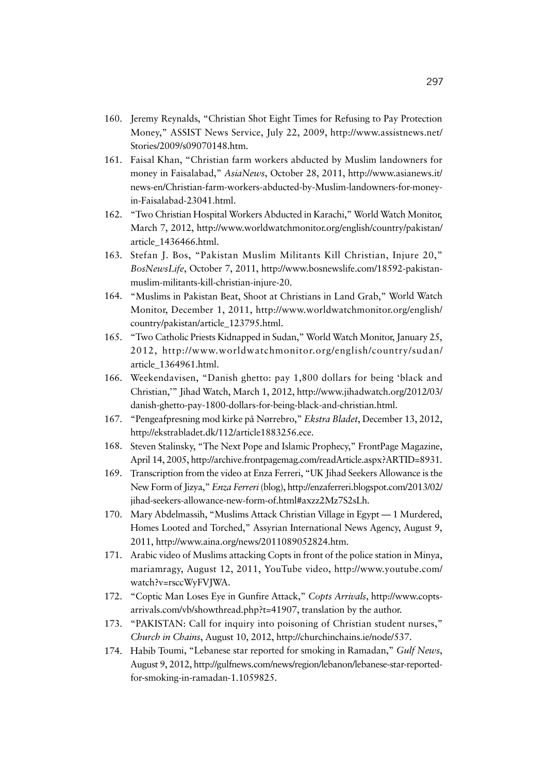- 160. Jeremy Reynalds, "Christian Shot Eight Times for Refusing to Pay Protection Money," ASSIST News Service, July 22, 2009, http://www.assistnews.net/ Stories/2009/s09070148.htm.
- 161. Faisal Khan, "Christian farm workers abducted by Muslim landowners for money in Faisalabad," *AsiaNews*, October 28, 2011, http://www.asianews.it/ news-en/Christian-farm-workers-abducted-by-Muslim-landowners-for-moneyin-Faisalabad-23041.html.
- 162. "Two Christian Hospital Workers Abducted in Karachi," World Watch Monitor, March 7, 2012, http://www.worldwatchmonitor.org/english/country/pakistan/ article\_1436466.html.
- 163. Stefan J. Bos, "Pakistan Muslim Militants Kill Christian, Injure 20," *BosNewsLife*, October 7, 2011, http://www.bosnewslife.com/18592-pakistanmuslim-militants-kill-christian-injure-20.
- 164. "Muslims in Pakistan Beat, Shoot at Christians in Land Grab," World Watch Monitor, December 1, 2011, http://www.worldwatchmonitor.org/english/ country/pakistan/article\_123795.html.
- 165. "Two Catholic Priests Kidnapped in Sudan," World Watch Monitor, January 25, 2012, http://www.worldwatchmonitor.org/english/country/sudan/ article\_1364961.html.
- 166. Weekendavisen, "Danish ghetto: pay 1,800 dollars for being 'black and Christian,'" Jihad Watch, March 1, 2012, http://www.jihadwatch.org/2012/03/ danish-ghetto-pay-1800-dollars-for-being-black-and-christian.html.
- 167. "Pengeafpresning mod kirke på Nørrebro," *Ekstra Bladet*, December 13, 2012, http://ekstrabladet.dk/112/article1883256.ece.
- 168. Steven Stalinsky, "The Next Pope and Islamic Prophecy," FrontPage Magazine, April 14, 2005, http://archive.frontpagemag.com/readArticle.aspx?ARTID=8931.
- 169. Transcription from the video at Enza Ferreri, "UK Jihad Seekers Allowance is the New Form of Jizya," *Enza Ferreri* (blog), http://enzaferreri.blogspot.com/2013/02/ jihad-seekers-allowance-new-form-of.html#axzz2Mz7S2sLh.
- 170. Mary Abdelmassih, "Muslims Attack Christian Village in Egypt 1 Murdered, Homes Looted and Torched," Assyrian International News Agency, August 9, 2011, http://www.aina.org/news/2011089052824.htm.
- 171. Arabic video of Muslims attacking Copts in front of the police station in Minya, mariamragy, August 12, 2011, YouTube video, http://www.youtube.com/ watch?v=rsccWyFVJWA.
- 172. "Coptic Man Loses Eye in Gunfire Attack," *Copts Arrivals*, http://www.coptsarrivals.com/vb/showthread.php?t=41907, translation by the author.
- 173. "PAKISTAN: Call for inquiry into poisoning of Christian student nurses," *Church in Chains*, August 10, 2012, http://churchinchains.ie/node/537.
- 174. Habib Toumi, "Lebanese star reported for smoking in Ramadan," *Gulf News*, August 9, 2012, http://gulfnews.com/news/region/lebanon/lebanese-star-reportedfor-smoking-in-ramadan-1.1059825.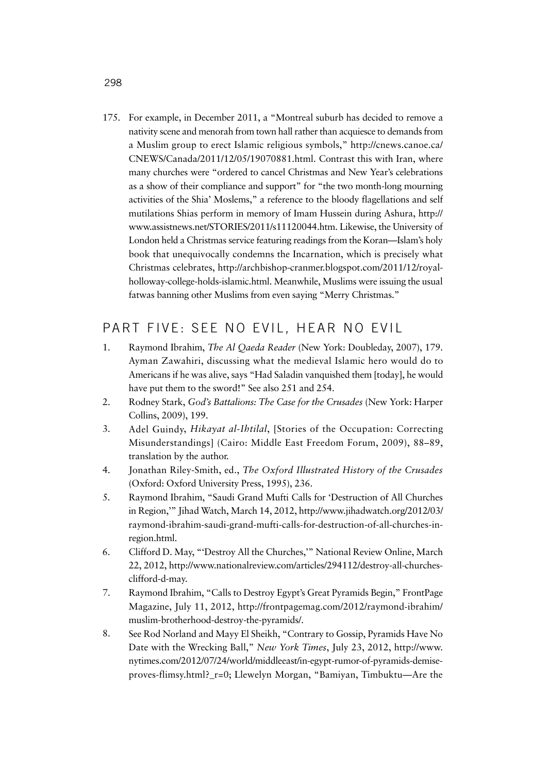175. For example, in December 2011, a "Montreal suburb has decided to remove a nativity scene and menorah from town hall rather than acquiesce to demands from a Muslim group to erect Islamic religious symbols," http://cnews.canoe.ca/ CNEWS/Canada/2011/12/05/19070881.html. Contrast this with Iran, where many churches were "ordered to cancel Christmas and New Year's celebrations as a show of their compliance and support" for "the two month-long mourning activities of the Shia' Moslems," a reference to the bloody flagellations and self mutilations Shias perform in memory of Imam Hussein during Ashura, http:// www.assistnews.net/STORIES/2011/s11120044.htm. Likewise, the University of London held a Christmas service featuring readings from the Koran—Islam's holy book that unequivocally condemns the Incarnation, which is precisely what Christmas celebrates, http://archbishop-cranmer.blogspot.com/2011/12/royalholloway-college-holds-islamic.html. Meanwhile, Muslims were issuing the usual fatwas banning other Muslims from even saying "Merry Christmas."

### PART FIVE: SEE NO EVIL, HEAR NO EVIL

- 1. Raymond Ibrahim, *The Al Qaeda Reader* (New York: Doubleday, 2007), 179. Ayman Zawahiri, discussing what the medieval Islamic hero would do to Americans if he was alive, says "Had Saladin vanquished them [today], he would have put them to the sword!" See also 251 and 254.
- 2. Rodney Stark, *God's Battalions: The Case for the Crusades* (New York: Harper Collins, 2009), 199.
- 3. Adel Guindy, *Hikayat al-Ihtilal*, [Stories of the Occupation: Correcting Misunderstandings] (Cairo: Middle East Freedom Forum, 2009), 88–89, translation by the author.
- 4. Jonathan Riley-Smith, ed., *The Oxford Illustrated History of the Crusades* (Oxford: Oxford University Press, 1995), 236.
- 5. Raymond Ibrahim, "Saudi Grand Mufti Calls for 'Destruction of All Churches in Region,'" Jihad Watch, March 14, 2012, http://www.jihadwatch.org/2012/03/ raymond-ibrahim-saudi-grand-mufti-calls-for-destruction-of-all-churches-inregion.html.
- 6. Clifford D. May, "'Destroy All the Churches,'" National Review Online, March 22, 2012, http://www.nationalreview.com/articles/294112/destroy-all-churchesclifford-d-may.
- 7. Raymond Ibrahim, "Calls to Destroy Egypt's Great Pyramids Begin," FrontPage Magazine, July 11, 2012, http://frontpagemag.com/2012/raymond-ibrahim/ muslim-brotherhood-destroy-the-pyramids/.
- 8. See Rod Norland and Mayy El Sheikh, "Contrary to Gossip, Pyramids Have No Date with the Wrecking Ball," *New York Times*, July 23, 2012, http://www. nytimes.com/2012/07/24/world/middleeast/in-egypt-rumor-of-pyramids-demiseproves-flimsy.html?\_r=0; Llewelyn Morgan, "Bamiyan, Timbuktu—Are the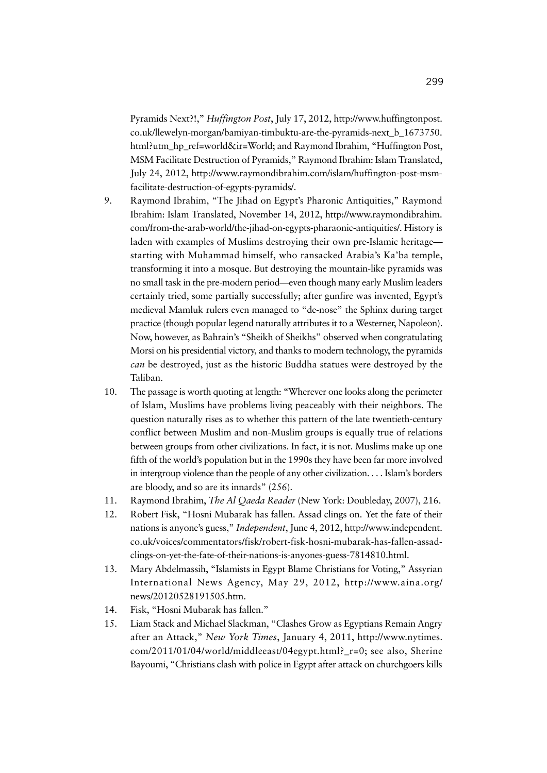Pyramids Next?!," *Huffington Post*, July 17, 2012, http://www.huffingtonpost. co.uk/llewelyn-morgan/bamiyan-timbuktu-are-the-pyramids-next\_b\_1673750. html?utm\_hp\_ref=world&ir=World; and Raymond Ibrahim, "Huffington Post, MSM Facilitate Destruction of Pyramids," Raymond Ibrahim: Islam Translated, July 24, 2012, http://www.raymondibrahim.com/islam/huffington-post-msmfacilitate-destruction-of-egypts-pyramids/.

- 9. Raymond Ibrahim, "The Jihad on Egypt's Pharonic Antiquities," Raymond Ibrahim: Islam Translated, November 14, 2012, http://www.raymondibrahim. com/from-the-arab-world/the-jihad-on-egypts-pharaonic-antiquities/. History is laden with examples of Muslims destroying their own pre-Islamic heritage starting with Muhammad himself, who ransacked Arabia's Ka'ba temple, transforming it into a mosque. But destroying the mountain-like pyramids was no small task in the pre-modern period—even though many early Muslim leaders certainly tried, some partially successfully; after gunfire was invented, Egypt's medieval Mamluk rulers even managed to "de-nose" the Sphinx during target practice (though popular legend naturally attributes it to a Westerner, Napoleon). Now, however, as Bahrain's "Sheikh of Sheikhs" observed when congratulating Morsi on his presidential victory, and thanks to modern technology, the pyramids *can* be destroyed, just as the historic Buddha statues were destroyed by the Taliban.
- 10. The passage is worth quoting at length: "Wherever one looks along the perimeter of Islam, Muslims have problems living peaceably with their neighbors. The question naturally rises as to whether this pattern of the late twentieth-century conflict between Muslim and non-Muslim groups is equally true of relations between groups from other civilizations. In fact, it is not. Muslims make up one fifth of the world's population but in the 1990s they have been far more involved in intergroup violence than the people of any other civilization. . . . Islam's borders are bloody, and so are its innards" (256).
- 11. Raymond Ibrahim, *The Al Qaeda Reader* (New York: Doubleday, 2007), 216.
- 12. Robert Fisk, "Hosni Mubarak has fallen. Assad clings on. Yet the fate of their nations is anyone's guess," *Independent*, June 4, 2012, http://www.independent. co.uk/voices/commentators/fisk/robert-fisk-hosni-mubarak-has-fallen-assadclings-on-yet-the-fate-of-their-nations-is-anyones-guess-7814810.html.
- 13. Mary Abdelmassih, "Islamists in Egypt Blame Christians for Voting," Assyrian International News Agency, May 29, 2012, http://www.aina.org/ news/20120528191505.htm.
- 14. Fisk, "Hosni Mubarak has fallen."
- 15. Liam Stack and Michael Slackman, "Clashes Grow as Egyptians Remain Angry after an Attack," *New York Times*, January 4, 2011, http://www.nytimes. com/2011/01/04/world/middleeast/04egypt.html?\_r=0; see also, Sherine Bayoumi, "Christians clash with police in Egypt after attack on churchgoers kills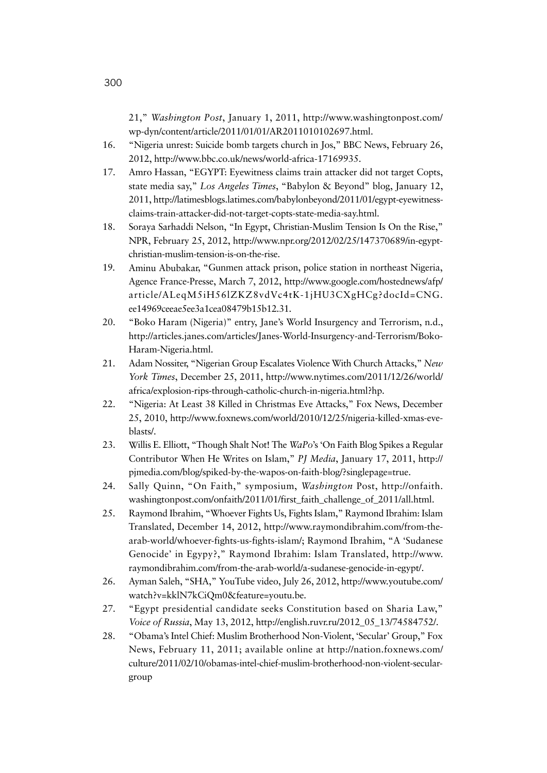21," *Washington Post*, January 1, 2011, http://www.washingtonpost.com/ wp-dyn/content/article/2011/01/01/AR2011010102697.html.

- 16. "Nigeria unrest: Suicide bomb targets church in Jos," BBC News, February 26, 2012, http://www.bbc.co.uk/news/world-africa-17169935.
- 17. Amro Hassan, "EGYPT: Eyewitness claims train attacker did not target Copts, state media say," *Los Angeles Times*, "Babylon & Beyond" blog, January 12, 2011, http://latimesblogs.latimes.com/babylonbeyond/2011/01/egypt-eyewitnessclaims-train-attacker-did-not-target-copts-state-media-say.html.
- 18. Soraya Sarhaddi Nelson, "In Egypt, Christian-Muslim Tension Is On the Rise," NPR, February 25, 2012, http://www.npr.org/2012/02/25/147370689/in-egyptchristian-muslim-tension-is-on-the-rise.
- 19. Aminu Abubakar, "Gunmen attack prison, police station in northeast Nigeria, Agence France-Presse, March 7, 2012, http://www.google.com/hostednews/afp/ article/ALeqM5iH56lZKZ8vdVc4tK-1jHU3CXgHCg?docId=CNG. ee14969ceeae5ee3a1cea08479b15b12.31.
- 20. "Boko Haram (Nigeria)" entry, Jane's World Insurgency and Terrorism, n.d., http://articles.janes.com/articles/Janes-World-Insurgency-and-Terrorism/Boko-Haram-Nigeria.html.
- 21. Adam Nossiter, "Nigerian Group Escalates Violence With Church Attacks," *New York Times*, December 25, 2011, http://www.nytimes.com/2011/12/26/world/ africa/explosion-rips-through-catholic-church-in-nigeria.html?hp.
- 22. "Nigeria: At Least 38 Killed in Christmas Eve Attacks," Fox News, December 25, 2010, http://www.foxnews.com/world/2010/12/25/nigeria-killed-xmas-eveblasts/.
- 23. Willis E. Elliott, "Though Shalt Not! The *WaPo*'s 'On Faith Blog Spikes a Regular Contributor When He Writes on Islam," *PJ Media*, January 17, 2011, http:// pjmedia.com/blog/spiked-by-the-wapos-on-faith-blog/?singlepage=true.
- 24. Sally Quinn, "On Faith," symposium, *Washington* Post, http://onfaith. washingtonpost.com/onfaith/2011/01/first\_faith\_challenge\_of\_2011/all.html.
- 25. Raymond Ibrahim, "Whoever Fights Us, Fights Islam," Raymond Ibrahim: Islam Translated, December 14, 2012, http://www.raymondibrahim.com/from-thearab-world/whoever-fights-us-fights-islam/; Raymond Ibrahim, "A 'Sudanese Genocide' in Egypy?," Raymond Ibrahim: Islam Translated, http://www. raymondibrahim.com/from-the-arab-world/a-sudanese-genocide-in-egypt/.
- 26. Ayman Saleh, "SHA," YouTube video, July 26, 2012, http://www.youtube.com/ watch?v=kklN7kCiQm0&feature=youtu.be.
- 27. "Egypt presidential candidate seeks Constitution based on Sharia Law," *Voice of Russia*, May 13, 2012, http://english.ruvr.ru/2012\_05\_13/74584752/.
- 28. "Obama's Intel Chief: Muslim Brotherhood Non-Violent, 'Secular' Group," Fox News, February 11, 2011; available online at http://nation.foxnews.com/ culture/2011/02/10/obamas-intel-chief-muslim-brotherhood-non-violent-seculargroup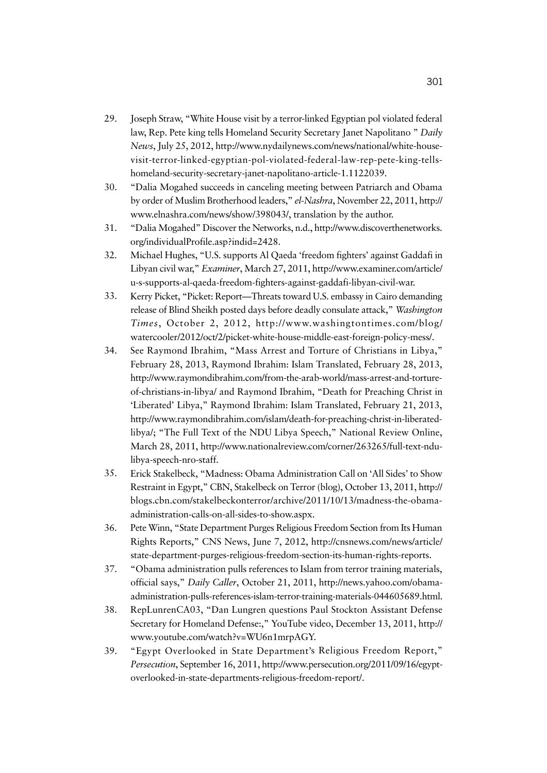- 29. Joseph Straw, "White House visit by a terror-linked Egyptian pol violated federal law, Rep. Pete king tells Homeland Security Secretary Janet Napolitano " *Daily News*, July 25, 2012, http://www.nydailynews.com/news/national/white-housevisit-terror-linked-egyptian-pol-violated-federal-law-rep-pete-king-tellshomeland-security-secretary-janet-napolitano-article-1.1122039.
- 30. "Dalia Mogahed succeeds in canceling meeting between Patriarch and Obama by order of Muslim Brotherhood leaders," *el-Nashra*, November 22, 2011, http:// www.elnashra.com/news/show/398043/, translation by the author.
- 31. "Dalia Mogahed" Discover the Networks, n.d., http://www.discoverthenetworks. org/individualProfile.asp?indid=2428.
- 32. Michael Hughes, "U.S. supports Al Qaeda 'freedom fighters' against Gaddafi in Libyan civil war," *Examiner*, March 27, 2011, http://www.examiner.com/article/ u-s-supports-al-qaeda-freedom-fighters-against-gaddafi-libyan-civil-war.
- 33. Kerry Picket, "Picket: Report—Threats toward U.S. embassy in Cairo demanding release of Blind Sheikh posted days before deadly consulate attack," *Washington Times*, October 2, 2012, http://www.washingtontimes.com/blog/ watercooler/2012/oct/2/picket-white-house-middle-east-foreign-policy-mess/.
- 34. See Raymond Ibrahim, "Mass Arrest and Torture of Christians in Libya," February 28, 2013, Raymond Ibrahim: Islam Translated, February 28, 2013, http://www.raymondibrahim.com/from-the-arab-world/mass-arrest-and-tortureof-christians-in-libya/ and Raymond Ibrahim, "Death for Preaching Christ in 'Liberated' Libya," Raymond Ibrahim: Islam Translated, February 21, 2013, http://www.raymondibrahim.com/islam/death-for-preaching-christ-in-liberatedlibya/; "The Full Text of the NDU Libya Speech," National Review Online, March 28, 2011, http://www.nationalreview.com/corner/263265/full-text-ndulibya-speech-nro-staff.
- 35. Erick Stakelbeck, "Madness: Obama Administration Call on 'All Sides' to Show Restraint in Egypt," CBN, Stakelbeck on Terror (blog), October 13, 2011, http:// blogs.cbn.com/stakelbeckonterror/archive/2011/10/13/madness-the-obamaadministration-calls-on-all-sides-to-show.aspx.
- 36. Pete Winn, "State Department Purges Religious Freedom Section from Its Human Rights Reports," CNS News, June 7, 2012, http://cnsnews.com/news/article/ state-department-purges-religious-freedom-section-its-human-rights-reports.
- 37. "Obama administration pulls references to Islam from terror training materials, official says," *Daily Caller*, October 21, 2011, http://news.yahoo.com/obamaadministration-pulls-references-islam-terror-training-materials-044605689.html.
- 38. RepLunrenCA03, "Dan Lungren questions Paul Stockton Assistant Defense Secretary for Homeland Defense:," YouTube video, December 13, 2011, http:// www.youtube.com/watch?v=WU6n1mrpAGY.
- 39. "Egypt Overlooked in State Department's Religious Freedom Report," *Persecution*, September 16, 2011, http://www.persecution.org/2011/09/16/egyptoverlooked-in-state-departments-religious-freedom-report/.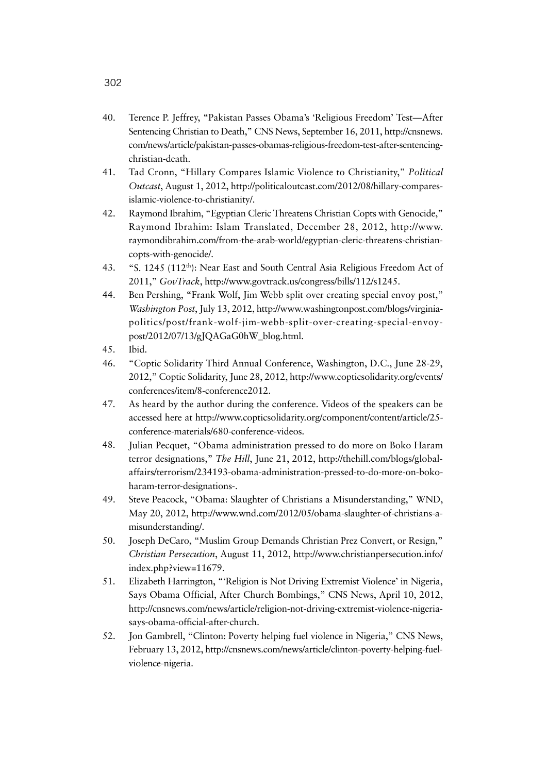- 40. Terence P. Jeffrey, "Pakistan Passes Obama's 'Religious Freedom' Test—After Sentencing Christian to Death," CNS News, September 16, 2011, http://cnsnews. com/news/article/pakistan-passes-obamas-religious-freedom-test-after-sentencingchristian-death.
- 41. Tad Cronn, "Hillary Compares Islamic Violence to Christianity," *Political Outcast*, August 1, 2012, http://politicaloutcast.com/2012/08/hillary-comparesislamic-violence-to-christianity/.
- 42. Raymond Ibrahim, "Egyptian Cleric Threatens Christian Copts with Genocide," Raymond Ibrahim: Islam Translated, December 28, 2012, http://www. raymondibrahim.com/from-the-arab-world/egyptian-cleric-threatens-christiancopts-with-genocide/.
- 43. "S. 1245 (112<sup>th</sup>): Near East and South Central Asia Religious Freedom Act of 2011," *GovTrack*, http://www.govtrack.us/congress/bills/112/s1245.
- 44. Ben Pershing, "Frank Wolf, Jim Webb split over creating special envoy post," *Washington Post*, July 13, 2012, http://www.washingtonpost.com/blogs/virginiapolitics/post/frank-wolf-jim-webb-split-over-creating-special-envoypost/2012/07/13/gJQAGaG0hW\_blog.html.
- 45. Ibid.
- 46. "Coptic Solidarity Third Annual Conference, Washington, D.C., June 28-29, 2012," Coptic Solidarity, June 28, 2012, http://www.copticsolidarity.org/events/ conferences/item/8-conference2012.
- 47. As heard by the author during the conference. Videos of the speakers can be accessed here at http://www.copticsolidarity.org/component/content/article/25 conference-materials/680-conference-videos.
- 48. Julian Pecquet, "Obama administration pressed to do more on Boko Haram terror designations," *The Hill*, June 21, 2012, http://thehill.com/blogs/globalaffairs/terrorism/234193-obama-administration-pressed-to-do-more-on-bokoharam-terror-designations-.
- 49. Steve Peacock, "Obama: Slaughter of Christians a Misunderstanding," WND, May 20, 2012, http://www.wnd.com/2012/05/obama-slaughter-of-christians-amisunderstanding/.
- 50. Joseph DeCaro, "Muslim Group Demands Christian Prez Convert, or Resign," *Christian Persecution*, August 11, 2012, http://www.christianpersecution.info/ index.php?view=11679.
- 51. Elizabeth Harrington, "'Religion is Not Driving Extremist Violence' in Nigeria, Says Obama Official, After Church Bombings," CNS News, April 10, 2012, http://cnsnews.com/news/article/religion-not-driving-extremist-violence-nigeriasays-obama-official-after-church.
- 52. Jon Gambrell, "Clinton: Poverty helping fuel violence in Nigeria," CNS News, February 13, 2012, http://cnsnews.com/news/article/clinton-poverty-helping-fuelviolence-nigeria.